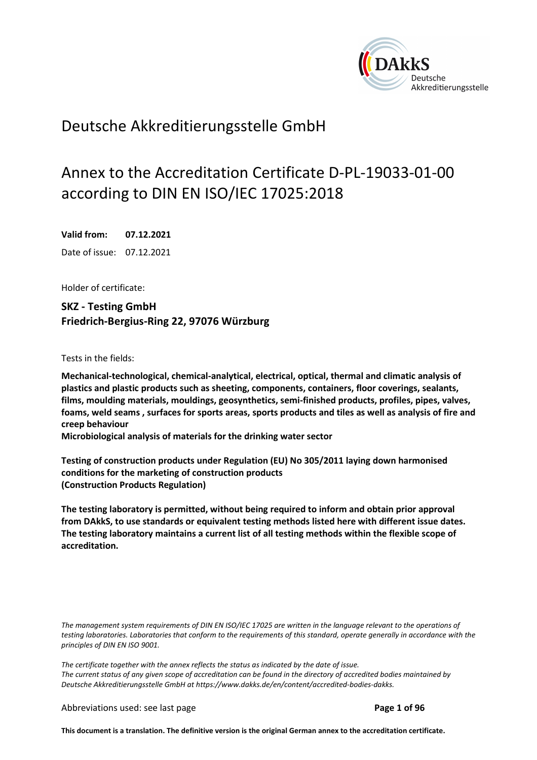

## Deutsche Akkreditierungsstelle GmbH

# Annex to the Accreditation Certificate D-PL-19033-01-00 according to DIN EN ISO/IEC 17025:2018

**Valid from: 07.12.2021**  Date of issue: 07.12.2021

Holder of certificate:

**SKZ - Testing GmbH Friedrich-Bergius-Ring 22, 97076 Würzburg** 

Tests in the fields:

**Mechanical-technological, chemical-analytical, electrical, optical, thermal and climatic analysis of plastics and plastic products such as sheeting, components, containers, floor coverings, sealants, films, moulding materials, mouldings, geosynthetics, semi-finished products, profiles, pipes, valves, foams, weld seams , surfaces for sports areas, sports products and tiles as well as analysis of fire and creep behaviour** 

**Microbiological analysis of materials for the drinking water sector** 

**Testing of construction products under Regulation (EU) No 305/2011 laying down harmonised conditions for the marketing of construction products (Construction Products Regulation)** 

**The testing laboratory is permitted, without being required to inform and obtain prior approval from DAkkS, to use standards or equivalent testing methods listed here with different issue dates. The testing laboratory maintains a current list of all testing methods within the flexible scope of accreditation.** 

*The management system requirements of DIN EN ISO/IEC 17025 are written in the language relevant to the operations of testing laboratories. Laboratories that conform to the requirements of this standard, operate generally in accordance with the principles of DIN EN ISO 9001.* 

*The certificate together with the annex reflects the status as indicated by the date of issue. The current status of any given scope of accreditation can be found in the directory of accredited bodies maintained by Deutsche Akkreditierungsstelle GmbH at https://www.dakks.de/en/content/accredited-bodies-dakks.*

Abbreviations used: see last page **Page 1 of 96** 

**This document is a translation. The definitive version is the original German annex to the accreditation certificate.**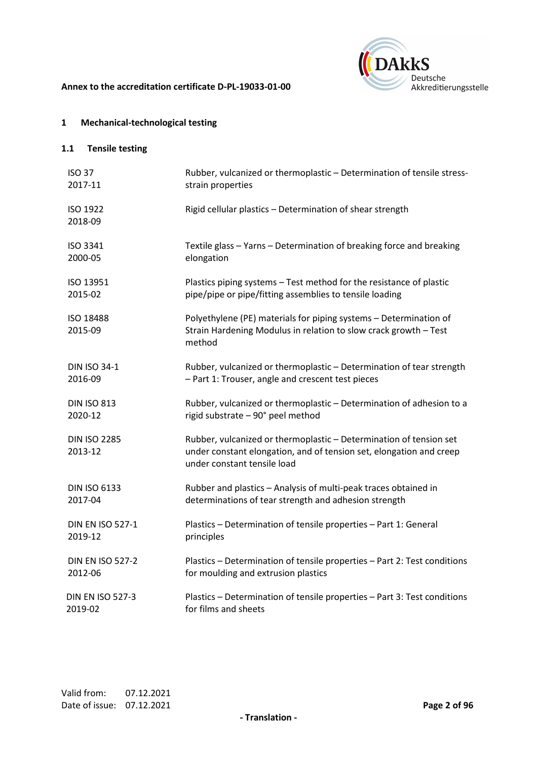



## **1 Mechanical-technological testing**

| <b>ISO 37</b>                  | Rubber, vulcanized or thermoplastic - Determination of tensile stress-                                                                                                   |
|--------------------------------|--------------------------------------------------------------------------------------------------------------------------------------------------------------------------|
| 2017-11                        | strain properties                                                                                                                                                        |
| ISO 1922<br>2018-09            | Rigid cellular plastics - Determination of shear strength                                                                                                                |
| ISO 3341                       | Textile glass - Yarns - Determination of breaking force and breaking                                                                                                     |
| 2000-05                        | elongation                                                                                                                                                               |
| ISO 13951                      | Plastics piping systems - Test method for the resistance of plastic                                                                                                      |
| 2015-02                        | pipe/pipe or pipe/fitting assemblies to tensile loading                                                                                                                  |
| ISO 18488<br>2015-09           | Polyethylene (PE) materials for piping systems - Determination of<br>Strain Hardening Modulus in relation to slow crack growth - Test<br>method                          |
| <b>DIN ISO 34-1</b>            | Rubber, vulcanized or thermoplastic - Determination of tear strength                                                                                                     |
| 2016-09                        | - Part 1: Trouser, angle and crescent test pieces                                                                                                                        |
| <b>DIN ISO 813</b>             | Rubber, vulcanized or thermoplastic - Determination of adhesion to a                                                                                                     |
| 2020-12                        | rigid substrate - 90° peel method                                                                                                                                        |
| <b>DIN ISO 2285</b><br>2013-12 | Rubber, vulcanized or thermoplastic - Determination of tension set<br>under constant elongation, and of tension set, elongation and creep<br>under constant tensile load |
| <b>DIN ISO 6133</b>            | Rubber and plastics - Analysis of multi-peak traces obtained in                                                                                                          |
| 2017-04                        | determinations of tear strength and adhesion strength                                                                                                                    |
| <b>DIN EN ISO 527-1</b>        | Plastics - Determination of tensile properties - Part 1: General                                                                                                         |
| 2019-12                        | principles                                                                                                                                                               |
| <b>DIN EN ISO 527-2</b>        | Plastics - Determination of tensile properties - Part 2: Test conditions                                                                                                 |
| 2012-06                        | for moulding and extrusion plastics                                                                                                                                      |
| <b>DIN EN ISO 527-3</b>        | Plastics - Determination of tensile properties - Part 3: Test conditions                                                                                                 |
| 2019-02                        | for films and sheets                                                                                                                                                     |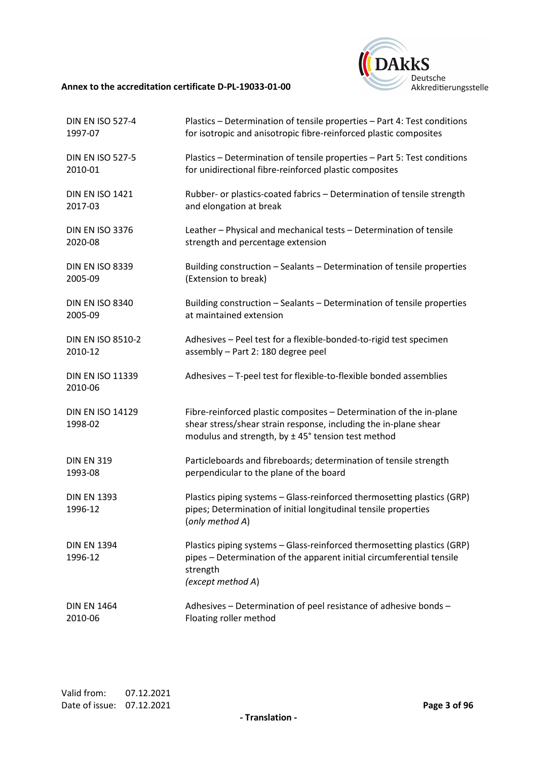

| <b>DIN EN ISO 527-4</b>            | Plastics - Determination of tensile properties - Part 4: Test conditions                                                                                                                          |
|------------------------------------|---------------------------------------------------------------------------------------------------------------------------------------------------------------------------------------------------|
| 1997-07                            | for isotropic and anisotropic fibre-reinforced plastic composites                                                                                                                                 |
| <b>DIN EN ISO 527-5</b>            | Plastics - Determination of tensile properties - Part 5: Test conditions                                                                                                                          |
| 2010-01                            | for unidirectional fibre-reinforced plastic composites                                                                                                                                            |
| <b>DIN EN ISO 1421</b>             | Rubber- or plastics-coated fabrics - Determination of tensile strength                                                                                                                            |
| 2017-03                            | and elongation at break                                                                                                                                                                           |
| <b>DIN EN ISO 3376</b>             | Leather - Physical and mechanical tests - Determination of tensile                                                                                                                                |
| 2020-08                            | strength and percentage extension                                                                                                                                                                 |
| <b>DIN EN ISO 8339</b>             | Building construction - Sealants - Determination of tensile properties                                                                                                                            |
| 2005-09                            | (Extension to break)                                                                                                                                                                              |
| <b>DIN EN ISO 8340</b>             | Building construction - Sealants - Determination of tensile properties                                                                                                                            |
| 2005-09                            | at maintained extension                                                                                                                                                                           |
| <b>DIN EN ISO 8510-2</b>           | Adhesives - Peel test for a flexible-bonded-to-rigid test specimen                                                                                                                                |
| 2010-12                            | assembly - Part 2: 180 degree peel                                                                                                                                                                |
| <b>DIN EN ISO 11339</b><br>2010-06 | Adhesives - T-peel test for flexible-to-flexible bonded assemblies                                                                                                                                |
| <b>DIN EN ISO 14129</b><br>1998-02 | Fibre-reinforced plastic composites - Determination of the in-plane<br>shear stress/shear strain response, including the in-plane shear<br>modulus and strength, by $\pm$ 45° tension test method |
| <b>DIN EN 319</b>                  | Particleboards and fibreboards; determination of tensile strength                                                                                                                                 |
| 1993-08                            | perpendicular to the plane of the board                                                                                                                                                           |
| <b>DIN EN 1393</b><br>1996-12      | Plastics piping systems - Glass-reinforced thermosetting plastics (GRP)<br>pipes; Determination of initial longitudinal tensile properties<br>(only method A)                                     |
| <b>DIN EN 1394</b><br>1996-12      | Plastics piping systems - Glass-reinforced thermosetting plastics (GRP)<br>pipes - Determination of the apparent initial circumferential tensile<br>strength<br>(except method A)                 |
| <b>DIN EN 1464</b>                 | Adhesives - Determination of peel resistance of adhesive bonds -                                                                                                                                  |
| 2010-06                            | Floating roller method                                                                                                                                                                            |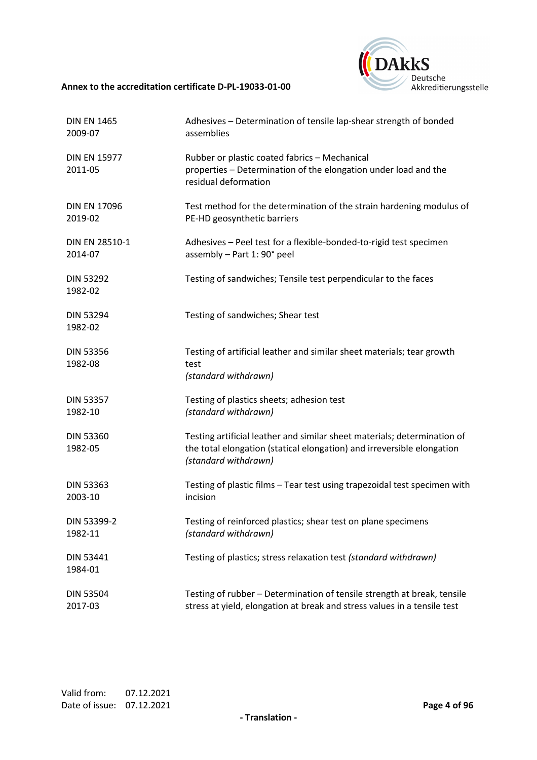

| <b>DIN EN 1465</b>             | Adhesives - Determination of tensile lap-shear strength of bonded                                                                                                          |
|--------------------------------|----------------------------------------------------------------------------------------------------------------------------------------------------------------------------|
| 2009-07                        | assemblies                                                                                                                                                                 |
| <b>DIN EN 15977</b><br>2011-05 | Rubber or plastic coated fabrics - Mechanical<br>properties - Determination of the elongation under load and the<br>residual deformation                                   |
| <b>DIN EN 17096</b>            | Test method for the determination of the strain hardening modulus of                                                                                                       |
| 2019-02                        | PE-HD geosynthetic barriers                                                                                                                                                |
| DIN EN 28510-1                 | Adhesives - Peel test for a flexible-bonded-to-rigid test specimen                                                                                                         |
| 2014-07                        | assembly - Part 1: 90° peel                                                                                                                                                |
| <b>DIN 53292</b><br>1982-02    | Testing of sandwiches; Tensile test perpendicular to the faces                                                                                                             |
| <b>DIN 53294</b><br>1982-02    | Testing of sandwiches; Shear test                                                                                                                                          |
| <b>DIN 53356</b><br>1982-08    | Testing of artificial leather and similar sheet materials; tear growth<br>test<br>(standard withdrawn)                                                                     |
| <b>DIN 53357</b>               | Testing of plastics sheets; adhesion test                                                                                                                                  |
| 1982-10                        | (standard withdrawn)                                                                                                                                                       |
| <b>DIN 53360</b><br>1982-05    | Testing artificial leather and similar sheet materials; determination of<br>the total elongation (statical elongation) and irreversible elongation<br>(standard withdrawn) |
| <b>DIN 53363</b>               | Testing of plastic films - Tear test using trapezoidal test specimen with                                                                                                  |
| 2003-10                        | incision                                                                                                                                                                   |
| DIN 53399-2                    | Testing of reinforced plastics; shear test on plane specimens                                                                                                              |
| 1982-11                        | (standard withdrawn)                                                                                                                                                       |
| DIN 53441<br>1984-01           | Testing of plastics; stress relaxation test (standard withdrawn)                                                                                                           |
| <b>DIN 53504</b>               | Testing of rubber - Determination of tensile strength at break, tensile                                                                                                    |
| 2017-03                        | stress at yield, elongation at break and stress values in a tensile test                                                                                                   |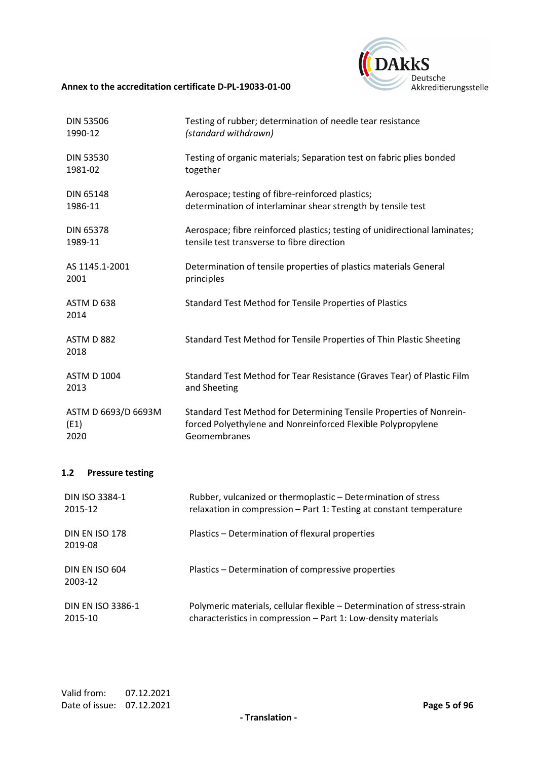

| <b>DIN 53506</b>    | Testing of rubber; determination of needle tear resistance                 |
|---------------------|----------------------------------------------------------------------------|
| 1990-12             | (standard withdrawn)                                                       |
| <b>DIN 53530</b>    | Testing of organic materials; Separation test on fabric plies bonded       |
| 1981-02             | together                                                                   |
| <b>DIN 65148</b>    | Aerospace; testing of fibre-reinforced plastics;                           |
| 1986-11             | determination of interlaminar shear strength by tensile test               |
| <b>DIN 65378</b>    | Aerospace; fibre reinforced plastics; testing of unidirectional laminates; |
| 1989-11             | tensile test transverse to fibre direction                                 |
| AS 1145.1-2001      | Determination of tensile properties of plastics materials General          |
| 2001                | principles                                                                 |
| ASTM D 638<br>2014  | Standard Test Method for Tensile Properties of Plastics                    |
| ASTM D 882<br>2018  | Standard Test Method for Tensile Properties of Thin Plastic Sheeting       |
| <b>ASTM D 1004</b>  | Standard Test Method for Tear Resistance (Graves Tear) of Plastic Film     |
| 2013                | and Sheeting                                                               |
| ASTM D 6693/D 6693M | Standard Test Method for Determining Tensile Properties of Nonrein-        |
| (E1)                | forced Polyethylene and Nonreinforced Flexible Polypropylene               |
| 2020                | Geomembranes                                                               |

## **1.2 Pressure testing**

| <b>DIN ISO 3384-1</b>            | Rubber, vulcanized or thermoplastic - Determination of stress           |
|----------------------------------|-------------------------------------------------------------------------|
| 2015-12                          | relaxation in compression - Part 1: Testing at constant temperature     |
| <b>DIN EN ISO 178</b><br>2019-08 | Plastics – Determination of flexural properties                         |
| DIN EN ISO 604<br>2003-12        | Plastics - Determination of compressive properties                      |
| <b>DIN EN ISO 3386-1</b>         | Polymeric materials, cellular flexible – Determination of stress-strain |
| 2015-10                          | characteristics in compression - Part 1: Low-density materials          |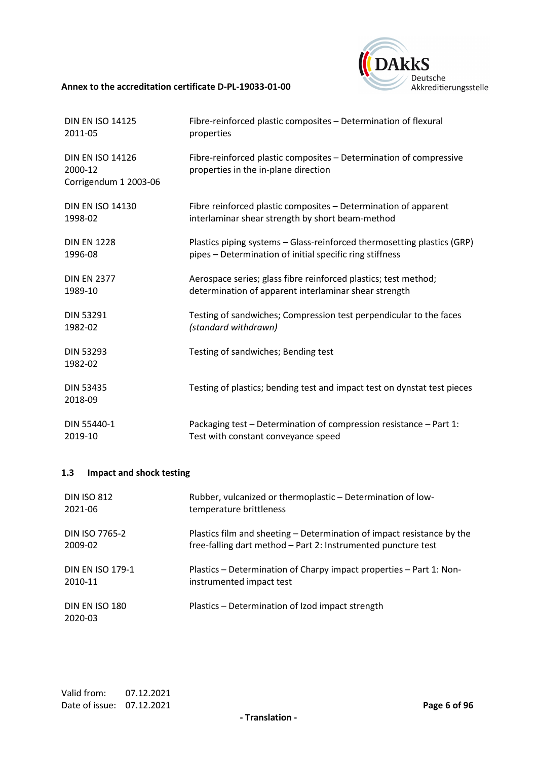

| <b>DIN EN ISO 14125</b>                                     | Fibre-reinforced plastic composites - Determination of flexural                                            |
|-------------------------------------------------------------|------------------------------------------------------------------------------------------------------------|
| 2011-05                                                     | properties                                                                                                 |
| <b>DIN EN ISO 14126</b><br>2000-12<br>Corrigendum 1 2003-06 | Fibre-reinforced plastic composites – Determination of compressive<br>properties in the in-plane direction |
| <b>DIN EN ISO 14130</b>                                     | Fibre reinforced plastic composites - Determination of apparent                                            |
| 1998-02                                                     | interlaminar shear strength by short beam-method                                                           |
| <b>DIN EN 1228</b>                                          | Plastics piping systems – Glass-reinforced thermosetting plastics (GRP)                                    |
| 1996-08                                                     | pipes - Determination of initial specific ring stiffness                                                   |
| <b>DIN EN 2377</b>                                          | Aerospace series; glass fibre reinforced plastics; test method;                                            |
| 1989-10                                                     | determination of apparent interlaminar shear strength                                                      |
| <b>DIN 53291</b>                                            | Testing of sandwiches; Compression test perpendicular to the faces                                         |
| 1982-02                                                     | (standard withdrawn)                                                                                       |
| <b>DIN 53293</b><br>1982-02                                 | Testing of sandwiches; Bending test                                                                        |
| <b>DIN 53435</b><br>2018-09                                 | Testing of plastics; bending test and impact test on dynstat test pieces                                   |
| DIN 55440-1                                                 | Packaging test - Determination of compression resistance - Part 1:                                         |
| 2019-10                                                     | Test with constant conveyance speed                                                                        |

## **1.3 Impact and shock testing**

| <b>DIN ISO 812</b>        | Rubber, vulcanized or thermoplastic - Determination of low-            |
|---------------------------|------------------------------------------------------------------------|
| 2021-06                   | temperature brittleness                                                |
| DIN ISO 7765-2            | Plastics film and sheeting – Determination of impact resistance by the |
| 2009-02                   | free-falling dart method - Part 2: Instrumented puncture test          |
| <b>DIN EN ISO 179-1</b>   | Plastics – Determination of Charpy impact properties – Part 1: Non-    |
| 2010-11                   | instrumented impact test                                               |
| DIN EN ISO 180<br>2020-03 | Plastics – Determination of Izod impact strength                       |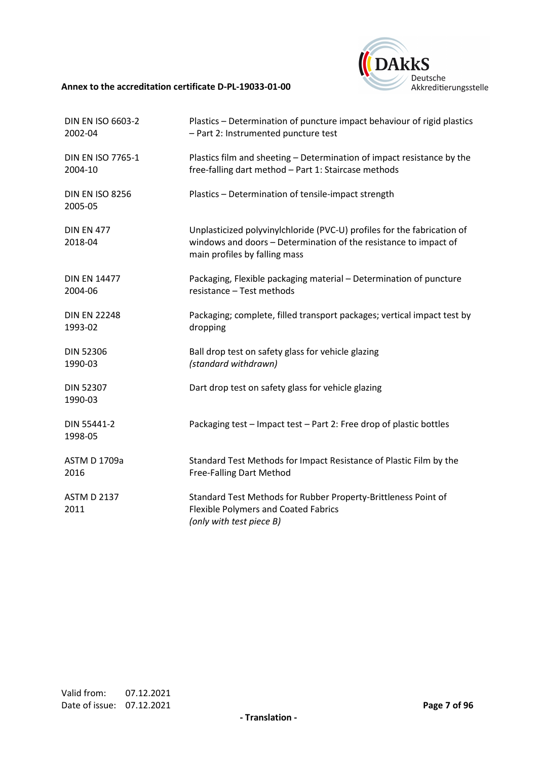

| <b>DIN EN ISO 6603-2</b>          | Plastics - Determination of puncture impact behaviour of rigid plastics                                                                                                      |
|-----------------------------------|------------------------------------------------------------------------------------------------------------------------------------------------------------------------------|
| 2002-04                           | - Part 2: Instrumented puncture test                                                                                                                                         |
| <b>DIN EN ISO 7765-1</b>          | Plastics film and sheeting - Determination of impact resistance by the                                                                                                       |
| 2004-10                           | free-falling dart method - Part 1: Staircase methods                                                                                                                         |
| <b>DIN EN ISO 8256</b><br>2005-05 | Plastics - Determination of tensile-impact strength                                                                                                                          |
| <b>DIN EN 477</b><br>2018-04      | Unplasticized polyvinylchloride (PVC-U) profiles for the fabrication of<br>windows and doors - Determination of the resistance to impact of<br>main profiles by falling mass |
| <b>DIN EN 14477</b>               | Packaging, Flexible packaging material - Determination of puncture                                                                                                           |
| 2004-06                           | resistance - Test methods                                                                                                                                                    |
| <b>DIN EN 22248</b>               | Packaging; complete, filled transport packages; vertical impact test by                                                                                                      |
| 1993-02                           | dropping                                                                                                                                                                     |
| <b>DIN 52306</b>                  | Ball drop test on safety glass for vehicle glazing                                                                                                                           |
| 1990-03                           | (standard withdrawn)                                                                                                                                                         |
| <b>DIN 52307</b><br>1990-03       | Dart drop test on safety glass for vehicle glazing                                                                                                                           |
| DIN 55441-2<br>1998-05            | Packaging test - Impact test - Part 2: Free drop of plastic bottles                                                                                                          |
| <b>ASTM D 1709a</b>               | Standard Test Methods for Impact Resistance of Plastic Film by the                                                                                                           |
| 2016                              | Free-Falling Dart Method                                                                                                                                                     |
| <b>ASTM D 2137</b><br>2011        | Standard Test Methods for Rubber Property-Brittleness Point of<br><b>Flexible Polymers and Coated Fabrics</b><br>(only with test piece B)                                    |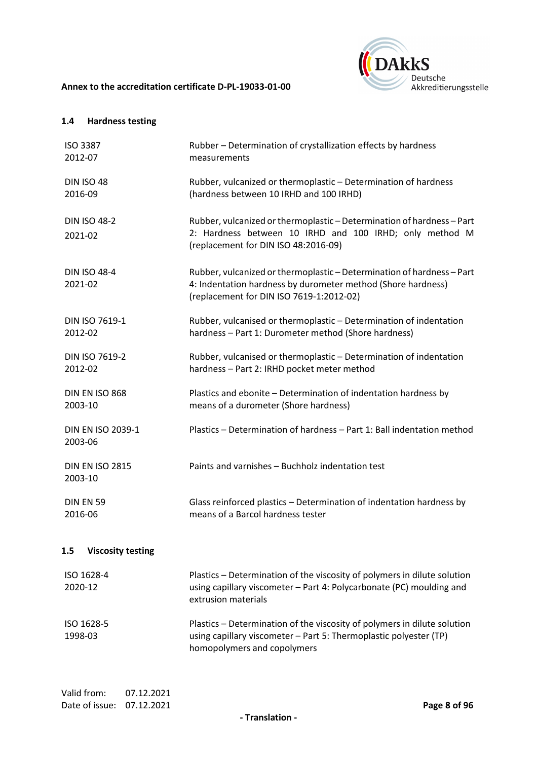

## **1.4 Hardness testing**

| <b>ISO 3387</b><br>2012-07          | Rubber - Determination of crystallization effects by hardness<br>measurements                                                                                                      |
|-------------------------------------|------------------------------------------------------------------------------------------------------------------------------------------------------------------------------------|
| <b>DIN ISO 48</b><br>2016-09        | Rubber, vulcanized or thermoplastic - Determination of hardness<br>(hardness between 10 IRHD and 100 IRHD)                                                                         |
| <b>DIN ISO 48-2</b><br>2021-02      | Rubber, vulcanized or thermoplastic - Determination of hardness - Part<br>2: Hardness between 10 IRHD and 100 IRHD; only method M<br>(replacement for DIN ISO 48:2016-09)          |
| <b>DIN ISO 48-4</b><br>2021-02      | Rubber, vulcanized or thermoplastic - Determination of hardness - Part<br>4: Indentation hardness by durometer method (Shore hardness)<br>(replacement for DIN ISO 7619-1:2012-02) |
| DIN ISO 7619-1<br>2012-02           | Rubber, vulcanised or thermoplastic - Determination of indentation<br>hardness - Part 1: Durometer method (Shore hardness)                                                         |
| DIN ISO 7619-2<br>2012-02           | Rubber, vulcanised or thermoplastic - Determination of indentation<br>hardness - Part 2: IRHD pocket meter method                                                                  |
| DIN EN ISO 868<br>2003-10           | Plastics and ebonite - Determination of indentation hardness by<br>means of a durometer (Shore hardness)                                                                           |
| <b>DIN EN ISO 2039-1</b><br>2003-06 | Plastics - Determination of hardness - Part 1: Ball indentation method                                                                                                             |
| <b>DIN EN ISO 2815</b><br>2003-10   | Paints and varnishes - Buchholz indentation test                                                                                                                                   |
| <b>DIN EN 59</b><br>2016-06         | Glass reinforced plastics - Determination of indentation hardness by<br>means of a Barcol hardness tester                                                                          |
| <b>Viscosity testing</b><br>$1.5\,$ |                                                                                                                                                                                    |
| ISO 1628-4<br>2020-12               | Plastics - Determination of the viscosity of polymers in dilute solution<br>using capillary viscometer - Part 4: Polycarbonate (PC) moulding and<br>extrusion materials            |
| ISO 1628-5<br>1998-03               | Plastics - Determination of the viscosity of polymers in dilute solution<br>using capillary viscometer - Part 5: Thermoplastic polyester (TP)<br>homopolymers and copolymers       |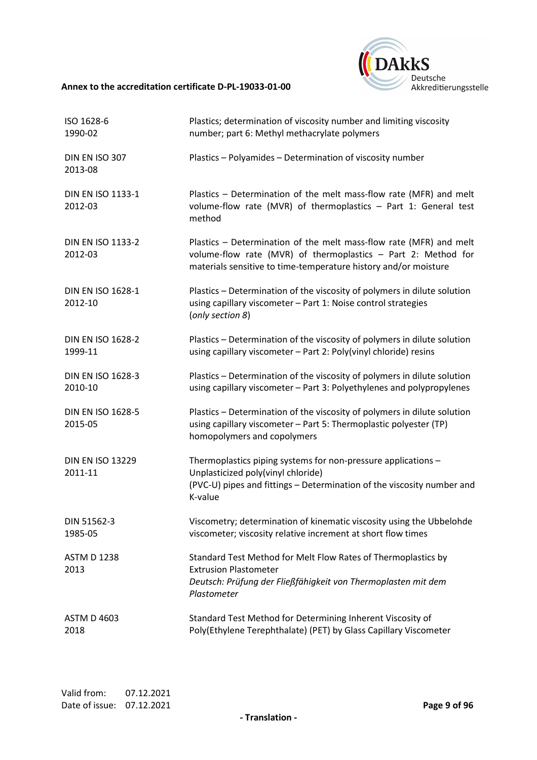

| ISO 1628-6<br>1990-02               | Plastics; determination of viscosity number and limiting viscosity<br>number; part 6: Methyl methacrylate polymers                                                                                     |
|-------------------------------------|--------------------------------------------------------------------------------------------------------------------------------------------------------------------------------------------------------|
| DIN EN ISO 307<br>2013-08           | Plastics - Polyamides - Determination of viscosity number                                                                                                                                              |
| <b>DIN EN ISO 1133-1</b><br>2012-03 | Plastics - Determination of the melt mass-flow rate (MFR) and melt<br>volume-flow rate (MVR) of thermoplastics - Part 1: General test<br>method                                                        |
| <b>DIN EN ISO 1133-2</b><br>2012-03 | Plastics - Determination of the melt mass-flow rate (MFR) and melt<br>volume-flow rate (MVR) of thermoplastics - Part 2: Method for<br>materials sensitive to time-temperature history and/or moisture |
| <b>DIN EN ISO 1628-1</b><br>2012-10 | Plastics - Determination of the viscosity of polymers in dilute solution<br>using capillary viscometer - Part 1: Noise control strategies<br>(only section 8)                                          |
| <b>DIN EN ISO 1628-2</b><br>1999-11 | Plastics - Determination of the viscosity of polymers in dilute solution<br>using capillary viscometer - Part 2: Poly(vinyl chloride) resins                                                           |
| <b>DIN EN ISO 1628-3</b><br>2010-10 | Plastics - Determination of the viscosity of polymers in dilute solution<br>using capillary viscometer - Part 3: Polyethylenes and polypropylenes                                                      |
| <b>DIN EN ISO 1628-5</b><br>2015-05 | Plastics - Determination of the viscosity of polymers in dilute solution<br>using capillary viscometer - Part 5: Thermoplastic polyester (TP)<br>homopolymers and copolymers                           |
| <b>DIN EN ISO 13229</b>             | Thermoplastics piping systems for non-pressure applications -                                                                                                                                          |
| 2011-11                             | Unplasticized poly(vinyl chloride)<br>(PVC-U) pipes and fittings - Determination of the viscosity number and<br>K-value                                                                                |
| DIN 51562-3<br>1985-05              | Viscometry; determination of kinematic viscosity using the Ubbelohde<br>viscometer; viscosity relative increment at short flow times                                                                   |
| <b>ASTM D 1238</b><br>2013          | Standard Test Method for Melt Flow Rates of Thermoplastics by<br><b>Extrusion Plastometer</b>                                                                                                          |
|                                     | Deutsch: Prüfung der Fließfähigkeit von Thermoplasten mit dem<br>Plastometer                                                                                                                           |
| <b>ASTM D 4603</b><br>2018          | Standard Test Method for Determining Inherent Viscosity of<br>Poly(Ethylene Terephthalate) (PET) by Glass Capillary Viscometer                                                                         |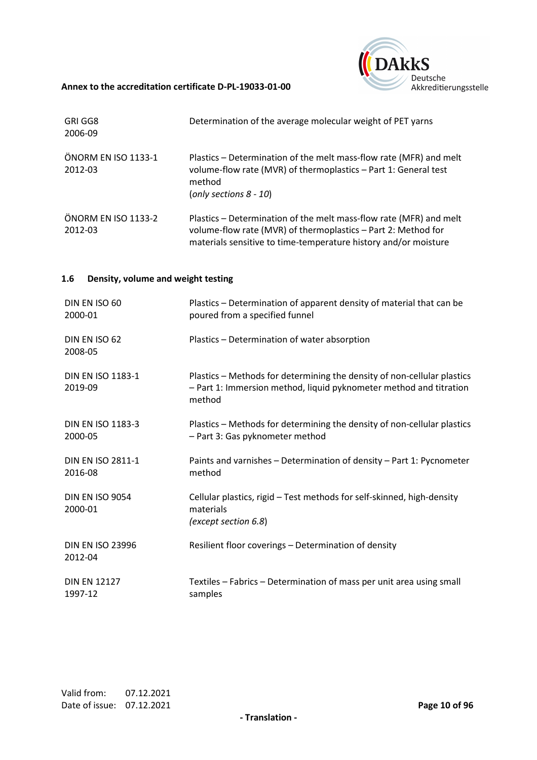

| GRI GG8<br>2006-09             | Determination of the average molecular weight of PET yarns                                                                                                                                             |
|--------------------------------|--------------------------------------------------------------------------------------------------------------------------------------------------------------------------------------------------------|
| ÖNORM EN ISO 1133-1<br>2012-03 | Plastics – Determination of the melt mass-flow rate (MFR) and melt<br>volume-flow rate (MVR) of thermoplastics - Part 1: General test<br>method<br>(only sections $8 - 10$ )                           |
| ÖNORM EN ISO 1133-2<br>2012-03 | Plastics – Determination of the melt mass-flow rate (MFR) and melt<br>volume-flow rate (MVR) of thermoplastics - Part 2: Method for<br>materials sensitive to time-temperature history and/or moisture |

## **1.6 Density, volume and weight testing**

| DIN EN ISO 60                       | Plastics - Determination of apparent density of material that can be                                                                                    |
|-------------------------------------|---------------------------------------------------------------------------------------------------------------------------------------------------------|
| 2000-01                             | poured from a specified funnel                                                                                                                          |
| DIN EN ISO 62<br>2008-05            | Plastics - Determination of water absorption                                                                                                            |
| <b>DIN EN ISO 1183-1</b><br>2019-09 | Plastics - Methods for determining the density of non-cellular plastics<br>- Part 1: Immersion method, liquid pyknometer method and titration<br>method |
| <b>DIN EN ISO 1183-3</b>            | Plastics - Methods for determining the density of non-cellular plastics                                                                                 |
| 2000-05                             | - Part 3: Gas pyknometer method                                                                                                                         |
| <b>DIN EN ISO 2811-1</b>            | Paints and varnishes - Determination of density - Part 1: Pycnometer                                                                                    |
| 2016-08                             | method                                                                                                                                                  |
| <b>DIN EN ISO 9054</b><br>2000-01   | Cellular plastics, rigid - Test methods for self-skinned, high-density<br>materials<br>(except section 6.8)                                             |
| <b>DIN EN ISO 23996</b><br>2012-04  | Resilient floor coverings - Determination of density                                                                                                    |
| <b>DIN EN 12127</b>                 | Textiles - Fabrics - Determination of mass per unit area using small                                                                                    |
| 1997-12                             | samples                                                                                                                                                 |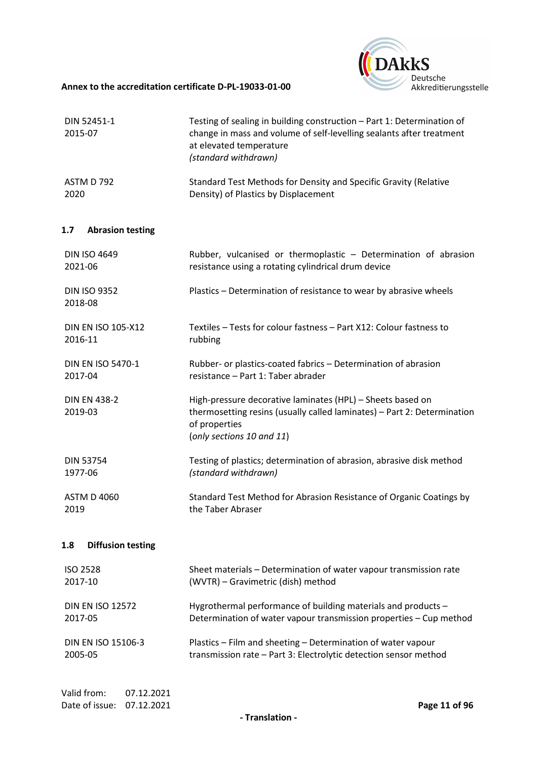

| DIN 52451-1<br>2015-07                                    | Testing of sealing in building construction - Part 1: Determination of<br>change in mass and volume of self-levelling sealants after treatment<br>at elevated temperature<br>(standard withdrawn) |
|-----------------------------------------------------------|---------------------------------------------------------------------------------------------------------------------------------------------------------------------------------------------------|
| ASTM D 792                                                | Standard Test Methods for Density and Specific Gravity (Relative                                                                                                                                  |
| 2020                                                      | Density) of Plastics by Displacement                                                                                                                                                              |
| 1.7<br><b>Abrasion testing</b>                            |                                                                                                                                                                                                   |
| <b>DIN ISO 4649</b>                                       | Rubber, vulcanised or thermoplastic - Determination of abrasion                                                                                                                                   |
| 2021-06                                                   | resistance using a rotating cylindrical drum device                                                                                                                                               |
| <b>DIN ISO 9352</b><br>2018-08                            | Plastics - Determination of resistance to wear by abrasive wheels                                                                                                                                 |
| <b>DIN EN ISO 105-X12</b>                                 | Textiles - Tests for colour fastness - Part X12: Colour fastness to                                                                                                                               |
| 2016-11                                                   | rubbing                                                                                                                                                                                           |
| <b>DIN EN ISO 5470-1</b>                                  | Rubber- or plastics-coated fabrics - Determination of abrasion                                                                                                                                    |
| 2017-04                                                   | resistance - Part 1: Taber abrader                                                                                                                                                                |
| <b>DIN EN 438-2</b><br>2019-03                            | High-pressure decorative laminates (HPL) - Sheets based on<br>thermosetting resins (usually called laminates) - Part 2: Determination<br>of properties<br>(only sections 10 and 11)               |
| <b>DIN 53754</b>                                          | Testing of plastics; determination of abrasion, abrasive disk method                                                                                                                              |
| 1977-06                                                   | (standard withdrawn)                                                                                                                                                                              |
| <b>ASTM D 4060</b>                                        | Standard Test Method for Abrasion Resistance of Organic Coatings by                                                                                                                               |
| 2019                                                      | the Taber Abraser                                                                                                                                                                                 |
| <b>Diffusion testing</b><br>1.8                           |                                                                                                                                                                                                   |
| <b>ISO 2528</b>                                           | Sheet materials - Determination of water vapour transmission rate                                                                                                                                 |
| 2017-10                                                   | (WVTR) - Gravimetric (dish) method                                                                                                                                                                |
| <b>DIN EN ISO 12572</b>                                   | Hygrothermal performance of building materials and products -                                                                                                                                     |
| 2017-05                                                   | Determination of water vapour transmission properties - Cup method                                                                                                                                |
| DIN EN ISO 15106-3                                        | Plastics - Film and sheeting - Determination of water vapour                                                                                                                                      |
| 2005-05                                                   | transmission rate - Part 3: Electrolytic detection sensor method                                                                                                                                  |
| Valid from:<br>07.12.2021<br>Date of issue:<br>07.12.2021 | Page 11 of 96                                                                                                                                                                                     |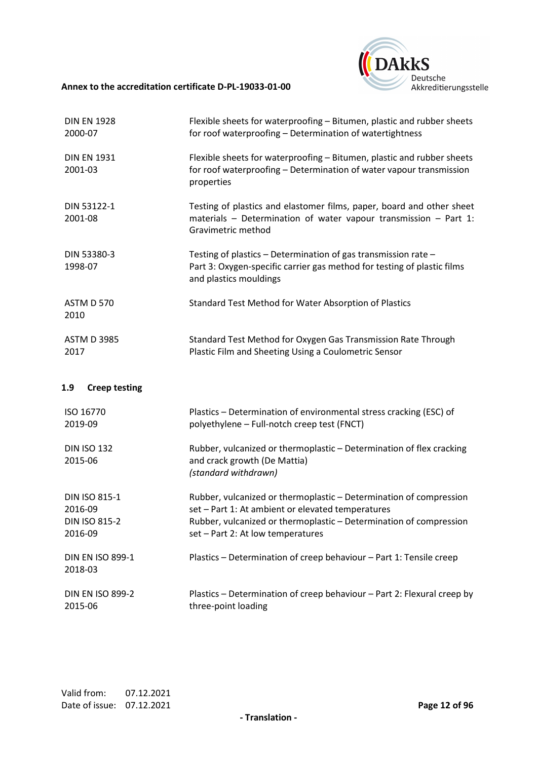

| <b>DIN EN 1928</b><br>2000-07                                      | Flexible sheets for waterproofing - Bitumen, plastic and rubber sheets<br>for roof waterproofing - Determination of watertightness                                                                                                 |
|--------------------------------------------------------------------|------------------------------------------------------------------------------------------------------------------------------------------------------------------------------------------------------------------------------------|
| <b>DIN EN 1931</b><br>2001-03                                      | Flexible sheets for waterproofing - Bitumen, plastic and rubber sheets<br>for roof waterproofing - Determination of water vapour transmission<br>properties                                                                        |
| DIN 53122-1<br>2001-08                                             | Testing of plastics and elastomer films, paper, board and other sheet<br>materials - Determination of water vapour transmission - Part 1:<br>Gravimetric method                                                                    |
| DIN 53380-3<br>1998-07                                             | Testing of plastics - Determination of gas transmission rate -<br>Part 3: Oxygen-specific carrier gas method for testing of plastic films<br>and plastics mouldings                                                                |
| <b>ASTM D 570</b><br>2010                                          | Standard Test Method for Water Absorption of Plastics                                                                                                                                                                              |
| <b>ASTM D 3985</b><br>2017                                         | Standard Test Method for Oxygen Gas Transmission Rate Through<br>Plastic Film and Sheeting Using a Coulometric Sensor                                                                                                              |
|                                                                    |                                                                                                                                                                                                                                    |
| <b>Creep testing</b><br>1.9                                        |                                                                                                                                                                                                                                    |
| ISO 16770<br>2019-09                                               | Plastics - Determination of environmental stress cracking (ESC) of<br>polyethylene - Full-notch creep test (FNCT)                                                                                                                  |
| <b>DIN ISO 132</b><br>2015-06                                      | Rubber, vulcanized or thermoplastic - Determination of flex cracking<br>and crack growth (De Mattia)<br>(standard withdrawn)                                                                                                       |
| <b>DIN ISO 815-1</b><br>2016-09<br><b>DIN ISO 815-2</b><br>2016-09 | Rubber, vulcanized or thermoplastic - Determination of compression<br>set - Part 1: At ambient or elevated temperatures<br>Rubber, vulcanized or thermoplastic – Determination of compression<br>set - Part 2: At low temperatures |
| <b>DIN EN ISO 899-1</b><br>2018-03                                 | Plastics - Determination of creep behaviour - Part 1: Tensile creep                                                                                                                                                                |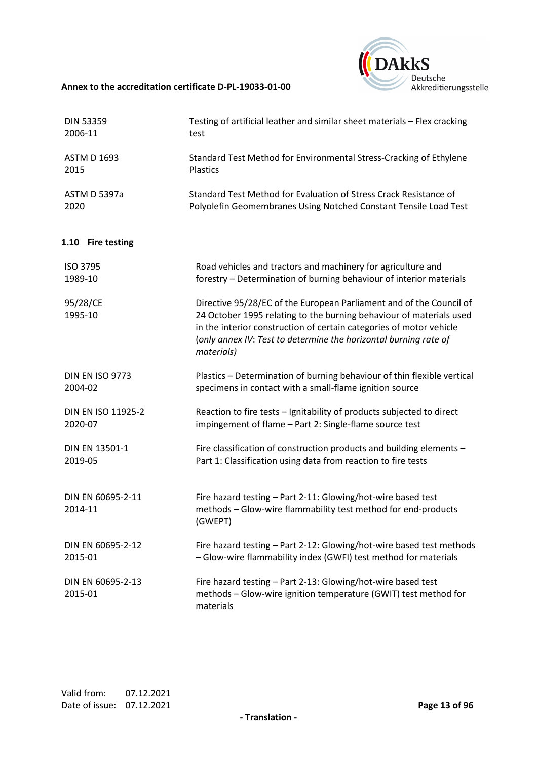

| <b>DIN 53359</b>             | Testing of artificial leather and similar sheet materials - Flex cracking                                                                                                                                                                                                                           |
|------------------------------|-----------------------------------------------------------------------------------------------------------------------------------------------------------------------------------------------------------------------------------------------------------------------------------------------------|
| 2006-11                      | test                                                                                                                                                                                                                                                                                                |
| <b>ASTM D 1693</b>           | Standard Test Method for Environmental Stress-Cracking of Ethylene                                                                                                                                                                                                                                  |
| 2015                         | Plastics                                                                                                                                                                                                                                                                                            |
| ASTM D 5397a                 | Standard Test Method for Evaluation of Stress Crack Resistance of                                                                                                                                                                                                                                   |
| 2020                         | Polyolefin Geomembranes Using Notched Constant Tensile Load Test                                                                                                                                                                                                                                    |
| 1.10 Fire testing            |                                                                                                                                                                                                                                                                                                     |
| ISO 3795                     | Road vehicles and tractors and machinery for agriculture and                                                                                                                                                                                                                                        |
| 1989-10                      | forestry - Determination of burning behaviour of interior materials                                                                                                                                                                                                                                 |
| 95/28/CE<br>1995-10          | Directive 95/28/EC of the European Parliament and of the Council of<br>24 October 1995 relating to the burning behaviour of materials used<br>in the interior construction of certain categories of motor vehicle<br>(only annex IV: Test to determine the horizontal burning rate of<br>materials) |
| <b>DIN EN ISO 9773</b>       | Plastics - Determination of burning behaviour of thin flexible vertical                                                                                                                                                                                                                             |
| 2004-02                      | specimens in contact with a small-flame ignition source                                                                                                                                                                                                                                             |
| DIN EN ISO 11925-2           | Reaction to fire tests - Ignitability of products subjected to direct                                                                                                                                                                                                                               |
| 2020-07                      | impingement of flame - Part 2: Single-flame source test                                                                                                                                                                                                                                             |
| DIN EN 13501-1               | Fire classification of construction products and building elements -                                                                                                                                                                                                                                |
| 2019-05                      | Part 1: Classification using data from reaction to fire tests                                                                                                                                                                                                                                       |
| DIN EN 60695-2-11<br>2014-11 | Fire hazard testing - Part 2-11: Glowing/hot-wire based test<br>methods - Glow-wire flammability test method for end-products<br>(GWEPT)                                                                                                                                                            |
| DIN EN 60695-2-12            | Fire hazard testing - Part 2-12: Glowing/hot-wire based test methods                                                                                                                                                                                                                                |
| 2015-01                      | - Glow-wire flammability index (GWFI) test method for materials                                                                                                                                                                                                                                     |
| DIN EN 60695-2-13<br>2015-01 | Fire hazard testing - Part 2-13: Glowing/hot-wire based test<br>methods - Glow-wire ignition temperature (GWIT) test method for<br>materials                                                                                                                                                        |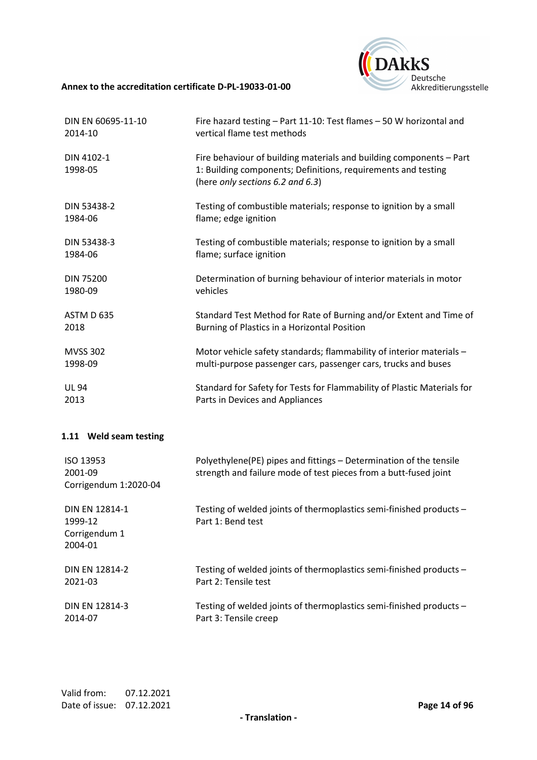

| DIN EN 60695-11-10    | Fire hazard testing - Part 11-10: Test flames - 50 W horizontal and                                                                                                      |
|-----------------------|--------------------------------------------------------------------------------------------------------------------------------------------------------------------------|
| 2014-10               | vertical flame test methods                                                                                                                                              |
| DIN 4102-1<br>1998-05 | Fire behaviour of building materials and building components - Part<br>1: Building components; Definitions, requirements and testing<br>(here only sections 6.2 and 6.3) |
| DIN 53438-2           | Testing of combustible materials; response to ignition by a small                                                                                                        |
| 1984-06               | flame; edge ignition                                                                                                                                                     |
| DIN 53438-3           | Testing of combustible materials; response to ignition by a small                                                                                                        |
| 1984-06               | flame; surface ignition                                                                                                                                                  |
| <b>DIN 75200</b>      | Determination of burning behaviour of interior materials in motor                                                                                                        |
| 1980-09               | vehicles                                                                                                                                                                 |
| ASTM D 635            | Standard Test Method for Rate of Burning and/or Extent and Time of                                                                                                       |
| 2018                  | Burning of Plastics in a Horizontal Position                                                                                                                             |
| <b>MVSS 302</b>       | Motor vehicle safety standards; flammability of interior materials -                                                                                                     |
| 1998-09               | multi-purpose passenger cars, passenger cars, trucks and buses                                                                                                           |
| <b>UL 94</b>          | Standard for Safety for Tests for Flammability of Plastic Materials for                                                                                                  |
| 2013                  | Parts in Devices and Appliances                                                                                                                                          |

## **1.11 Weld seam testing**

| ISO 13953<br>2001-09<br>Corrigendum 1:2020-04                | Polyethylene(PE) pipes and fittings – Determination of the tensile<br>strength and failure mode of test pieces from a butt-fused joint |
|--------------------------------------------------------------|----------------------------------------------------------------------------------------------------------------------------------------|
| <b>DIN EN 12814-1</b><br>1999-12<br>Corrigendum 1<br>2004-01 | Testing of welded joints of thermoplastics semi-finished products -<br>Part 1: Bend test                                               |
| <b>DIN EN 12814-2</b>                                        | Testing of welded joints of thermoplastics semi-finished products -                                                                    |
| 2021-03                                                      | Part 2: Tensile test                                                                                                                   |
| <b>DIN EN 12814-3</b>                                        | Testing of welded joints of thermoplastics semi-finished products -                                                                    |
| 2014-07                                                      | Part 3: Tensile creep                                                                                                                  |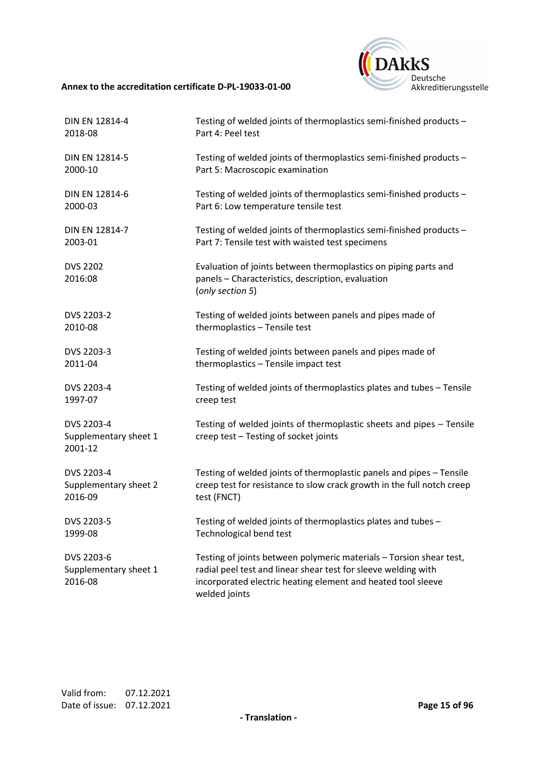

| DIN EN 12814-4                                 | Testing of welded joints of thermoplastics semi-finished products -                                                                                                                                                    |
|------------------------------------------------|------------------------------------------------------------------------------------------------------------------------------------------------------------------------------------------------------------------------|
| 2018-08                                        | Part 4: Peel test                                                                                                                                                                                                      |
| DIN EN 12814-5                                 | Testing of welded joints of thermoplastics semi-finished products -                                                                                                                                                    |
| 2000-10                                        | Part 5: Macroscopic examination                                                                                                                                                                                        |
| DIN EN 12814-6                                 | Testing of welded joints of thermoplastics semi-finished products -                                                                                                                                                    |
| 2000-03                                        | Part 6: Low temperature tensile test                                                                                                                                                                                   |
| DIN EN 12814-7                                 | Testing of welded joints of thermoplastics semi-finished products -                                                                                                                                                    |
| 2003-01                                        | Part 7: Tensile test with waisted test specimens                                                                                                                                                                       |
| <b>DVS 2202</b><br>2016:08                     | Evaluation of joints between thermoplastics on piping parts and<br>panels - Characteristics, description, evaluation<br>(only section 5)                                                                               |
| DVS 2203-2                                     | Testing of welded joints between panels and pipes made of                                                                                                                                                              |
| 2010-08                                        | thermoplastics - Tensile test                                                                                                                                                                                          |
| DVS 2203-3                                     | Testing of welded joints between panels and pipes made of                                                                                                                                                              |
| 2011-04                                        | thermoplastics - Tensile impact test                                                                                                                                                                                   |
| DVS 2203-4                                     | Testing of welded joints of thermoplastics plates and tubes - Tensile                                                                                                                                                  |
| 1997-07                                        | creep test                                                                                                                                                                                                             |
| DVS 2203-4<br>Supplementary sheet 1<br>2001-12 | Testing of welded joints of thermoplastic sheets and pipes - Tensile<br>creep test - Testing of socket joints                                                                                                          |
| DVS 2203-4                                     | Testing of welded joints of thermoplastic panels and pipes - Tensile                                                                                                                                                   |
| Supplementary sheet 2                          | creep test for resistance to slow crack growth in the full notch creep                                                                                                                                                 |
| 2016-09                                        | test (FNCT)                                                                                                                                                                                                            |
| DVS 2203-5                                     | Testing of welded joints of thermoplastics plates and tubes -                                                                                                                                                          |
| 1999-08                                        | Technological bend test                                                                                                                                                                                                |
| DVS 2203-6<br>Supplementary sheet 1<br>2016-08 | Testing of joints between polymeric materials - Torsion shear test,<br>radial peel test and linear shear test for sleeve welding with<br>incorporated electric heating element and heated tool sleeve<br>welded joints |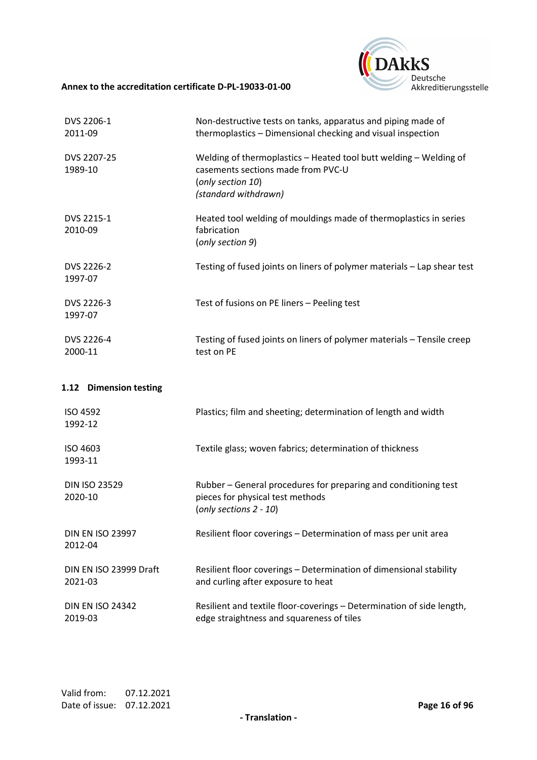

| DVS 2206-1<br>2011-09              | Non-destructive tests on tanks, apparatus and piping made of<br>thermoplastics - Dimensional checking and visual inspection                          |
|------------------------------------|------------------------------------------------------------------------------------------------------------------------------------------------------|
| DVS 2207-25<br>1989-10             | Welding of thermoplastics - Heated tool butt welding - Welding of<br>casements sections made from PVC-U<br>(only section 10)<br>(standard withdrawn) |
| DVS 2215-1<br>2010-09              | Heated tool welding of mouldings made of thermoplastics in series<br>fabrication<br>(only section 9)                                                 |
| DVS 2226-2<br>1997-07              | Testing of fused joints on liners of polymer materials - Lap shear test                                                                              |
| DVS 2226-3<br>1997-07              | Test of fusions on PE liners - Peeling test                                                                                                          |
| DVS 2226-4<br>2000-11              | Testing of fused joints on liners of polymer materials - Tensile creep<br>test on PE                                                                 |
| 1.12 Dimension testing             |                                                                                                                                                      |
| ISO 4592<br>1992-12                | Plastics; film and sheeting; determination of length and width                                                                                       |
| ISO 4603<br>1993-11                | Textile glass; woven fabrics; determination of thickness                                                                                             |
| <b>DIN ISO 23529</b><br>2020-10    | Rubber - General procedures for preparing and conditioning test<br>pieces for physical test methods<br>(only sections 2 - 10)                        |
| <b>DIN EN ISO 23997</b><br>2012-04 | Resilient floor coverings - Determination of mass per unit area                                                                                      |
| DIN EN ISO 23999 Draft<br>2021-03  | Resilient floor coverings - Determination of dimensional stability<br>and curling after exposure to heat                                             |
| <b>DIN EN ISO 24342</b><br>2019-03 | Resilient and textile floor-coverings - Determination of side length,<br>edge straightness and squareness of tiles                                   |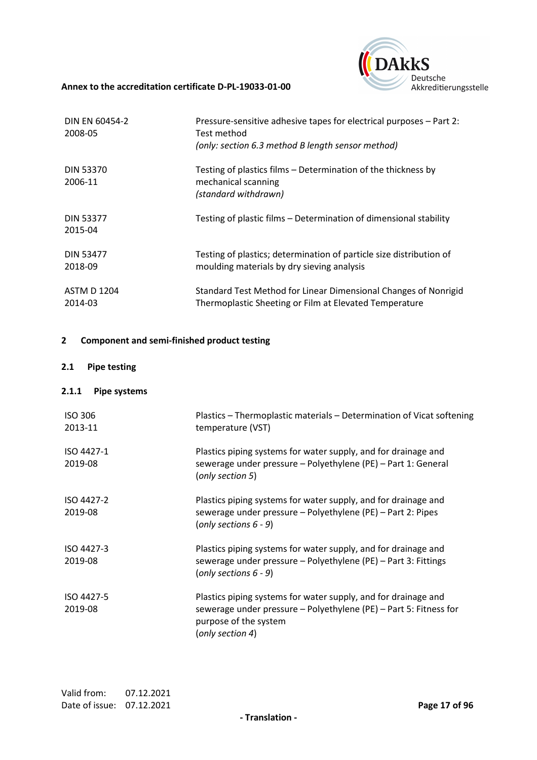

| DIN EN 60454-2<br>2008-05     | Pressure-sensitive adhesive tapes for electrical purposes - Part 2:<br>Test method<br>(only: section 6.3 method B length sensor method) |
|-------------------------------|-----------------------------------------------------------------------------------------------------------------------------------------|
| <b>DIN 53370</b><br>2006-11   | Testing of plastics films – Determination of the thickness by<br>mechanical scanning<br>(standard withdrawn)                            |
| <b>DIN 53377</b><br>2015-04   | Testing of plastic films – Determination of dimensional stability                                                                       |
| <b>DIN 53477</b><br>2018-09   | Testing of plastics; determination of particle size distribution of<br>moulding materials by dry sieving analysis                       |
| <b>ASTM D 1204</b><br>2014-03 | Standard Test Method for Linear Dimensional Changes of Nonrigid<br>Thermoplastic Sheeting or Film at Elevated Temperature               |

## **2 Component and semi-finished product testing**

## **2.1 Pipe testing**

## **2.1.1 Pipe systems**

| <b>ISO 306</b><br>2013-11 | Plastics - Thermoplastic materials - Determination of Vicat softening<br>temperature (VST)                                                                                       |
|---------------------------|----------------------------------------------------------------------------------------------------------------------------------------------------------------------------------|
| ISO 4427-1<br>2019-08     | Plastics piping systems for water supply, and for drainage and<br>sewerage under pressure - Polyethylene (PE) - Part 1: General<br>(only section 5)                              |
| ISO 4427-2<br>2019-08     | Plastics piping systems for water supply, and for drainage and<br>sewerage under pressure - Polyethylene (PE) - Part 2: Pipes<br>(only sections $6 - 9$ )                        |
| ISO 4427-3<br>2019-08     | Plastics piping systems for water supply, and for drainage and<br>sewerage under pressure - Polyethylene (PE) - Part 3: Fittings<br>(only sections $6 - 9$ )                     |
| ISO 4427-5<br>2019-08     | Plastics piping systems for water supply, and for drainage and<br>sewerage under pressure - Polyethylene (PE) - Part 5: Fitness for<br>purpose of the system<br>(only section 4) |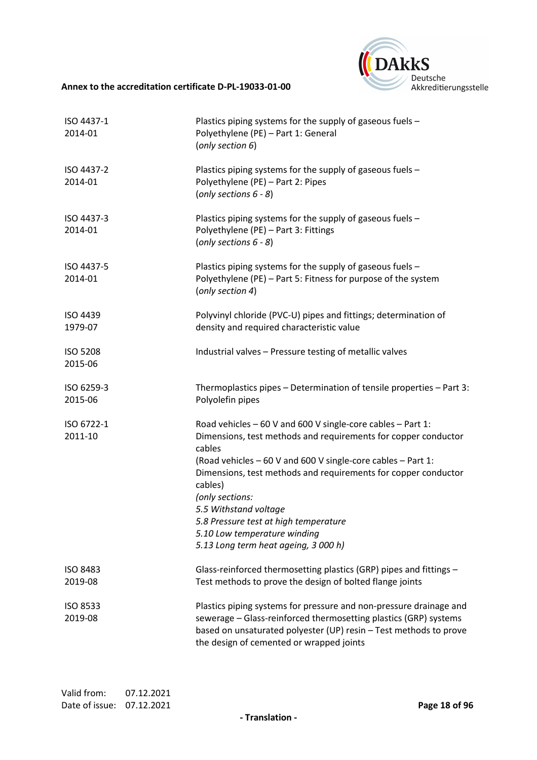

| ISO 4437-1<br>2014-01      | Plastics piping systems for the supply of gaseous fuels -<br>Polyethylene (PE) - Part 1: General<br>(only section 6)                                                                                                                                                                                                                                                                                                                              |
|----------------------------|---------------------------------------------------------------------------------------------------------------------------------------------------------------------------------------------------------------------------------------------------------------------------------------------------------------------------------------------------------------------------------------------------------------------------------------------------|
| ISO 4437-2<br>2014-01      | Plastics piping systems for the supply of gaseous fuels -<br>Polyethylene (PE) - Part 2: Pipes<br>(only sections $6 - 8$ )                                                                                                                                                                                                                                                                                                                        |
| ISO 4437-3<br>2014-01      | Plastics piping systems for the supply of gaseous fuels -<br>Polyethylene (PE) - Part 3: Fittings<br>(only sections $6 - 8$ )                                                                                                                                                                                                                                                                                                                     |
| ISO 4437-5<br>2014-01      | Plastics piping systems for the supply of gaseous fuels -<br>Polyethylene (PE) - Part 5: Fitness for purpose of the system<br>(only section 4)                                                                                                                                                                                                                                                                                                    |
| ISO 4439<br>1979-07        | Polyvinyl chloride (PVC-U) pipes and fittings; determination of<br>density and required characteristic value                                                                                                                                                                                                                                                                                                                                      |
| <b>ISO 5208</b><br>2015-06 | Industrial valves - Pressure testing of metallic valves                                                                                                                                                                                                                                                                                                                                                                                           |
| ISO 6259-3<br>2015-06      | Thermoplastics pipes - Determination of tensile properties - Part 3:<br>Polyolefin pipes                                                                                                                                                                                                                                                                                                                                                          |
| ISO 6722-1<br>2011-10      | Road vehicles - 60 V and 600 V single-core cables - Part 1:<br>Dimensions, test methods and requirements for copper conductor<br>cables<br>(Road vehicles - 60 V and 600 V single-core cables - Part 1:<br>Dimensions, test methods and requirements for copper conductor<br>cables)<br>(only sections:<br>5.5 Withstand voltage<br>5.8 Pressure test at high temperature<br>5.10 Low temperature winding<br>5.13 Long term heat ageing, 3 000 h) |
| <b>ISO 8483</b><br>2019-08 | Glass-reinforced thermosetting plastics (GRP) pipes and fittings -<br>Test methods to prove the design of bolted flange joints                                                                                                                                                                                                                                                                                                                    |
| ISO 8533<br>2019-08        | Plastics piping systems for pressure and non-pressure drainage and<br>sewerage - Glass-reinforced thermosetting plastics (GRP) systems<br>based on unsaturated polyester (UP) resin - Test methods to prove<br>the design of cemented or wrapped joints                                                                                                                                                                                           |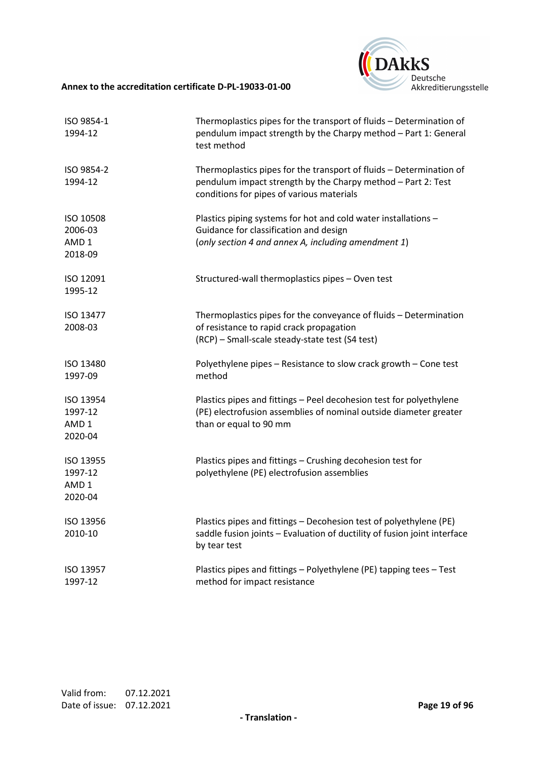

| ISO 9854-1<br>1994-12                               | Thermoplastics pipes for the transport of fluids - Determination of<br>pendulum impact strength by the Charpy method - Part 1: General<br>test method                            |
|-----------------------------------------------------|----------------------------------------------------------------------------------------------------------------------------------------------------------------------------------|
| ISO 9854-2<br>1994-12                               | Thermoplastics pipes for the transport of fluids - Determination of<br>pendulum impact strength by the Charpy method - Part 2: Test<br>conditions for pipes of various materials |
| ISO 10508<br>2006-03<br>AMD <sub>1</sub><br>2018-09 | Plastics piping systems for hot and cold water installations -<br>Guidance for classification and design<br>(only section 4 and annex A, including amendment 1)                  |
| ISO 12091<br>1995-12                                | Structured-wall thermoplastics pipes - Oven test                                                                                                                                 |
| ISO 13477<br>2008-03                                | Thermoplastics pipes for the conveyance of fluids - Determination<br>of resistance to rapid crack propagation<br>(RCP) - Small-scale steady-state test (S4 test)                 |
| ISO 13480<br>1997-09                                | Polyethylene pipes - Resistance to slow crack growth - Cone test<br>method                                                                                                       |
| ISO 13954<br>1997-12<br>AMD <sub>1</sub><br>2020-04 | Plastics pipes and fittings - Peel decohesion test for polyethylene<br>(PE) electrofusion assemblies of nominal outside diameter greater<br>than or equal to 90 mm               |
| ISO 13955<br>1997-12<br>AMD <sub>1</sub><br>2020-04 | Plastics pipes and fittings - Crushing decohesion test for<br>polyethylene (PE) electrofusion assemblies                                                                         |
| ISO 13956<br>2010-10                                | Plastics pipes and fittings - Decohesion test of polyethylene (PE)<br>saddle fusion joints - Evaluation of ductility of fusion joint interface<br>by tear test                   |
| ISO 13957<br>1997-12                                | Plastics pipes and fittings - Polyethylene (PE) tapping tees - Test<br>method for impact resistance                                                                              |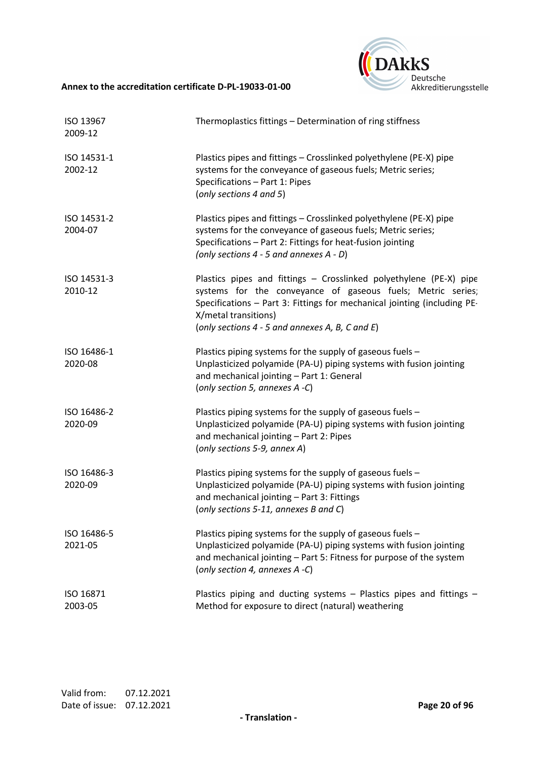

| ISO 13967<br>2009-12   | Thermoplastics fittings - Determination of ring stiffness                                                                                                                                                                                                                                  |
|------------------------|--------------------------------------------------------------------------------------------------------------------------------------------------------------------------------------------------------------------------------------------------------------------------------------------|
| ISO 14531-1<br>2002-12 | Plastics pipes and fittings - Crosslinked polyethylene (PE-X) pipe<br>systems for the conveyance of gaseous fuels; Metric series;<br>Specifications - Part 1: Pipes<br>(only sections 4 and 5)                                                                                             |
| ISO 14531-2<br>2004-07 | Plastics pipes and fittings - Crosslinked polyethylene (PE-X) pipe<br>systems for the conveyance of gaseous fuels; Metric series;<br>Specifications - Part 2: Fittings for heat-fusion jointing<br>(only sections $4 - 5$ and annexes $A - D$ )                                            |
| ISO 14531-3<br>2010-12 | Plastics pipes and fittings - Crosslinked polyethylene (PE-X) pipe<br>systems for the conveyance of gaseous fuels; Metric series;<br>Specifications - Part 3: Fittings for mechanical jointing (including PE-<br>X/metal transitions)<br>(only sections $4 - 5$ and annexes A, B, C and E) |
| ISO 16486-1<br>2020-08 | Plastics piping systems for the supply of gaseous fuels -<br>Unplasticized polyamide (PA-U) piping systems with fusion jointing<br>and mechanical jointing - Part 1: General<br>(only section 5, annexes A -C)                                                                             |
| ISO 16486-2<br>2020-09 | Plastics piping systems for the supply of gaseous fuels -<br>Unplasticized polyamide (PA-U) piping systems with fusion jointing<br>and mechanical jointing - Part 2: Pipes<br>(only sections 5-9, annex A)                                                                                 |
| ISO 16486-3<br>2020-09 | Plastics piping systems for the supply of gaseous fuels -<br>Unplasticized polyamide (PA-U) piping systems with fusion jointing<br>and mechanical jointing - Part 3: Fittings<br>(only sections 5-11, annexes B and C)                                                                     |
| ISO 16486-5<br>2021-05 | Plastics piping systems for the supply of gaseous fuels -<br>Unplasticized polyamide (PA-U) piping systems with fusion jointing<br>and mechanical jointing - Part 5: Fitness for purpose of the system<br>(only section 4, annexes A -C)                                                   |
| ISO 16871<br>2003-05   | Plastics piping and ducting systems - Plastics pipes and fittings -<br>Method for exposure to direct (natural) weathering                                                                                                                                                                  |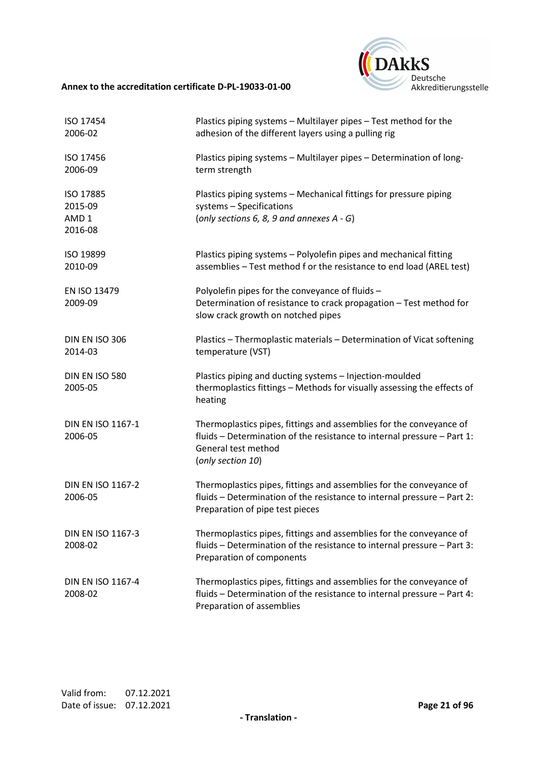

| ISO 17454<br>2006-02                                | Plastics piping systems - Multilayer pipes - Test method for the<br>adhesion of the different layers using a pulling rig                                                                   |
|-----------------------------------------------------|--------------------------------------------------------------------------------------------------------------------------------------------------------------------------------------------|
| ISO 17456<br>2006-09                                | Plastics piping systems - Multilayer pipes - Determination of long-<br>term strength                                                                                                       |
| ISO 17885<br>2015-09<br>AMD <sub>1</sub><br>2016-08 | Plastics piping systems - Mechanical fittings for pressure piping<br>systems - Specifications<br>(only sections 6, 8, 9 and annexes $A - G$ )                                              |
| ISO 19899<br>2010-09                                | Plastics piping systems - Polyolefin pipes and mechanical fitting<br>assemblies - Test method f or the resistance to end load (AREL test)                                                  |
| EN ISO 13479<br>2009-09                             | Polyolefin pipes for the conveyance of fluids -<br>Determination of resistance to crack propagation - Test method for<br>slow crack growth on notched pipes                                |
| DIN EN ISO 306<br>2014-03                           | Plastics - Thermoplastic materials - Determination of Vicat softening<br>temperature (VST)                                                                                                 |
| DIN EN ISO 580<br>2005-05                           | Plastics piping and ducting systems - Injection-moulded<br>thermoplastics fittings - Methods for visually assessing the effects of<br>heating                                              |
| DIN EN ISO 1167-1<br>2006-05                        | Thermoplastics pipes, fittings and assemblies for the conveyance of<br>fluids - Determination of the resistance to internal pressure - Part 1:<br>General test method<br>(only section 10) |
| <b>DIN EN ISO 1167-2</b><br>2006-05                 | Thermoplastics pipes, fittings and assemblies for the conveyance of<br>fluids - Determination of the resistance to internal pressure - Part 2:<br>Preparation of pipe test pieces          |
| <b>DIN EN ISO 1167-3</b><br>2008-02                 | Thermoplastics pipes, fittings and assemblies for the conveyance of<br>fluids - Determination of the resistance to internal pressure - Part 3:<br>Preparation of components                |
| <b>DIN EN ISO 1167-4</b><br>2008-02                 | Thermoplastics pipes, fittings and assemblies for the conveyance of<br>fluids - Determination of the resistance to internal pressure - Part 4:<br>Preparation of assemblies                |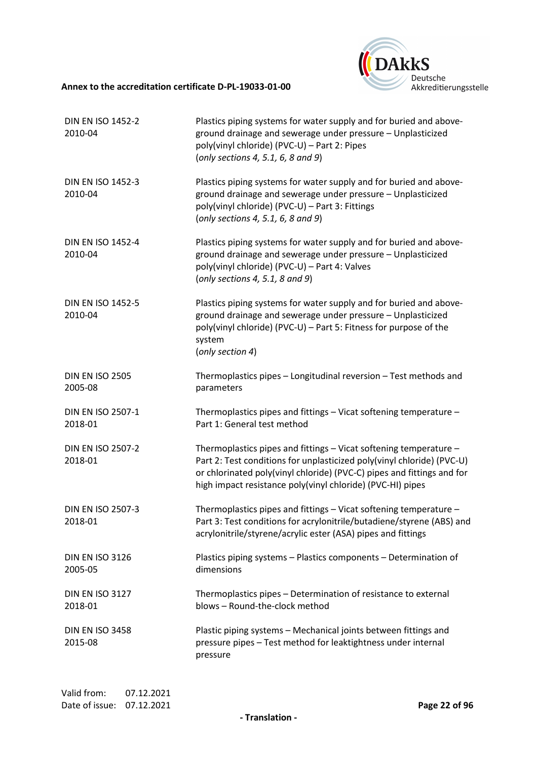

| <b>DIN EN ISO 1452-2</b><br>2010-04 | Plastics piping systems for water supply and for buried and above-<br>ground drainage and sewerage under pressure - Unplasticized<br>poly(vinyl chloride) (PVC-U) - Part 2: Pipes<br>(only sections 4, 5.1, 6, 8 and 9)                                                             |
|-------------------------------------|-------------------------------------------------------------------------------------------------------------------------------------------------------------------------------------------------------------------------------------------------------------------------------------|
| <b>DIN EN ISO 1452-3</b><br>2010-04 | Plastics piping systems for water supply and for buried and above-<br>ground drainage and sewerage under pressure - Unplasticized<br>poly(vinyl chloride) (PVC-U) - Part 3: Fittings<br>(only sections 4, 5.1, 6, 8 and 9)                                                          |
| <b>DIN EN ISO 1452-4</b><br>2010-04 | Plastics piping systems for water supply and for buried and above-<br>ground drainage and sewerage under pressure - Unplasticized<br>poly(vinyl chloride) (PVC-U) - Part 4: Valves<br>(only sections 4, 5.1, 8 and 9)                                                               |
| <b>DIN EN ISO 1452-5</b><br>2010-04 | Plastics piping systems for water supply and for buried and above-<br>ground drainage and sewerage under pressure - Unplasticized<br>poly(vinyl chloride) (PVC-U) - Part 5: Fitness for purpose of the<br>system<br>(only section 4)                                                |
| <b>DIN EN ISO 2505</b><br>2005-08   | Thermoplastics pipes - Longitudinal reversion - Test methods and<br>parameters                                                                                                                                                                                                      |
| <b>DIN EN ISO 2507-1</b><br>2018-01 | Thermoplastics pipes and fittings - Vicat softening temperature -<br>Part 1: General test method                                                                                                                                                                                    |
| <b>DIN EN ISO 2507-2</b><br>2018-01 | Thermoplastics pipes and fittings - Vicat softening temperature -<br>Part 2: Test conditions for unplasticized poly(vinyl chloride) (PVC-U)<br>or chlorinated poly(vinyl chloride) (PVC-C) pipes and fittings and for<br>high impact resistance poly(vinyl chloride) (PVC-HI) pipes |
| <b>DIN EN ISO 2507-3</b><br>2018-01 | Thermoplastics pipes and fittings - Vicat softening temperature -<br>Part 3: Test conditions for acrylonitrile/butadiene/styrene (ABS) and<br>acrylonitrile/styrene/acrylic ester (ASA) pipes and fittings                                                                          |
| <b>DIN EN ISO 3126</b><br>2005-05   | Plastics piping systems - Plastics components - Determination of<br>dimensions                                                                                                                                                                                                      |
| <b>DIN EN ISO 3127</b><br>2018-01   | Thermoplastics pipes - Determination of resistance to external<br>blows - Round-the-clock method                                                                                                                                                                                    |
| <b>DIN EN ISO 3458</b><br>2015-08   | Plastic piping systems - Mechanical joints between fittings and<br>pressure pipes - Test method for leaktightness under internal<br>pressure                                                                                                                                        |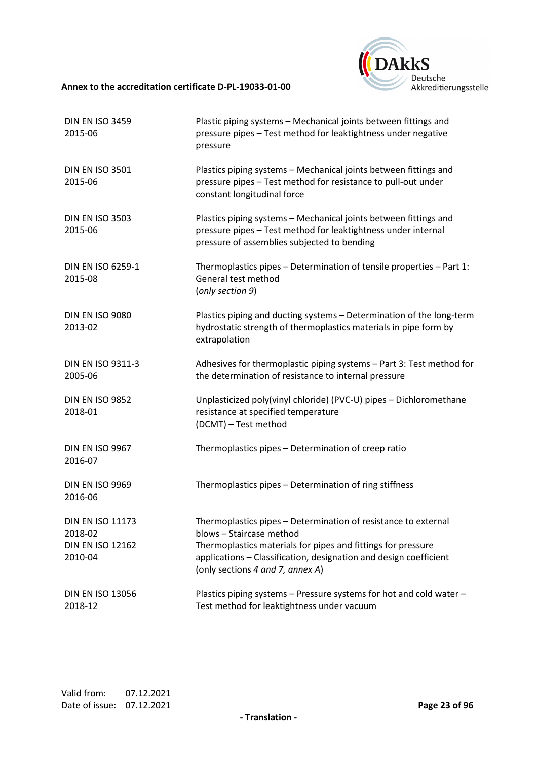

| <b>DIN EN ISO 3459</b><br>2015-06                                        | Plastic piping systems - Mechanical joints between fittings and<br>pressure pipes - Test method for leaktightness under negative<br>pressure                                                                                                                        |
|--------------------------------------------------------------------------|---------------------------------------------------------------------------------------------------------------------------------------------------------------------------------------------------------------------------------------------------------------------|
| <b>DIN EN ISO 3501</b><br>2015-06                                        | Plastics piping systems - Mechanical joints between fittings and<br>pressure pipes - Test method for resistance to pull-out under<br>constant longitudinal force                                                                                                    |
| <b>DIN EN ISO 3503</b><br>2015-06                                        | Plastics piping systems - Mechanical joints between fittings and<br>pressure pipes - Test method for leaktightness under internal<br>pressure of assemblies subjected to bending                                                                                    |
| <b>DIN EN ISO 6259-1</b><br>2015-08                                      | Thermoplastics pipes - Determination of tensile properties - Part 1:<br>General test method<br>(only section 9)                                                                                                                                                     |
| <b>DIN EN ISO 9080</b><br>2013-02                                        | Plastics piping and ducting systems - Determination of the long-term<br>hydrostatic strength of thermoplastics materials in pipe form by<br>extrapolation                                                                                                           |
| <b>DIN EN ISO 9311-3</b><br>2005-06                                      | Adhesives for thermoplastic piping systems - Part 3: Test method for<br>the determination of resistance to internal pressure                                                                                                                                        |
| <b>DIN EN ISO 9852</b><br>2018-01                                        | Unplasticized poly(vinyl chloride) (PVC-U) pipes - Dichloromethane<br>resistance at specified temperature<br>(DCMT) - Test method                                                                                                                                   |
| <b>DIN EN ISO 9967</b><br>2016-07                                        | Thermoplastics pipes - Determination of creep ratio                                                                                                                                                                                                                 |
| DIN EN ISO 9969<br>2016-06                                               | Thermoplastics pipes - Determination of ring stiffness                                                                                                                                                                                                              |
| <b>DIN EN ISO 11173</b><br>2018-02<br><b>DIN EN ISO 12162</b><br>2010-04 | Thermoplastics pipes - Determination of resistance to external<br>blows - Staircase method<br>Thermoplastics materials for pipes and fittings for pressure<br>applications - Classification, designation and design coefficient<br>(only sections 4 and 7, annex A) |
| <b>DIN EN ISO 13056</b><br>2018-12                                       | Plastics piping systems - Pressure systems for hot and cold water -<br>Test method for leaktightness under vacuum                                                                                                                                                   |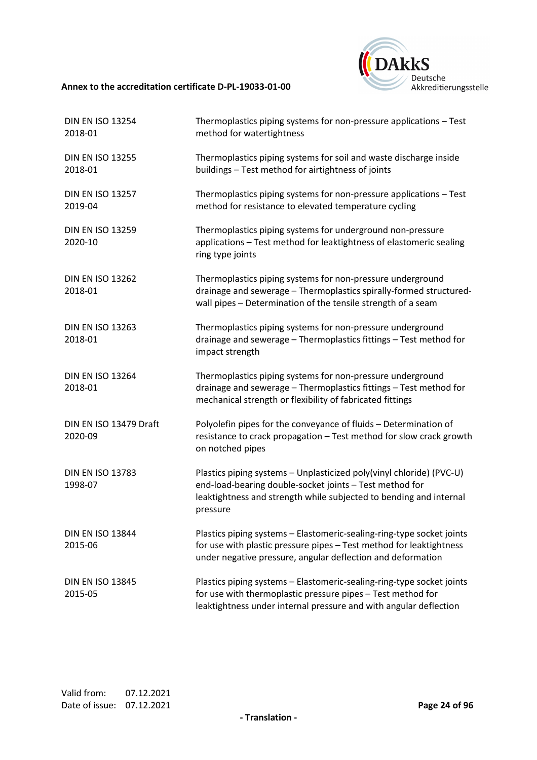

| <b>DIN EN ISO 13254</b><br>2018-01 | Thermoplastics piping systems for non-pressure applications - Test<br>method for watertightness                                                                                                                   |
|------------------------------------|-------------------------------------------------------------------------------------------------------------------------------------------------------------------------------------------------------------------|
| <b>DIN EN ISO 13255</b><br>2018-01 | Thermoplastics piping systems for soil and waste discharge inside<br>buildings - Test method for airtightness of joints                                                                                           |
| <b>DIN EN ISO 13257</b><br>2019-04 | Thermoplastics piping systems for non-pressure applications - Test<br>method for resistance to elevated temperature cycling                                                                                       |
| <b>DIN EN ISO 13259</b><br>2020-10 | Thermoplastics piping systems for underground non-pressure<br>applications - Test method for leaktightness of elastomeric sealing<br>ring type joints                                                             |
| <b>DIN EN ISO 13262</b><br>2018-01 | Thermoplastics piping systems for non-pressure underground<br>drainage and sewerage - Thermoplastics spirally-formed structured-<br>wall pipes - Determination of the tensile strength of a seam                  |
| <b>DIN EN ISO 13263</b><br>2018-01 | Thermoplastics piping systems for non-pressure underground<br>drainage and sewerage - Thermoplastics fittings - Test method for<br>impact strength                                                                |
| <b>DIN EN ISO 13264</b><br>2018-01 | Thermoplastics piping systems for non-pressure underground<br>drainage and sewerage - Thermoplastics fittings - Test method for<br>mechanical strength or flexibility of fabricated fittings                      |
| DIN EN ISO 13479 Draft<br>2020-09  | Polyolefin pipes for the conveyance of fluids - Determination of<br>resistance to crack propagation - Test method for slow crack growth<br>on notched pipes                                                       |
| <b>DIN EN ISO 13783</b><br>1998-07 | Plastics piping systems - Unplasticized poly(vinyl chloride) (PVC-U)<br>end-load-bearing double-socket joints - Test method for<br>leaktightness and strength while subjected to bending and internal<br>pressure |
| <b>DIN EN ISO 13844</b><br>2015-06 | Plastics piping systems - Elastomeric-sealing-ring-type socket joints<br>for use with plastic pressure pipes - Test method for leaktightness<br>under negative pressure, angular deflection and deformation       |
| <b>DIN EN ISO 13845</b><br>2015-05 | Plastics piping systems - Elastomeric-sealing-ring-type socket joints<br>for use with thermoplastic pressure pipes - Test method for<br>leaktightness under internal pressure and with angular deflection         |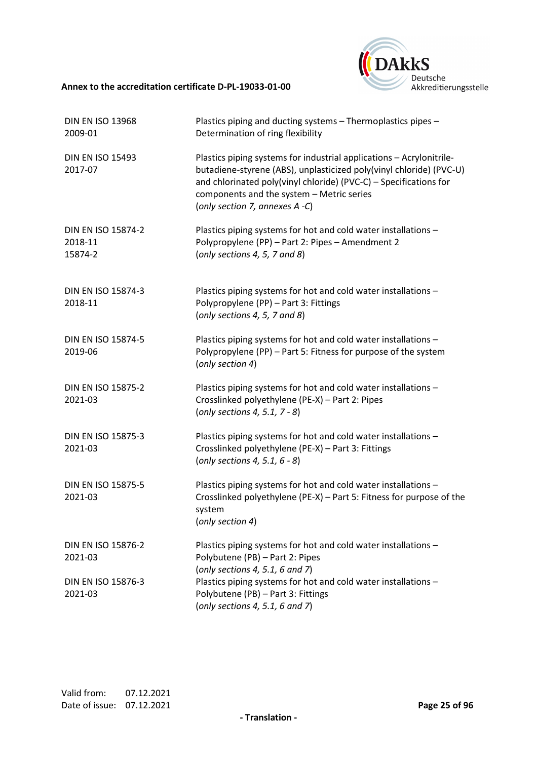

| <b>DIN EN ISO 13968</b><br>2009-01       | Plastics piping and ducting systems - Thermoplastics pipes -<br>Determination of ring flexibility                                                                                                                                                                                               |
|------------------------------------------|-------------------------------------------------------------------------------------------------------------------------------------------------------------------------------------------------------------------------------------------------------------------------------------------------|
| <b>DIN EN ISO 15493</b><br>2017-07       | Plastics piping systems for industrial applications - Acrylonitrile-<br>butadiene-styrene (ABS), unplasticized poly(vinyl chloride) (PVC-U)<br>and chlorinated poly(vinyl chloride) (PVC-C) - Specifications for<br>components and the system - Metric series<br>(only section 7, annexes A -C) |
| DIN EN ISO 15874-2<br>2018-11<br>15874-2 | Plastics piping systems for hot and cold water installations -<br>Polypropylene (PP) - Part 2: Pipes - Amendment 2<br>(only sections $4, 5, 7$ and $8$ )                                                                                                                                        |
| <b>DIN EN ISO 15874-3</b><br>2018-11     | Plastics piping systems for hot and cold water installations -<br>Polypropylene (PP) - Part 3: Fittings<br>(only sections 4, 5, 7 and 8)                                                                                                                                                        |
| DIN EN ISO 15874-5<br>2019-06            | Plastics piping systems for hot and cold water installations -<br>Polypropylene (PP) - Part 5: Fitness for purpose of the system<br>(only section 4)                                                                                                                                            |
| <b>DIN EN ISO 15875-2</b><br>2021-03     | Plastics piping systems for hot and cold water installations -<br>Crosslinked polyethylene (PE-X) - Part 2: Pipes<br>(only sections 4, 5.1, 7 - 8)                                                                                                                                              |
| <b>DIN EN ISO 15875-3</b><br>2021-03     | Plastics piping systems for hot and cold water installations -<br>Crosslinked polyethylene (PE-X) - Part 3: Fittings<br>(only sections 4, 5.1, $6 - 8$ )                                                                                                                                        |
| <b>DIN EN ISO 15875-5</b><br>2021-03     | Plastics piping systems for hot and cold water installations -<br>Crosslinked polyethylene (PE-X) - Part 5: Fitness for purpose of the<br>system<br>(only section 4)                                                                                                                            |
| DIN EN ISO 15876-2<br>2021-03            | Plastics piping systems for hot and cold water installations -<br>Polybutene (PB) - Part 2: Pipes<br>(only sections 4, 5.1, 6 and 7)                                                                                                                                                            |
| DIN EN ISO 15876-3<br>2021-03            | Plastics piping systems for hot and cold water installations -<br>Polybutene (PB) - Part 3: Fittings<br>(only sections 4, 5.1, 6 and 7)                                                                                                                                                         |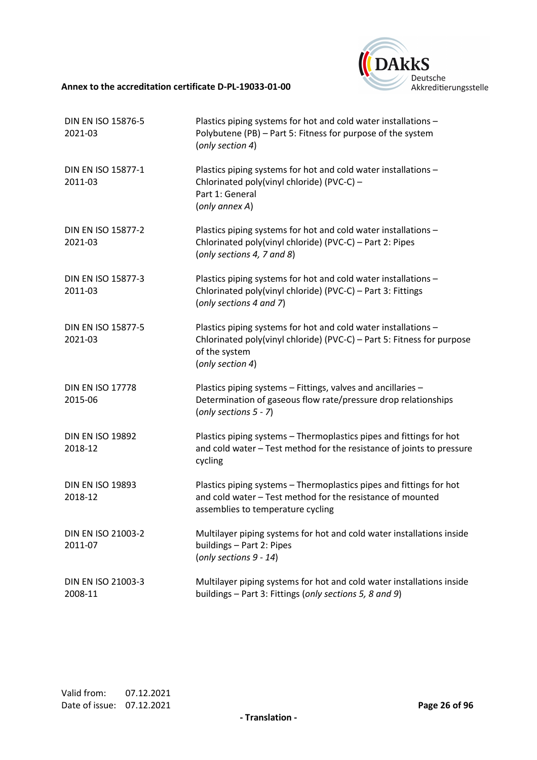

| DIN EN ISO 15876-5<br>2021-03        | Plastics piping systems for hot and cold water installations -<br>Polybutene (PB) - Part 5: Fitness for purpose of the system<br>(only section 4)                             |
|--------------------------------------|-------------------------------------------------------------------------------------------------------------------------------------------------------------------------------|
| DIN EN ISO 15877-1<br>2011-03        | Plastics piping systems for hot and cold water installations -<br>Chlorinated poly(vinyl chloride) (PVC-C) -<br>Part 1: General<br>(only annex A)                             |
| <b>DIN EN ISO 15877-2</b><br>2021-03 | Plastics piping systems for hot and cold water installations -<br>Chlorinated poly(vinyl chloride) (PVC-C) - Part 2: Pipes<br>(only sections 4, 7 and 8)                      |
| <b>DIN EN ISO 15877-3</b><br>2011-03 | Plastics piping systems for hot and cold water installations -<br>Chlorinated poly(vinyl chloride) (PVC-C) - Part 3: Fittings<br>(only sections 4 and 7)                      |
| <b>DIN EN ISO 15877-5</b><br>2021-03 | Plastics piping systems for hot and cold water installations -<br>Chlorinated poly(vinyl chloride) (PVC-C) - Part 5: Fitness for purpose<br>of the system<br>(only section 4) |
| <b>DIN EN ISO 17778</b><br>2015-06   | Plastics piping systems - Fittings, valves and ancillaries -<br>Determination of gaseous flow rate/pressure drop relationships<br>(only sections $5 - 7$ )                    |
| <b>DIN EN ISO 19892</b><br>2018-12   | Plastics piping systems - Thermoplastics pipes and fittings for hot<br>and cold water - Test method for the resistance of joints to pressure<br>cycling                       |
| <b>DIN EN ISO 19893</b><br>2018-12   | Plastics piping systems - Thermoplastics pipes and fittings for hot<br>and cold water - Test method for the resistance of mounted<br>assemblies to temperature cycling        |
| DIN EN ISO 21003-2<br>2011-07        | Multilayer piping systems for hot and cold water installations inside<br>buildings - Part 2: Pipes<br>(only sections 9 - 14)                                                  |
| DIN EN ISO 21003-3<br>2008-11        | Multilayer piping systems for hot and cold water installations inside<br>buildings - Part 3: Fittings (only sections 5, 8 and 9)                                              |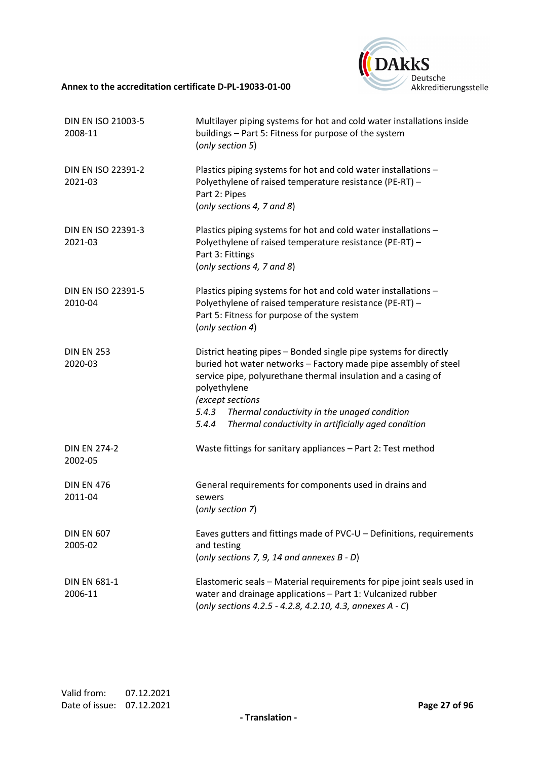

| DIN EN ISO 21003-5<br>2008-11        | Multilayer piping systems for hot and cold water installations inside<br>buildings - Part 5: Fitness for purpose of the system<br>(only section 5)                                                                                                                                                                                                                |
|--------------------------------------|-------------------------------------------------------------------------------------------------------------------------------------------------------------------------------------------------------------------------------------------------------------------------------------------------------------------------------------------------------------------|
| <b>DIN EN ISO 22391-2</b><br>2021-03 | Plastics piping systems for hot and cold water installations -<br>Polyethylene of raised temperature resistance (PE-RT) -<br>Part 2: Pipes<br>(only sections 4, 7 and 8)                                                                                                                                                                                          |
| DIN EN ISO 22391-3<br>2021-03        | Plastics piping systems for hot and cold water installations -<br>Polyethylene of raised temperature resistance (PE-RT) -<br>Part 3: Fittings<br>(only sections 4, 7 and 8)                                                                                                                                                                                       |
| <b>DIN EN ISO 22391-5</b><br>2010-04 | Plastics piping systems for hot and cold water installations -<br>Polyethylene of raised temperature resistance (PE-RT) -<br>Part 5: Fitness for purpose of the system<br>(only section 4)                                                                                                                                                                        |
| <b>DIN EN 253</b><br>2020-03         | District heating pipes - Bonded single pipe systems for directly<br>buried hot water networks - Factory made pipe assembly of steel<br>service pipe, polyurethane thermal insulation and a casing of<br>polyethylene<br>(except sections<br>Thermal conductivity in the unaged condition<br>5.4.3<br>Thermal conductivity in artificially aged condition<br>5.4.4 |
| <b>DIN EN 274-2</b><br>2002-05       | Waste fittings for sanitary appliances - Part 2: Test method                                                                                                                                                                                                                                                                                                      |
| <b>DIN EN 476</b><br>2011-04         | General requirements for components used in drains and<br>sewers<br>(only section 7)                                                                                                                                                                                                                                                                              |
| <b>DIN EN 607</b><br>2005-02         | Eaves gutters and fittings made of PVC-U - Definitions, requirements<br>and testing<br>(only sections 7, 9, 14 and annexes $B - D$ )                                                                                                                                                                                                                              |
| <b>DIN EN 681-1</b><br>2006-11       | Elastomeric seals - Material requirements for pipe joint seals used in<br>water and drainage applications - Part 1: Vulcanized rubber<br>(only sections 4.2.5 - 4.2.8, 4.2.10, 4.3, annexes A - C)                                                                                                                                                                |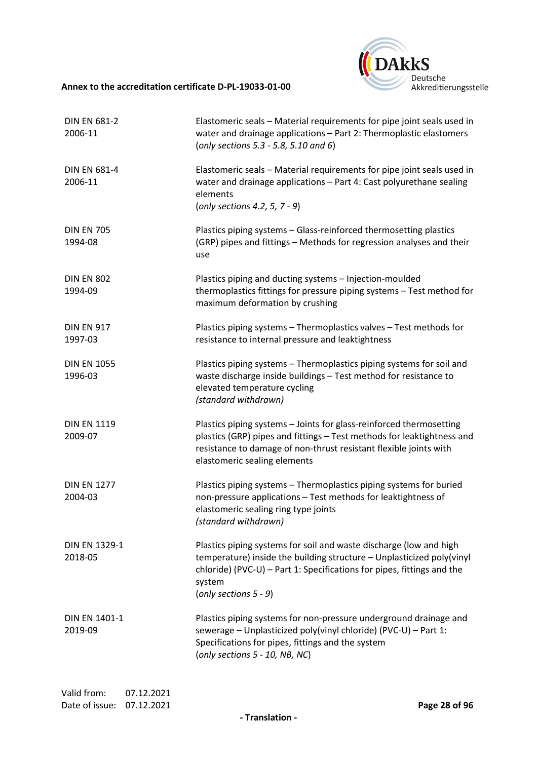

| <b>DIN EN 681-2</b><br>2006-11  | Elastomeric seals - Material requirements for pipe joint seals used in<br>water and drainage applications - Part 2: Thermoplastic elastomers<br>(only sections 5.3 - 5.8, 5.10 and 6)                                                                       |
|---------------------------------|-------------------------------------------------------------------------------------------------------------------------------------------------------------------------------------------------------------------------------------------------------------|
| <b>DIN EN 681-4</b><br>2006-11  | Elastomeric seals - Material requirements for pipe joint seals used in<br>water and drainage applications - Part 4: Cast polyurethane sealing<br>elements<br>(only sections 4.2, 5, $7 - 9$ )                                                               |
| <b>DIN EN 705</b><br>1994-08    | Plastics piping systems - Glass-reinforced thermosetting plastics<br>(GRP) pipes and fittings - Methods for regression analyses and their<br>use                                                                                                            |
| <b>DIN EN 802</b><br>1994-09    | Plastics piping and ducting systems - Injection-moulded<br>thermoplastics fittings for pressure piping systems - Test method for<br>maximum deformation by crushing                                                                                         |
| <b>DIN EN 917</b><br>1997-03    | Plastics piping systems - Thermoplastics valves - Test methods for<br>resistance to internal pressure and leaktightness                                                                                                                                     |
| <b>DIN EN 1055</b><br>1996-03   | Plastics piping systems - Thermoplastics piping systems for soil and<br>waste discharge inside buildings - Test method for resistance to<br>elevated temperature cycling<br>(standard withdrawn)                                                            |
| <b>DIN EN 1119</b><br>2009-07   | Plastics piping systems - Joints for glass-reinforced thermosetting<br>plastics (GRP) pipes and fittings - Test methods for leaktightness and<br>resistance to damage of non-thrust resistant flexible joints with<br>elastomeric sealing elements          |
| <b>DIN EN 1277</b><br>2004-03   | Plastics piping systems - Thermoplastics piping systems for buried<br>non-pressure applications - Test methods for leaktightness of<br>elastomeric sealing ring type joints<br>(standard withdrawn)                                                         |
| <b>DIN EN 1329-1</b><br>2018-05 | Plastics piping systems for soil and waste discharge (low and high<br>temperature) inside the building structure - Unplasticized poly(vinyl<br>chloride) (PVC-U) - Part 1: Specifications for pipes, fittings and the<br>system<br>(only sections $5 - 9$ ) |
| <b>DIN EN 1401-1</b><br>2019-09 | Plastics piping systems for non-pressure underground drainage and<br>sewerage - Unplasticized poly(vinyl chloride) (PVC-U) - Part 1:<br>Specifications for pipes, fittings and the system<br>(only sections 5 - 10, NB, NC)                                 |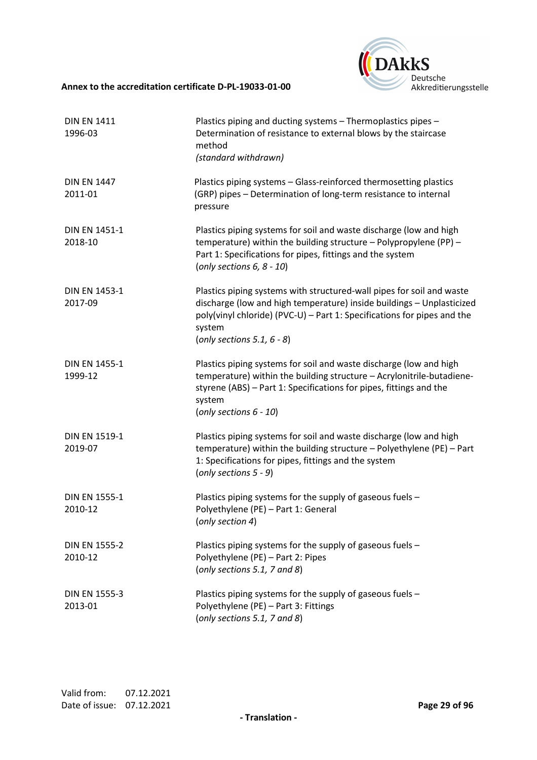

| <b>DIN EN 1411</b><br>1996-03   | Plastics piping and ducting systems - Thermoplastics pipes -<br>Determination of resistance to external blows by the staircase<br>method<br>(standard withdrawn)                                                                                                     |
|---------------------------------|----------------------------------------------------------------------------------------------------------------------------------------------------------------------------------------------------------------------------------------------------------------------|
| <b>DIN EN 1447</b><br>2011-01   | Plastics piping systems - Glass-reinforced thermosetting plastics<br>(GRP) pipes - Determination of long-term resistance to internal<br>pressure                                                                                                                     |
| <b>DIN EN 1451-1</b><br>2018-10 | Plastics piping systems for soil and waste discharge (low and high<br>temperature) within the building structure $-$ Polypropylene (PP) $-$<br>Part 1: Specifications for pipes, fittings and the system<br>(only sections $6, 8 - 10$ )                             |
| <b>DIN EN 1453-1</b><br>2017-09 | Plastics piping systems with structured-wall pipes for soil and waste<br>discharge (low and high temperature) inside buildings - Unplasticized<br>poly(vinyl chloride) (PVC-U) - Part 1: Specifications for pipes and the<br>system<br>(only sections 5.1, $6 - 8$ ) |
| <b>DIN EN 1455-1</b><br>1999-12 | Plastics piping systems for soil and waste discharge (low and high<br>temperature) within the building structure - Acrylonitrile-butadiene-<br>styrene (ABS) - Part 1: Specifications for pipes, fittings and the<br>system<br>(only sections $6 - 10$ )             |
| DIN EN 1519-1<br>2019-07        | Plastics piping systems for soil and waste discharge (low and high<br>temperature) within the building structure $-$ Polyethylene (PE) $-$ Part<br>1: Specifications for pipes, fittings and the system<br>(only sections $5 - 9$ )                                  |
| <b>DIN EN 1555-1</b><br>2010-12 | Plastics piping systems for the supply of gaseous fuels -<br>Polyethylene (PE) - Part 1: General<br>(only section 4)                                                                                                                                                 |
| <b>DIN EN 1555-2</b><br>2010-12 | Plastics piping systems for the supply of gaseous fuels -<br>Polyethylene (PE) - Part 2: Pipes<br>(only sections 5.1, 7 and 8)                                                                                                                                       |
| <b>DIN EN 1555-3</b><br>2013-01 | Plastics piping systems for the supply of gaseous fuels -<br>Polyethylene (PE) - Part 3: Fittings<br>(only sections 5.1, 7 and 8)                                                                                                                                    |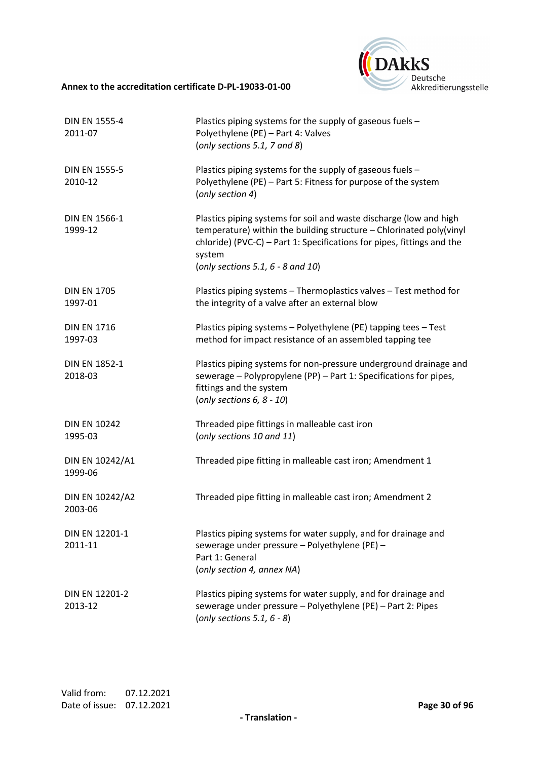

| <b>DIN EN 1555-4</b><br>2011-07  | Plastics piping systems for the supply of gaseous fuels -<br>Polyethylene (PE) - Part 4: Valves<br>(only sections 5.1, 7 and 8)                                                                                                                                      |
|----------------------------------|----------------------------------------------------------------------------------------------------------------------------------------------------------------------------------------------------------------------------------------------------------------------|
| <b>DIN EN 1555-5</b><br>2010-12  | Plastics piping systems for the supply of gaseous fuels -<br>Polyethylene (PE) - Part 5: Fitness for purpose of the system<br>(only section 4)                                                                                                                       |
| <b>DIN EN 1566-1</b><br>1999-12  | Plastics piping systems for soil and waste discharge (low and high<br>temperature) within the building structure - Chlorinated poly(vinyl<br>chloride) (PVC-C) - Part 1: Specifications for pipes, fittings and the<br>system<br>(only sections 5.1, $6 - 8$ and 10) |
| <b>DIN EN 1705</b><br>1997-01    | Plastics piping systems - Thermoplastics valves - Test method for<br>the integrity of a valve after an external blow                                                                                                                                                 |
| <b>DIN EN 1716</b><br>1997-03    | Plastics piping systems - Polyethylene (PE) tapping tees - Test<br>method for impact resistance of an assembled tapping tee                                                                                                                                          |
| <b>DIN EN 1852-1</b><br>2018-03  | Plastics piping systems for non-pressure underground drainage and<br>sewerage - Polypropylene (PP) - Part 1: Specifications for pipes,<br>fittings and the system<br>(only sections $6, 8 - 10$ )                                                                    |
| <b>DIN EN 10242</b><br>1995-03   | Threaded pipe fittings in malleable cast iron<br>(only sections 10 and 11)                                                                                                                                                                                           |
| DIN EN 10242/A1<br>1999-06       | Threaded pipe fitting in malleable cast iron; Amendment 1                                                                                                                                                                                                            |
| DIN EN 10242/A2<br>2003-06       | Threaded pipe fitting in malleable cast iron; Amendment 2                                                                                                                                                                                                            |
| DIN EN 12201-1<br>2011-11        | Plastics piping systems for water supply, and for drainage and<br>sewerage under pressure - Polyethylene (PE) -<br>Part 1: General<br>(only section 4, annex NA)                                                                                                     |
| <b>DIN EN 12201-2</b><br>2013-12 | Plastics piping systems for water supply, and for drainage and<br>sewerage under pressure - Polyethylene (PE) - Part 2: Pipes<br>(only sections 5.1, $6 - 8$ )                                                                                                       |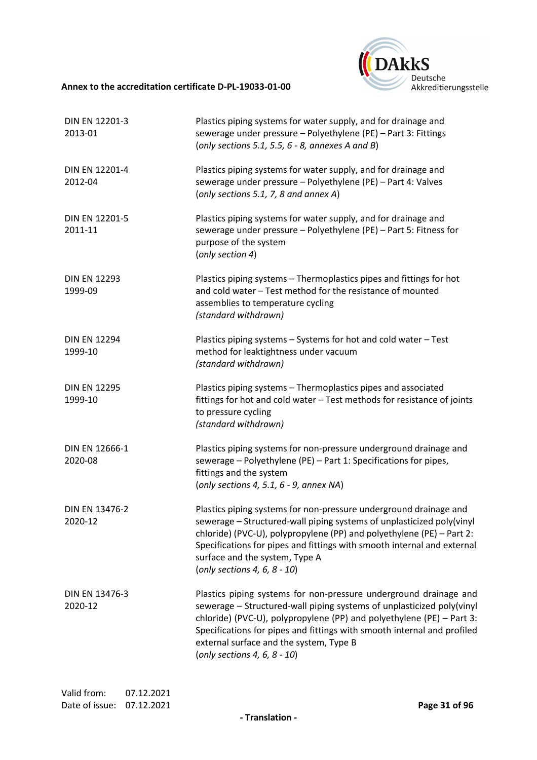

| DIN EN 12201-3<br>2013-01      | Plastics piping systems for water supply, and for drainage and<br>sewerage under pressure - Polyethylene (PE) - Part 3: Fittings<br>(only sections 5.1, 5.5, $6 - 8$ , annexes A and B)                                                                                                                                                                                      |
|--------------------------------|------------------------------------------------------------------------------------------------------------------------------------------------------------------------------------------------------------------------------------------------------------------------------------------------------------------------------------------------------------------------------|
| DIN EN 12201-4<br>2012-04      | Plastics piping systems for water supply, and for drainage and<br>sewerage under pressure - Polyethylene (PE) - Part 4: Valves<br>(only sections 5.1, 7, 8 and annex A)                                                                                                                                                                                                      |
| DIN EN 12201-5<br>2011-11      | Plastics piping systems for water supply, and for drainage and<br>sewerage under pressure - Polyethylene (PE) - Part 5: Fitness for<br>purpose of the system<br>(only section 4)                                                                                                                                                                                             |
| <b>DIN EN 12293</b><br>1999-09 | Plastics piping systems - Thermoplastics pipes and fittings for hot<br>and cold water - Test method for the resistance of mounted<br>assemblies to temperature cycling<br>(standard withdrawn)                                                                                                                                                                               |
| <b>DIN EN 12294</b><br>1999-10 | Plastics piping systems - Systems for hot and cold water - Test<br>method for leaktightness under vacuum<br>(standard withdrawn)                                                                                                                                                                                                                                             |
| <b>DIN EN 12295</b><br>1999-10 | Plastics piping systems - Thermoplastics pipes and associated<br>fittings for hot and cold water - Test methods for resistance of joints<br>to pressure cycling<br>(standard withdrawn)                                                                                                                                                                                      |
| DIN EN 12666-1<br>2020-08      | Plastics piping systems for non-pressure underground drainage and<br>sewerage - Polyethylene (PE) - Part 1: Specifications for pipes,<br>fittings and the system<br>(only sections 4, 5.1, $6 - 9$ , annex NA)                                                                                                                                                               |
| DIN EN 13476-2<br>2020-12      | Plastics piping systems for non-pressure underground drainage and<br>sewerage - Structured-wall piping systems of unplasticized poly (vinyl<br>chloride) (PVC-U), polypropylene (PP) and polyethylene (PE) – Part 2:<br>Specifications for pipes and fittings with smooth internal and external<br>surface and the system, Type A<br>(only sections 4, 6, $8 - 10$ )         |
| DIN EN 13476-3<br>2020-12      | Plastics piping systems for non-pressure underground drainage and<br>sewerage - Structured-wall piping systems of unplasticized poly(vinyl<br>chloride) (PVC-U), polypropylene (PP) and polyethylene (PE) - Part 3:<br>Specifications for pipes and fittings with smooth internal and profiled<br>external surface and the system, Type B<br>(only sections 4, 6, $8 - 10$ ) |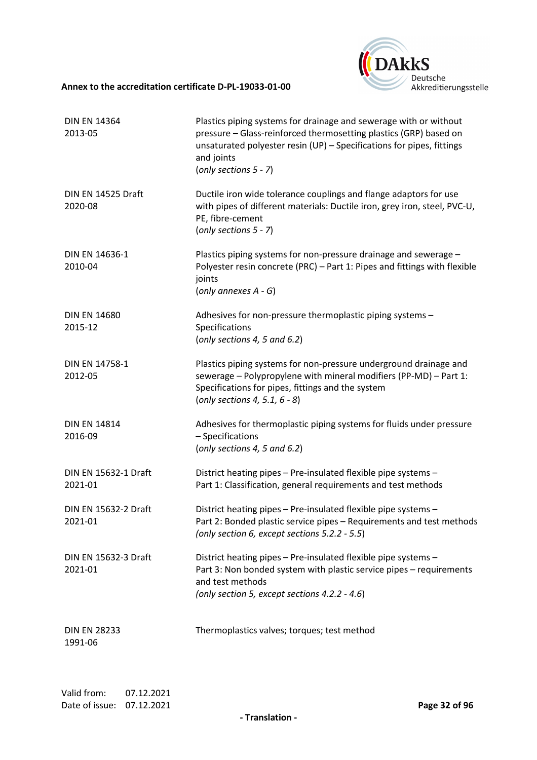

| <b>DIN EN 14364</b><br>2013-05         | Plastics piping systems for drainage and sewerage with or without<br>pressure - Glass-reinforced thermosetting plastics (GRP) based on<br>unsaturated polyester resin (UP) - Specifications for pipes, fittings<br>and joints<br>(only sections $5 - 7$ ) |
|----------------------------------------|-----------------------------------------------------------------------------------------------------------------------------------------------------------------------------------------------------------------------------------------------------------|
| DIN EN 14525 Draft<br>2020-08          | Ductile iron wide tolerance couplings and flange adaptors for use<br>with pipes of different materials: Ductile iron, grey iron, steel, PVC-U,<br>PE, fibre-cement<br>(only sections $5 - 7$ )                                                            |
| DIN EN 14636-1<br>2010-04              | Plastics piping systems for non-pressure drainage and sewerage -<br>Polyester resin concrete (PRC) - Part 1: Pipes and fittings with flexible<br>joints<br>(only annexes $A - G$ )                                                                        |
| <b>DIN EN 14680</b><br>2015-12         | Adhesives for non-pressure thermoplastic piping systems -<br>Specifications<br>(only sections 4, 5 and 6.2)                                                                                                                                               |
| DIN EN 14758-1<br>2012-05              | Plastics piping systems for non-pressure underground drainage and<br>sewerage - Polypropylene with mineral modifiers (PP-MD) - Part 1:<br>Specifications for pipes, fittings and the system<br>(only sections 4, 5.1, $6 - 8$ )                           |
| <b>DIN EN 14814</b><br>2016-09         | Adhesives for thermoplastic piping systems for fluids under pressure<br>- Specifications<br>(only sections 4, 5 and 6.2)                                                                                                                                  |
| <b>DIN EN 15632-1 Draft</b><br>2021-01 | District heating pipes - Pre-insulated flexible pipe systems -<br>Part 1: Classification, general requirements and test methods                                                                                                                           |
| <b>DIN EN 15632-2 Draft</b><br>2021-01 | District heating pipes - Pre-insulated flexible pipe systems -<br>Part 2: Bonded plastic service pipes - Requirements and test methods<br>(only section 6, except sections 5.2.2 - 5.5)                                                                   |
| <b>DIN EN 15632-3 Draft</b><br>2021-01 | District heating pipes - Pre-insulated flexible pipe systems -<br>Part 3: Non bonded system with plastic service pipes - requirements<br>and test methods<br>(only section 5, except sections 4.2.2 - 4.6)                                                |
| <b>DIN EN 28233</b><br>1991-06         | Thermoplastics valves; torques; test method                                                                                                                                                                                                               |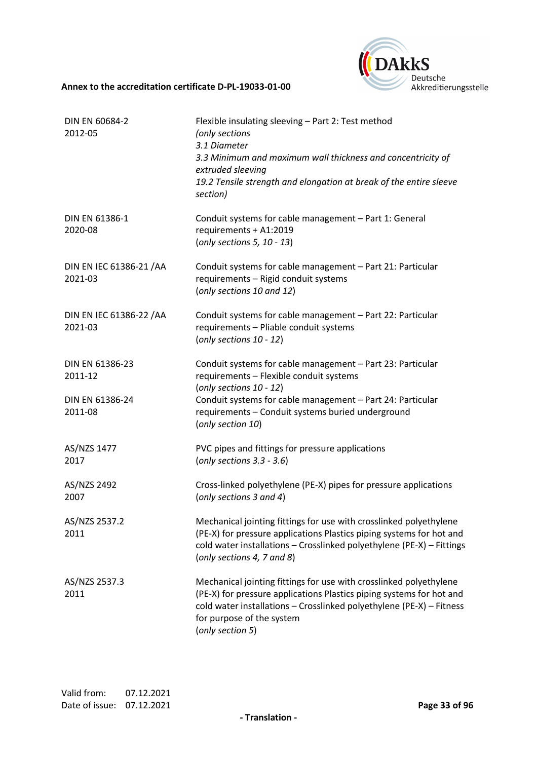

| DIN EN 60684-2<br>2012-05                                | Flexible insulating sleeving - Part 2: Test method<br>(only sections<br>3.1 Diameter<br>3.3 Minimum and maximum wall thickness and concentricity of<br>extruded sleeving<br>19.2 Tensile strength and elongation at break of the entire sleeve<br>section)               |
|----------------------------------------------------------|--------------------------------------------------------------------------------------------------------------------------------------------------------------------------------------------------------------------------------------------------------------------------|
| DIN EN 61386-1<br>2020-08                                | Conduit systems for cable management - Part 1: General<br>requirements + A1:2019<br>(only sections 5, 10 - 13)                                                                                                                                                           |
| DIN EN IEC 61386-21 / AA<br>2021-03                      | Conduit systems for cable management - Part 21: Particular<br>requirements - Rigid conduit systems<br>(only sections 10 and 12)                                                                                                                                          |
| DIN EN IEC 61386-22 / AA<br>2021-03                      | Conduit systems for cable management - Part 22: Particular<br>requirements - Pliable conduit systems<br>(only sections 10 - 12)                                                                                                                                          |
| DIN EN 61386-23<br>2011-12<br>DIN EN 61386-24<br>2011-08 | Conduit systems for cable management - Part 23: Particular<br>requirements - Flexible conduit systems<br>(only sections 10 - 12)<br>Conduit systems for cable management - Part 24: Particular<br>requirements - Conduit systems buried underground<br>(only section 10) |
| AS/NZS 1477<br>2017                                      | PVC pipes and fittings for pressure applications<br>(only sections $3.3 - 3.6$ )                                                                                                                                                                                         |
| AS/NZS 2492<br>2007                                      | Cross-linked polyethylene (PE-X) pipes for pressure applications<br>(only sections 3 and 4)                                                                                                                                                                              |
| AS/NZS 2537.2<br>2011                                    | Mechanical jointing fittings for use with crosslinked polyethylene<br>(PE-X) for pressure applications Plastics piping systems for hot and<br>cold water installations - Crosslinked polyethylene (PE-X) - Fittings<br>(only sections 4, 7 and 8)                        |
| AS/NZS 2537.3<br>2011                                    | Mechanical jointing fittings for use with crosslinked polyethylene<br>(PE-X) for pressure applications Plastics piping systems for hot and<br>cold water installations - Crosslinked polyethylene (PE-X) - Fitness<br>for purpose of the system<br>(only section 5)      |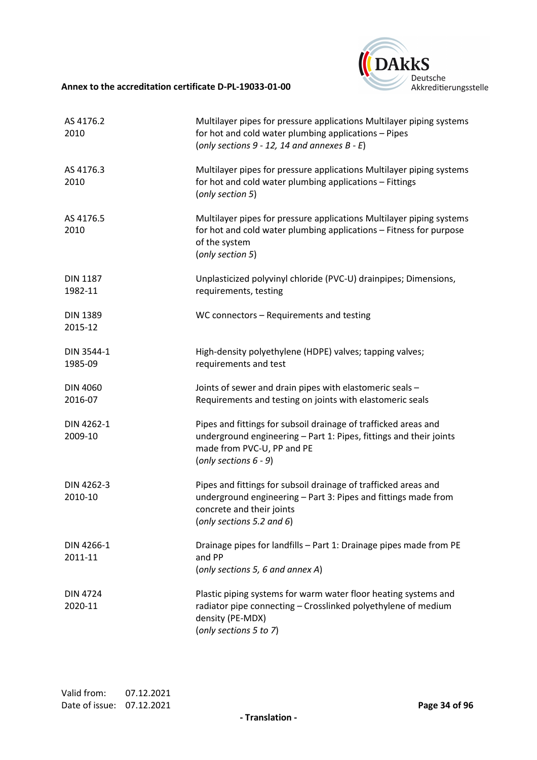

| AS 4176.2<br>2010          | Multilayer pipes for pressure applications Multilayer piping systems<br>for hot and cold water plumbing applications - Pipes<br>(only sections $9 - 12$ , 14 and annexes $B - E$ )              |
|----------------------------|-------------------------------------------------------------------------------------------------------------------------------------------------------------------------------------------------|
| AS 4176.3<br>2010          | Multilayer pipes for pressure applications Multilayer piping systems<br>for hot and cold water plumbing applications - Fittings<br>(only section 5)                                             |
| AS 4176.5<br>2010          | Multilayer pipes for pressure applications Multilayer piping systems<br>for hot and cold water plumbing applications - Fitness for purpose<br>of the system<br>(only section 5)                 |
| <b>DIN 1187</b><br>1982-11 | Unplasticized polyvinyl chloride (PVC-U) drainpipes; Dimensions,<br>requirements, testing                                                                                                       |
| <b>DIN 1389</b><br>2015-12 | WC connectors - Requirements and testing                                                                                                                                                        |
| DIN 3544-1<br>1985-09      | High-density polyethylene (HDPE) valves; tapping valves;<br>requirements and test                                                                                                               |
| <b>DIN 4060</b><br>2016-07 | Joints of sewer and drain pipes with elastomeric seals -<br>Requirements and testing on joints with elastomeric seals                                                                           |
| DIN 4262-1<br>2009-10      | Pipes and fittings for subsoil drainage of trafficked areas and<br>underground engineering - Part 1: Pipes, fittings and their joints<br>made from PVC-U, PP and PE<br>(only sections $6 - 9$ ) |
| DIN 4262-3<br>2010-10      | Pipes and fittings for subsoil drainage of trafficked areas and<br>underground engineering - Part 3: Pipes and fittings made from<br>concrete and their joints<br>(only sections 5.2 and 6)     |
| DIN 4266-1<br>2011-11      | Drainage pipes for landfills - Part 1: Drainage pipes made from PE<br>and PP<br>(only sections 5, 6 and annex A)                                                                                |
| <b>DIN 4724</b><br>2020-11 | Plastic piping systems for warm water floor heating systems and<br>radiator pipe connecting - Crosslinked polyethylene of medium<br>density (PE-MDX)<br>(only sections 5 to 7)                  |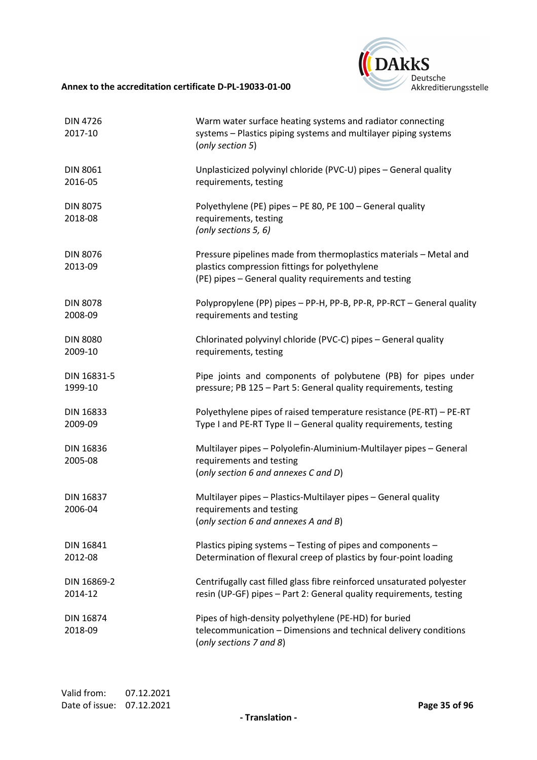

| <b>DIN 4726</b><br>2017-10  | Warm water surface heating systems and radiator connecting<br>systems - Plastics piping systems and multilayer piping systems<br>(only section 5)                            |
|-----------------------------|------------------------------------------------------------------------------------------------------------------------------------------------------------------------------|
| <b>DIN 8061</b>             | Unplasticized polyvinyl chloride (PVC-U) pipes - General quality                                                                                                             |
| 2016-05                     | requirements, testing                                                                                                                                                        |
| <b>DIN 8075</b><br>2018-08  | Polyethylene (PE) pipes - PE 80, PE 100 - General quality<br>requirements, testing<br>(only sections 5, 6)                                                                   |
| <b>DIN 8076</b><br>2013-09  | Pressure pipelines made from thermoplastics materials - Metal and<br>plastics compression fittings for polyethylene<br>(PE) pipes - General quality requirements and testing |
| <b>DIN 8078</b>             | Polypropylene (PP) pipes - PP-H, PP-B, PP-R, PP-RCT - General quality                                                                                                        |
| 2008-09                     | requirements and testing                                                                                                                                                     |
| <b>DIN 8080</b>             | Chlorinated polyvinyl chloride (PVC-C) pipes - General quality                                                                                                               |
| 2009-10                     | requirements, testing                                                                                                                                                        |
| DIN 16831-5                 | Pipe joints and components of polybutene (PB) for pipes under                                                                                                                |
| 1999-10                     | pressure; PB 125 - Part 5: General quality requirements, testing                                                                                                             |
| DIN 16833                   | Polyethylene pipes of raised temperature resistance (PE-RT) - PE-RT                                                                                                          |
| 2009-09                     | Type I and PE-RT Type II - General quality requirements, testing                                                                                                             |
| DIN 16836<br>2005-08        | Multilayer pipes - Polyolefin-Aluminium-Multilayer pipes - General<br>requirements and testing<br>(only section 6 and annexes C and D)                                       |
| <b>DIN 16837</b><br>2006-04 | Multilayer pipes - Plastics-Multilayer pipes - General quality<br>requirements and testing<br>(only section 6 and annexes A and B)                                           |
| <b>DIN 16841</b>            | Plastics piping systems - Testing of pipes and components -                                                                                                                  |
| 2012-08                     | Determination of flexural creep of plastics by four-point loading                                                                                                            |
| DIN 16869-2                 | Centrifugally cast filled glass fibre reinforced unsaturated polyester                                                                                                       |
| 2014-12                     | resin (UP-GF) pipes - Part 2: General quality requirements, testing                                                                                                          |
| <b>DIN 16874</b><br>2018-09 | Pipes of high-density polyethylene (PE-HD) for buried<br>telecommunication - Dimensions and technical delivery conditions<br>(only sections 7 and 8)                         |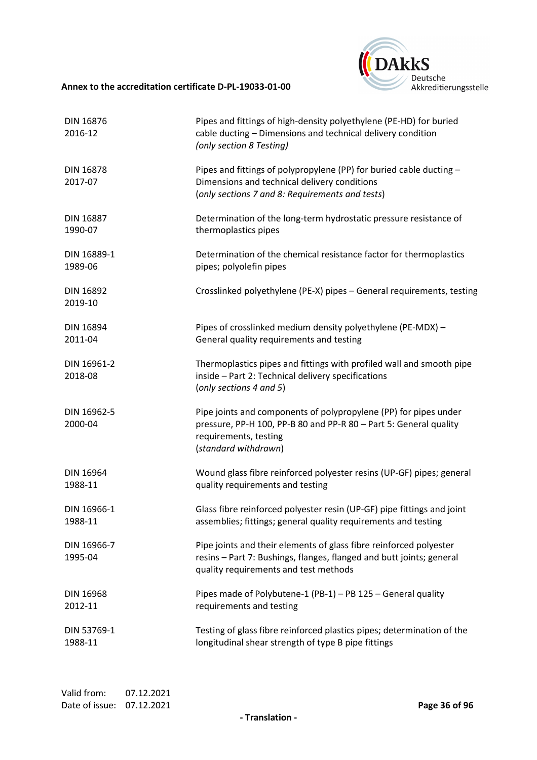

| DIN 16876<br>2016-12        | Pipes and fittings of high-density polyethylene (PE-HD) for buried<br>cable ducting - Dimensions and technical delivery condition<br>(only section 8 Testing)                          |
|-----------------------------|----------------------------------------------------------------------------------------------------------------------------------------------------------------------------------------|
| <b>DIN 16878</b><br>2017-07 | Pipes and fittings of polypropylene (PP) for buried cable ducting -<br>Dimensions and technical delivery conditions<br>(only sections 7 and 8: Requirements and tests)                 |
| <b>DIN 16887</b>            | Determination of the long-term hydrostatic pressure resistance of                                                                                                                      |
| 1990-07                     | thermoplastics pipes                                                                                                                                                                   |
| DIN 16889-1                 | Determination of the chemical resistance factor for thermoplastics                                                                                                                     |
| 1989-06                     | pipes; polyolefin pipes                                                                                                                                                                |
| DIN 16892<br>2019-10        | Crosslinked polyethylene (PE-X) pipes - General requirements, testing                                                                                                                  |
| DIN 16894                   | Pipes of crosslinked medium density polyethylene (PE-MDX) -                                                                                                                            |
| 2011-04                     | General quality requirements and testing                                                                                                                                               |
| DIN 16961-2<br>2018-08      | Thermoplastics pipes and fittings with profiled wall and smooth pipe<br>inside - Part 2: Technical delivery specifications<br>(only sections 4 and 5)                                  |
| DIN 16962-5<br>2000-04      | Pipe joints and components of polypropylene (PP) for pipes under<br>pressure, PP-H 100, PP-B 80 and PP-R 80 - Part 5: General quality<br>requirements, testing<br>(standard withdrawn) |
| DIN 16964                   | Wound glass fibre reinforced polyester resins (UP-GF) pipes; general                                                                                                                   |
| 1988-11                     | quality requirements and testing                                                                                                                                                       |
| DIN 16966-1                 | Glass fibre reinforced polyester resin (UP-GF) pipe fittings and joint                                                                                                                 |
| 1988-11                     | assemblies; fittings; general quality requirements and testing                                                                                                                         |
| DIN 16966-7<br>1995-04      | Pipe joints and their elements of glass fibre reinforced polyester<br>resins - Part 7: Bushings, flanges, flanged and butt joints; general<br>quality requirements and test methods    |
| <b>DIN 16968</b>            | Pipes made of Polybutene-1 (PB-1) - PB 125 - General quality                                                                                                                           |
| 2012-11                     | requirements and testing                                                                                                                                                               |
| DIN 53769-1                 | Testing of glass fibre reinforced plastics pipes; determination of the                                                                                                                 |
| 1988-11                     | longitudinal shear strength of type B pipe fittings                                                                                                                                    |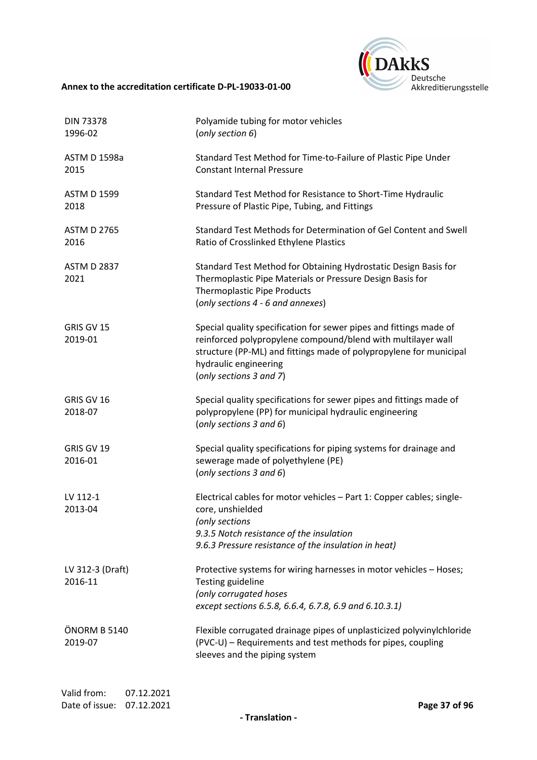

| <b>DIN 73378</b><br>1996-02 | Polyamide tubing for motor vehicles<br>(only section 6)                                                                                                                                                                                                      |
|-----------------------------|--------------------------------------------------------------------------------------------------------------------------------------------------------------------------------------------------------------------------------------------------------------|
| <b>ASTM D 1598a</b><br>2015 | Standard Test Method for Time-to-Failure of Plastic Pipe Under<br><b>Constant Internal Pressure</b>                                                                                                                                                          |
| <b>ASTM D 1599</b><br>2018  | Standard Test Method for Resistance to Short-Time Hydraulic<br>Pressure of Plastic Pipe, Tubing, and Fittings                                                                                                                                                |
| <b>ASTM D 2765</b><br>2016  | Standard Test Methods for Determination of Gel Content and Swell<br>Ratio of Crosslinked Ethylene Plastics                                                                                                                                                   |
| <b>ASTM D 2837</b><br>2021  | Standard Test Method for Obtaining Hydrostatic Design Basis for<br>Thermoplastic Pipe Materials or Pressure Design Basis for<br>Thermoplastic Pipe Products<br>(only sections 4 - 6 and annexes)                                                             |
| GRIS GV 15<br>2019-01       | Special quality specification for sewer pipes and fittings made of<br>reinforced polypropylene compound/blend with multilayer wall<br>structure (PP-ML) and fittings made of polypropylene for municipal<br>hydraulic engineering<br>(only sections 3 and 7) |
| GRIS GV 16<br>2018-07       | Special quality specifications for sewer pipes and fittings made of<br>polypropylene (PP) for municipal hydraulic engineering<br>(only sections $3$ and $6$ )                                                                                                |
| GRIS GV 19<br>2016-01       | Special quality specifications for piping systems for drainage and<br>sewerage made of polyethylene (PE)<br>(only sections 3 and 6)                                                                                                                          |
| LV 112-1<br>2013-04         | Electrical cables for motor vehicles - Part 1: Copper cables; single-<br>core, unshielded<br>(only sections<br>9.3.5 Notch resistance of the insulation<br>9.6.3 Pressure resistance of the insulation in heat)                                              |
| LV 312-3 (Draft)<br>2016-11 | Protective systems for wiring harnesses in motor vehicles - Hoses;<br>Testing guideline<br>(only corrugated hoses<br>except sections 6.5.8, 6.6.4, 6.7.8, 6.9 and 6.10.3.1)                                                                                  |
| ÖNORM B 5140<br>2019-07     | Flexible corrugated drainage pipes of unplasticized polyvinylchloride<br>(PVC-U) - Requirements and test methods for pipes, coupling<br>sleeves and the piping system                                                                                        |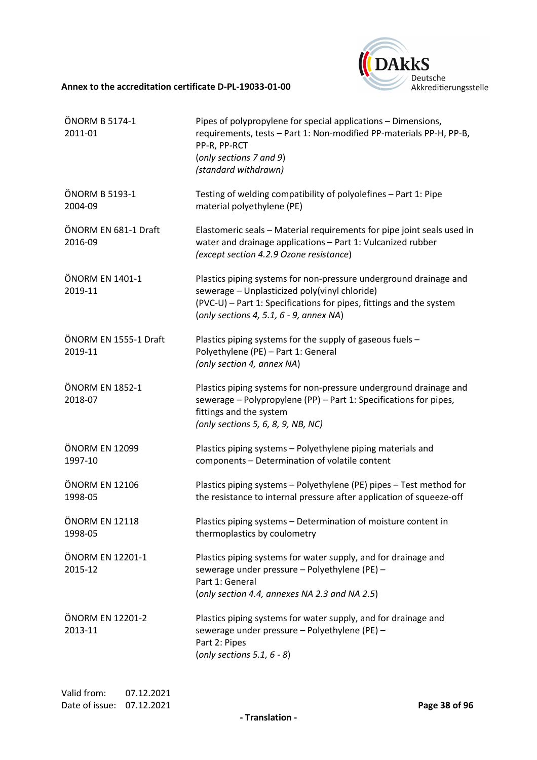

| ÖNORM B 5174-1<br>2011-01        | Pipes of polypropylene for special applications - Dimensions,<br>requirements, tests - Part 1: Non-modified PP-materials PP-H, PP-B,<br>PP-R, PP-RCT<br>(only sections 7 and 9)<br>(standard withdrawn)                                 |
|----------------------------------|-----------------------------------------------------------------------------------------------------------------------------------------------------------------------------------------------------------------------------------------|
| ÖNORM B 5193-1<br>2004-09        | Testing of welding compatibility of polyolefines - Part 1: Pipe<br>material polyethylene (PE)                                                                                                                                           |
| ÖNORM EN 681-1 Draft<br>2016-09  | Elastomeric seals - Material requirements for pipe joint seals used in<br>water and drainage applications - Part 1: Vulcanized rubber<br>(except section 4.2.9 Ozone resistance)                                                        |
| ÖNORM EN 1401-1<br>2019-11       | Plastics piping systems for non-pressure underground drainage and<br>sewerage - Unplasticized poly(vinyl chloride)<br>(PVC-U) - Part 1: Specifications for pipes, fittings and the system<br>(only sections 4, 5.1, $6 - 9$ , annex NA) |
| ÖNORM EN 1555-1 Draft<br>2019-11 | Plastics piping systems for the supply of gaseous fuels -<br>Polyethylene (PE) - Part 1: General<br>(only section 4, annex NA)                                                                                                          |
| ÖNORM EN 1852-1<br>2018-07       | Plastics piping systems for non-pressure underground drainage and<br>sewerage - Polypropylene (PP) - Part 1: Specifications for pipes,<br>fittings and the system<br>(only sections 5, 6, 8, 9, NB, NC)                                 |
| ÖNORM EN 12099<br>1997-10        | Plastics piping systems - Polyethylene piping materials and<br>components - Determination of volatile content                                                                                                                           |
| ÖNORM EN 12106<br>1998-05        | Plastics piping systems - Polyethylene (PE) pipes - Test method for<br>the resistance to internal pressure after application of squeeze-off                                                                                             |
| ÖNORM EN 12118<br>1998-05        | Plastics piping systems - Determination of moisture content in<br>thermoplastics by coulometry                                                                                                                                          |
| ÖNORM EN 12201-1<br>2015-12      | Plastics piping systems for water supply, and for drainage and<br>sewerage under pressure - Polyethylene (PE) -<br>Part 1: General<br>(only section 4.4, annexes NA 2.3 and NA 2.5)                                                     |
| ÖNORM EN 12201-2<br>2013-11      | Plastics piping systems for water supply, and for drainage and<br>sewerage under pressure - Polyethylene (PE) -<br>Part 2: Pipes<br>(only sections 5.1, $6 - 8$ )                                                                       |

**- Translation -**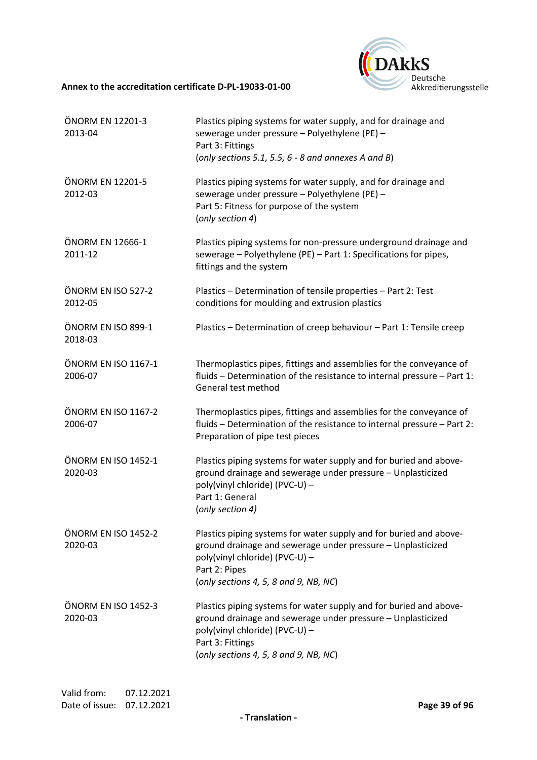

| ÖNORM EN 12201-3<br>2013-04    | Plastics piping systems for water supply, and for drainage and<br>sewerage under pressure - Polyethylene (PE) -<br>Part 3: Fittings<br>(only sections 5.1, 5.5, $6 - 8$ and annexes A and B)                                     |
|--------------------------------|----------------------------------------------------------------------------------------------------------------------------------------------------------------------------------------------------------------------------------|
| ÖNORM EN 12201-5<br>2012-03    | Plastics piping systems for water supply, and for drainage and<br>sewerage under pressure - Polyethylene (PE) -<br>Part 5: Fitness for purpose of the system<br>(only section 4)                                                 |
| ÖNORM EN 12666-1<br>2011-12    | Plastics piping systems for non-pressure underground drainage and<br>sewerage - Polyethylene (PE) - Part 1: Specifications for pipes,<br>fittings and the system                                                                 |
| ÖNORM EN ISO 527-2<br>2012-05  | Plastics - Determination of tensile properties - Part 2: Test<br>conditions for moulding and extrusion plastics                                                                                                                  |
| ÖNORM EN ISO 899-1<br>2018-03  | Plastics - Determination of creep behaviour - Part 1: Tensile creep                                                                                                                                                              |
| ÖNORM EN ISO 1167-1<br>2006-07 | Thermoplastics pipes, fittings and assemblies for the conveyance of<br>fluids - Determination of the resistance to internal pressure - Part 1:<br>General test method                                                            |
| ÖNORM EN ISO 1167-2<br>2006-07 | Thermoplastics pipes, fittings and assemblies for the conveyance of<br>fluids - Determination of the resistance to internal pressure - Part 2:<br>Preparation of pipe test pieces                                                |
| ÖNORM EN ISO 1452-1<br>2020-03 | Plastics piping systems for water supply and for buried and above-<br>ground drainage and sewerage under pressure - Unplasticized<br>poly(vinyl chloride) (PVC-U) -<br>Part 1: General<br>(only section 4)                       |
| ÖNORM EN ISO 1452-2<br>2020-03 | Plastics piping systems for water supply and for buried and above-<br>ground drainage and sewerage under pressure - Unplasticized<br>poly(vinyl chloride) (PVC-U) -<br>Part 2: Pipes<br>(only sections 4, 5, 8 and 9, NB, NC)    |
| ÖNORM EN ISO 1452-3<br>2020-03 | Plastics piping systems for water supply and for buried and above-<br>ground drainage and sewerage under pressure - Unplasticized<br>poly(vinyl chloride) (PVC-U) -<br>Part 3: Fittings<br>(only sections 4, 5, 8 and 9, NB, NC) |

**- Translation -**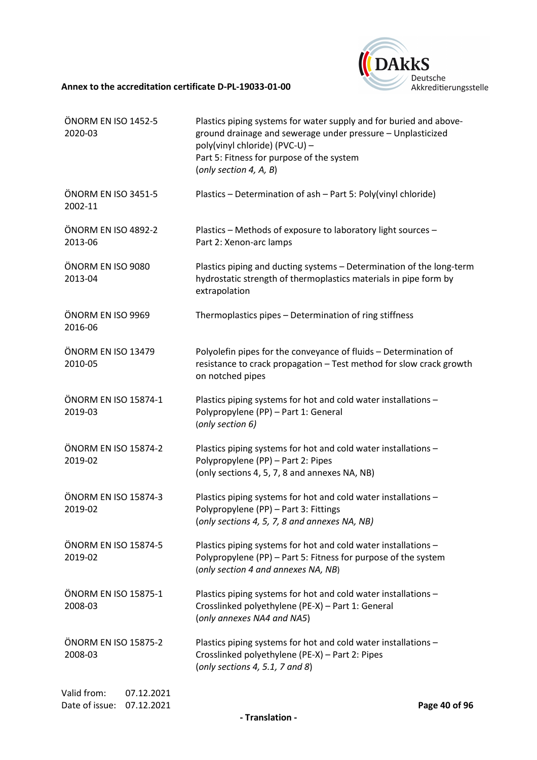

| ÖNORM EN ISO 1452-5<br>2020-03                            | Plastics piping systems for water supply and for buried and above-<br>ground drainage and sewerage under pressure - Unplasticized<br>poly(vinyl chloride) (PVC-U) -<br>Part 5: Fitness for purpose of the system<br>(only section 4, A, B) |
|-----------------------------------------------------------|--------------------------------------------------------------------------------------------------------------------------------------------------------------------------------------------------------------------------------------------|
| ÖNORM EN ISO 3451-5<br>2002-11                            | Plastics - Determination of ash - Part 5: Poly(vinyl chloride)                                                                                                                                                                             |
| ÖNORM EN ISO 4892-2<br>2013-06                            | Plastics - Methods of exposure to laboratory light sources -<br>Part 2: Xenon-arc lamps                                                                                                                                                    |
| ÖNORM EN ISO 9080<br>2013-04                              | Plastics piping and ducting systems - Determination of the long-term<br>hydrostatic strength of thermoplastics materials in pipe form by<br>extrapolation                                                                                  |
| ÖNORM EN ISO 9969<br>2016-06                              | Thermoplastics pipes - Determination of ring stiffness                                                                                                                                                                                     |
| ÖNORM EN ISO 13479<br>2010-05                             | Polyolefin pipes for the conveyance of fluids - Determination of<br>resistance to crack propagation - Test method for slow crack growth<br>on notched pipes                                                                                |
| ÖNORM EN ISO 15874-1<br>2019-03                           | Plastics piping systems for hot and cold water installations -<br>Polypropylene (PP) - Part 1: General<br>(only section 6)                                                                                                                 |
| ÖNORM EN ISO 15874-2<br>2019-02                           | Plastics piping systems for hot and cold water installations -<br>Polypropylene (PP) - Part 2: Pipes<br>(only sections 4, 5, 7, 8 and annexes NA, NB)                                                                                      |
| ÖNORM EN ISO 15874-3<br>2019-02                           | Plastics piping systems for hot and cold water installations -<br>Polypropylene (PP) - Part 3: Fittings<br>(only sections 4, 5, 7, 8 and annexes NA, NB)                                                                                   |
| ÖNORM EN ISO 15874-5<br>2019-02                           | Plastics piping systems for hot and cold water installations -<br>Polypropylene (PP) - Part 5: Fitness for purpose of the system<br>(only section 4 and annexes NA, NB)                                                                    |
| ÖNORM EN ISO 15875-1<br>2008-03                           | Plastics piping systems for hot and cold water installations -<br>Crosslinked polyethylene (PE-X) - Part 1: General<br>(only annexes NA4 and NA5)                                                                                          |
| ÖNORM EN ISO 15875-2<br>2008-03                           | Plastics piping systems for hot and cold water installations -<br>Crosslinked polyethylene (PE-X) - Part 2: Pipes<br>(only sections 4, 5.1, 7 and 8)                                                                                       |
| Valid from:<br>07.12.2021<br>Date of issue:<br>07.12.2021 | Page 40 of 96                                                                                                                                                                                                                              |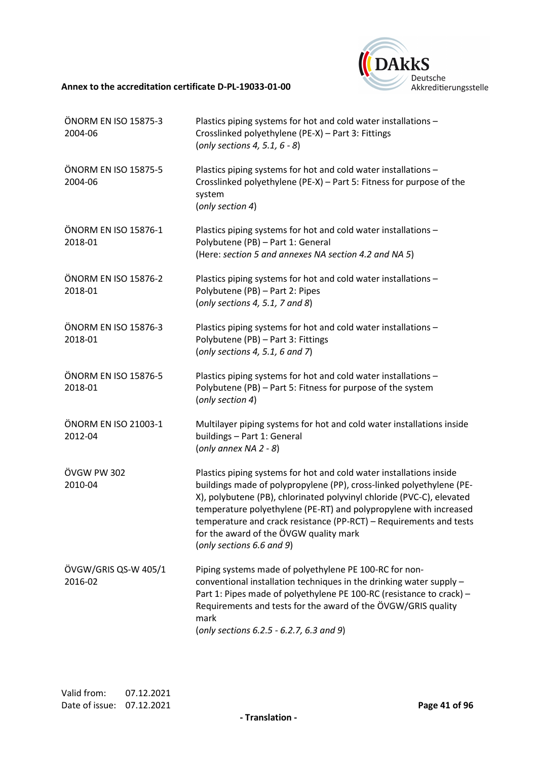

| ÖNORM EN ISO 15875-3<br>2004-06 | Plastics piping systems for hot and cold water installations -<br>Crosslinked polyethylene (PE-X) - Part 3: Fittings<br>(only sections 4, 5.1, $6 - 8$ )                                                                                                                                                                                                                                                                               |
|---------------------------------|----------------------------------------------------------------------------------------------------------------------------------------------------------------------------------------------------------------------------------------------------------------------------------------------------------------------------------------------------------------------------------------------------------------------------------------|
| ÖNORM EN ISO 15875-5<br>2004-06 | Plastics piping systems for hot and cold water installations -<br>Crosslinked polyethylene (PE-X) - Part 5: Fitness for purpose of the<br>system<br>(only section 4)                                                                                                                                                                                                                                                                   |
| ÖNORM EN ISO 15876-1<br>2018-01 | Plastics piping systems for hot and cold water installations -<br>Polybutene (PB) - Part 1: General<br>(Here: section 5 and annexes NA section 4.2 and NA 5)                                                                                                                                                                                                                                                                           |
| ÖNORM EN ISO 15876-2<br>2018-01 | Plastics piping systems for hot and cold water installations -<br>Polybutene (PB) - Part 2: Pipes<br>(only sections 4, 5.1, 7 and 8)                                                                                                                                                                                                                                                                                                   |
| ÖNORM EN ISO 15876-3<br>2018-01 | Plastics piping systems for hot and cold water installations -<br>Polybutene (PB) - Part 3: Fittings<br>(only sections 4, 5.1, 6 and 7)                                                                                                                                                                                                                                                                                                |
| ÖNORM EN ISO 15876-5<br>2018-01 | Plastics piping systems for hot and cold water installations -<br>Polybutene (PB) - Part 5: Fitness for purpose of the system<br>(only section 4)                                                                                                                                                                                                                                                                                      |
| ÖNORM EN ISO 21003-1<br>2012-04 | Multilayer piping systems for hot and cold water installations inside<br>buildings - Part 1: General<br>(only annex NA $2 - 8$ )                                                                                                                                                                                                                                                                                                       |
| ÖVGW PW 302<br>2010-04          | Plastics piping systems for hot and cold water installations inside<br>buildings made of polypropylene (PP), cross-linked polyethylene (PE-<br>X), polybutene (PB), chlorinated polyvinyl chloride (PVC-C), elevated<br>temperature polyethylene (PE-RT) and polypropylene with increased<br>temperature and crack resistance (PP-RCT) - Requirements and tests<br>for the award of the ÖVGW quality mark<br>(only sections 6.6 and 9) |
| ÖVGW/GRIS QS-W 405/1<br>2016-02 | Piping systems made of polyethylene PE 100-RC for non-<br>conventional installation techniques in the drinking water supply -<br>Part 1: Pipes made of polyethylene PE 100-RC (resistance to crack) -<br>Requirements and tests for the award of the ÖVGW/GRIS quality<br>mark<br>(only sections 6.2.5 - 6.2.7, 6.3 and 9)                                                                                                             |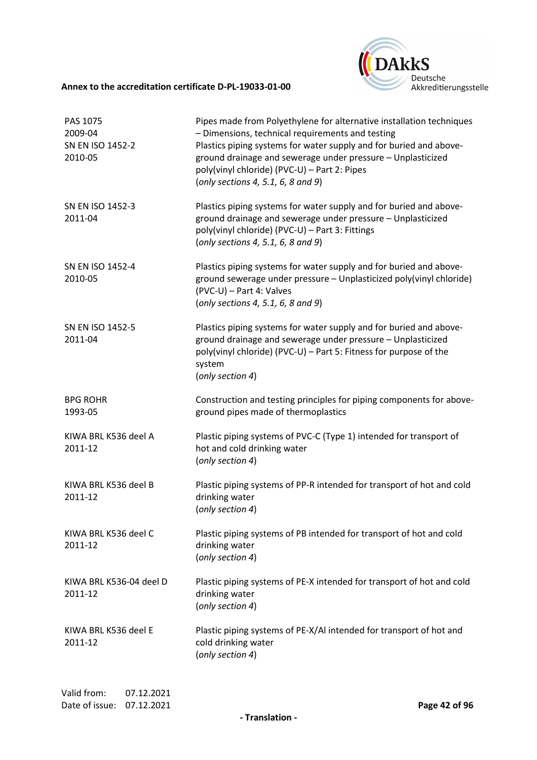

| PAS 1075<br>2009-04<br>SN EN ISO 1452-2<br>2010-05 | Pipes made from Polyethylene for alternative installation techniques<br>- Dimensions, technical requirements and testing<br>Plastics piping systems for water supply and for buried and above-<br>ground drainage and sewerage under pressure - Unplasticized<br>poly(vinyl chloride) (PVC-U) - Part 2: Pipes<br>(only sections 4, 5.1, 6, 8 and 9) |
|----------------------------------------------------|-----------------------------------------------------------------------------------------------------------------------------------------------------------------------------------------------------------------------------------------------------------------------------------------------------------------------------------------------------|
| SN EN ISO 1452-3<br>2011-04                        | Plastics piping systems for water supply and for buried and above-<br>ground drainage and sewerage under pressure - Unplasticized<br>poly(vinyl chloride) (PVC-U) - Part 3: Fittings<br>(only sections 4, 5.1, 6, 8 and 9)                                                                                                                          |
| SN EN ISO 1452-4<br>2010-05                        | Plastics piping systems for water supply and for buried and above-<br>ground sewerage under pressure - Unplasticized poly(vinyl chloride)<br>(PVC-U) - Part 4: Valves<br>(only sections 4, 5.1, 6, 8 and 9)                                                                                                                                         |
| SN EN ISO 1452-5<br>2011-04                        | Plastics piping systems for water supply and for buried and above-<br>ground drainage and sewerage under pressure - Unplasticized<br>poly(vinyl chloride) (PVC-U) - Part 5: Fitness for purpose of the<br>system<br>(only section 4)                                                                                                                |
| <b>BPG ROHR</b><br>1993-05                         | Construction and testing principles for piping components for above-<br>ground pipes made of thermoplastics                                                                                                                                                                                                                                         |
| KIWA BRL K536 deel A<br>2011-12                    | Plastic piping systems of PVC-C (Type 1) intended for transport of<br>hot and cold drinking water<br>(only section 4)                                                                                                                                                                                                                               |
| KIWA BRL K536 deel B<br>2011-12                    | Plastic piping systems of PP-R intended for transport of hot and cold<br>drinking water<br>(only section 4)                                                                                                                                                                                                                                         |
| KIWA BRL K536 deel C<br>2011-12                    | Plastic piping systems of PB intended for transport of hot and cold<br>drinking water<br>(only section 4)                                                                                                                                                                                                                                           |
| KIWA BRL K536-04 deel D<br>2011-12                 | Plastic piping systems of PE-X intended for transport of hot and cold<br>drinking water<br>(only section 4)                                                                                                                                                                                                                                         |
| KIWA BRL K536 deel E<br>2011-12                    | Plastic piping systems of PE-X/AI intended for transport of hot and<br>cold drinking water<br>(only section 4)                                                                                                                                                                                                                                      |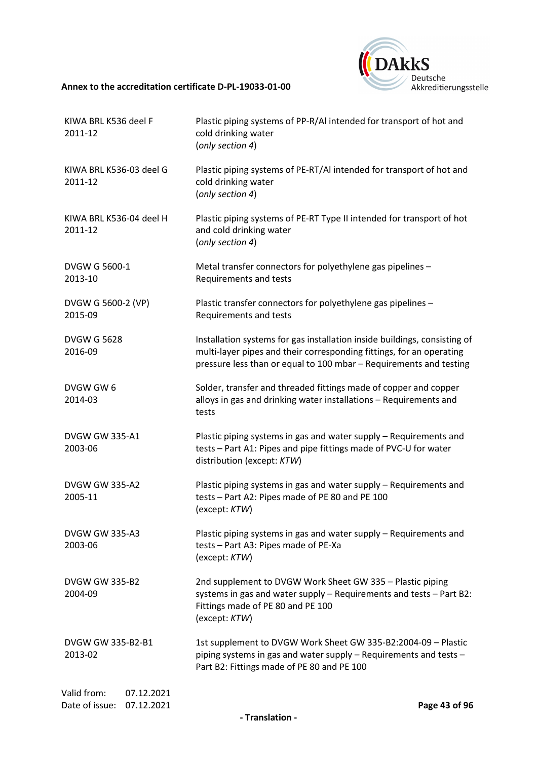

| KIWA BRL K536 deel F<br>2011-12                           | Plastic piping systems of PP-R/AI intended for transport of hot and<br>cold drinking water<br>(only section 4)                                                                                                          |
|-----------------------------------------------------------|-------------------------------------------------------------------------------------------------------------------------------------------------------------------------------------------------------------------------|
| KIWA BRL K536-03 deel G<br>2011-12                        | Plastic piping systems of PE-RT/Al intended for transport of hot and<br>cold drinking water<br>(only section 4)                                                                                                         |
| KIWA BRL K536-04 deel H<br>2011-12                        | Plastic piping systems of PE-RT Type II intended for transport of hot<br>and cold drinking water<br>(only section 4)                                                                                                    |
| <b>DVGW G 5600-1</b><br>2013-10                           | Metal transfer connectors for polyethylene gas pipelines -<br>Requirements and tests                                                                                                                                    |
| DVGW G 5600-2 (VP)<br>2015-09                             | Plastic transfer connectors for polyethylene gas pipelines -<br>Requirements and tests                                                                                                                                  |
| <b>DVGW G 5628</b><br>2016-09                             | Installation systems for gas installation inside buildings, consisting of<br>multi-layer pipes and their corresponding fittings, for an operating<br>pressure less than or equal to 100 mbar - Requirements and testing |
| DVGW GW 6<br>2014-03                                      | Solder, transfer and threaded fittings made of copper and copper<br>alloys in gas and drinking water installations - Requirements and<br>tests                                                                          |
| DVGW GW 335-A1<br>2003-06                                 | Plastic piping systems in gas and water supply - Requirements and<br>tests - Part A1: Pipes and pipe fittings made of PVC-U for water<br>distribution (except: KTW)                                                     |
| <b>DVGW GW 335-A2</b><br>2005-11                          | Plastic piping systems in gas and water supply - Requirements and<br>tests - Part A2: Pipes made of PE 80 and PE 100<br>(except: KTW)                                                                                   |
| <b>DVGW GW 335-A3</b><br>2003-06                          | Plastic piping systems in gas and water supply - Requirements and<br>tests - Part A3: Pipes made of PE-Xa<br>(except: KTW)                                                                                              |
| <b>DVGW GW 335-B2</b><br>2004-09                          | 2nd supplement to DVGW Work Sheet GW 335 - Plastic piping<br>systems in gas and water supply - Requirements and tests - Part B2:<br>Fittings made of PE 80 and PE 100<br>(except: KTW)                                  |
| DVGW GW 335-B2-B1<br>2013-02                              | 1st supplement to DVGW Work Sheet GW 335-B2:2004-09 - Plastic<br>piping systems in gas and water supply - Requirements and tests -<br>Part B2: Fittings made of PE 80 and PE 100                                        |
| Valid from:<br>07.12.2021<br>Date of issue:<br>07.12.2021 | Page 43 of 96                                                                                                                                                                                                           |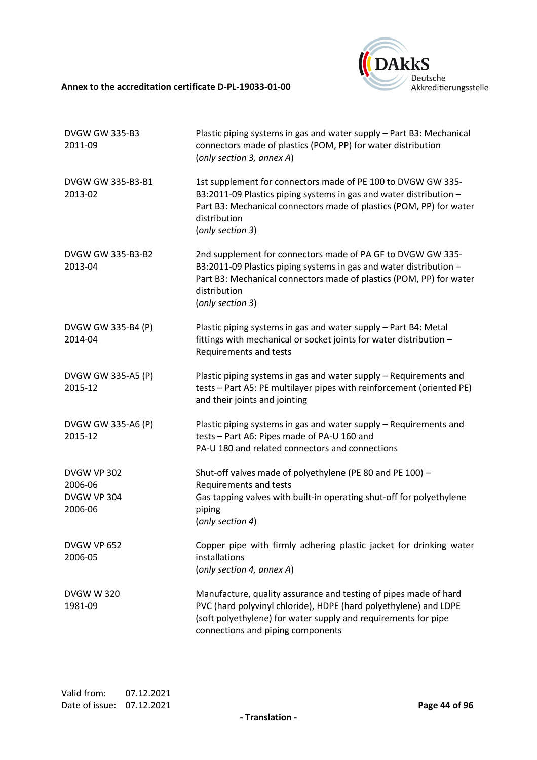

| <b>DVGW GW 335-B3</b><br>2011-09  | Plastic piping systems in gas and water supply - Part B3: Mechanical<br>connectors made of plastics (POM, PP) for water distribution<br>(only section 3, annex A)                                                                             |
|-----------------------------------|-----------------------------------------------------------------------------------------------------------------------------------------------------------------------------------------------------------------------------------------------|
| DVGW GW 335-B3-B1<br>2013-02      | 1st supplement for connectors made of PE 100 to DVGW GW 335-<br>B3:2011-09 Plastics piping systems in gas and water distribution -<br>Part B3: Mechanical connectors made of plastics (POM, PP) for water<br>distribution<br>(only section 3) |
| DVGW GW 335-B3-B2<br>2013-04      | 2nd supplement for connectors made of PA GF to DVGW GW 335-<br>B3:2011-09 Plastics piping systems in gas and water distribution -<br>Part B3: Mechanical connectors made of plastics (POM, PP) for water<br>distribution<br>(only section 3)  |
| DVGW GW 335-B4 (P)<br>2014-04     | Plastic piping systems in gas and water supply - Part B4: Metal<br>fittings with mechanical or socket joints for water distribution -<br>Requirements and tests                                                                               |
| DVGW GW 335-A5 (P)<br>2015-12     | Plastic piping systems in gas and water supply - Requirements and<br>tests - Part A5: PE multilayer pipes with reinforcement (oriented PE)<br>and their joints and jointing                                                                   |
| DVGW GW 335-A6 (P)<br>2015-12     | Plastic piping systems in gas and water supply - Requirements and<br>tests - Part A6: Pipes made of PA-U 160 and<br>PA-U 180 and related connectors and connections                                                                           |
| <b>DVGW VP 302</b>                | Shut-off valves made of polyethylene (PE 80 and PE 100) -                                                                                                                                                                                     |
| 2006-06<br>DVGW VP 304<br>2006-06 | Requirements and tests<br>Gas tapping valves with built-in operating shut-off for polyethylene<br>piping<br>(only section 4)                                                                                                                  |
| <b>DVGW VP 652</b><br>2006-05     | Copper pipe with firmly adhering plastic jacket for drinking water<br>installations<br>(only section 4, annex A)                                                                                                                              |
| <b>DVGW W 320</b><br>1981-09      | Manufacture, quality assurance and testing of pipes made of hard<br>PVC (hard polyvinyl chloride), HDPE (hard polyethylene) and LDPE<br>(soft polyethylene) for water supply and requirements for pipe<br>connections and piping components   |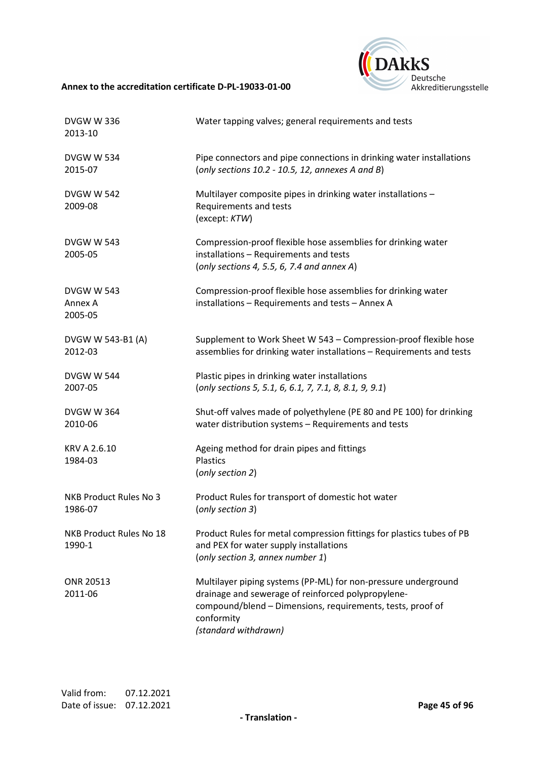

| <b>DVGW W 336</b><br>2013-10            | Water tapping valves; general requirements and tests                                                                                                                                                                     |
|-----------------------------------------|--------------------------------------------------------------------------------------------------------------------------------------------------------------------------------------------------------------------------|
| <b>DVGW W 534</b><br>2015-07            | Pipe connectors and pipe connections in drinking water installations<br>(only sections $10.2 - 10.5$ , 12, annexes A and B)                                                                                              |
| <b>DVGW W 542</b><br>2009-08            | Multilayer composite pipes in drinking water installations -<br>Requirements and tests<br>(except: KTW)                                                                                                                  |
| <b>DVGW W 543</b><br>2005-05            | Compression-proof flexible hose assemblies for drinking water<br>installations - Requirements and tests<br>(only sections 4, 5.5, 6, 7.4 and annex A)                                                                    |
| <b>DVGW W 543</b><br>Annex A<br>2005-05 | Compression-proof flexible hose assemblies for drinking water<br>installations - Requirements and tests - Annex A                                                                                                        |
| DVGW W 543-B1 (A)<br>2012-03            | Supplement to Work Sheet W 543 - Compression-proof flexible hose<br>assemblies for drinking water installations - Requirements and tests                                                                                 |
| <b>DVGW W 544</b><br>2007-05            | Plastic pipes in drinking water installations<br>(only sections 5, 5.1, 6, 6.1, 7, 7.1, 8, 8.1, 9, 9.1)                                                                                                                  |
| <b>DVGW W 364</b><br>2010-06            | Shut-off valves made of polyethylene (PE 80 and PE 100) for drinking<br>water distribution systems - Requirements and tests                                                                                              |
| KRV A 2.6.10<br>1984-03                 | Ageing method for drain pipes and fittings<br><b>Plastics</b><br>(only section 2)                                                                                                                                        |
| NKB Product Rules No 3<br>1986-07       | Product Rules for transport of domestic hot water<br>(only section 3)                                                                                                                                                    |
| NKB Product Rules No 18<br>1990-1       | Product Rules for metal compression fittings for plastics tubes of PB<br>and PEX for water supply installations<br>(only section 3, annex number 1)                                                                      |
| <b>ONR 20513</b><br>2011-06             | Multilayer piping systems (PP-ML) for non-pressure underground<br>drainage and sewerage of reinforced polypropylene-<br>compound/blend - Dimensions, requirements, tests, proof of<br>conformity<br>(standard withdrawn) |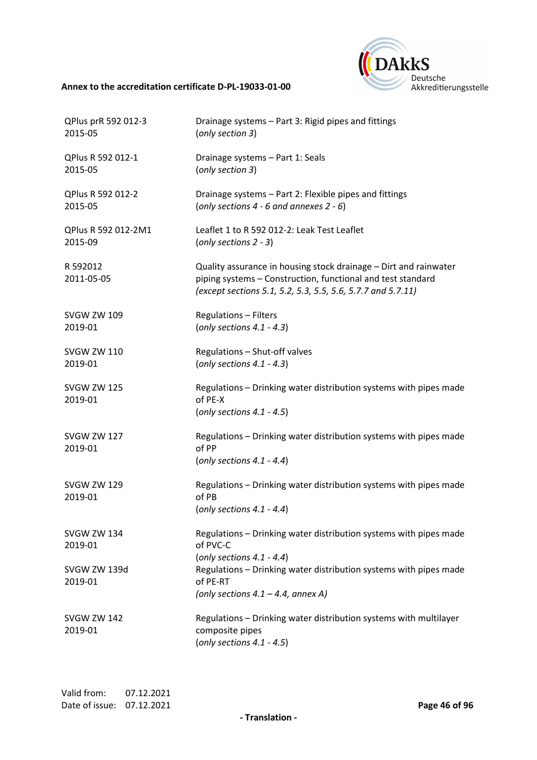

| QPlus prR 592 012-3<br>2015-05 | Drainage systems - Part 3: Rigid pipes and fittings<br>(only section 3)                                                                                                                        |
|--------------------------------|------------------------------------------------------------------------------------------------------------------------------------------------------------------------------------------------|
| QPlus R 592 012-1<br>2015-05   | Drainage systems - Part 1: Seals<br>(only section 3)                                                                                                                                           |
| QPlus R 592 012-2<br>2015-05   | Drainage systems - Part 2: Flexible pipes and fittings<br>(only sections $4 - 6$ and annexes $2 - 6$ )                                                                                         |
| QPlus R 592 012-2M1<br>2015-09 | Leaflet 1 to R 592 012-2: Leak Test Leaflet<br>(only sections $2 - 3$ )                                                                                                                        |
| R 592012<br>2011-05-05         | Quality assurance in housing stock drainage - Dirt and rainwater<br>piping systems - Construction, functional and test standard<br>(except sections 5.1, 5.2, 5.3, 5.5, 5.6, 5.7.7 and 5.7.11) |
| <b>SVGW ZW 109</b><br>2019-01  | <b>Regulations - Filters</b><br>(only sections $4.1 - 4.3$ )                                                                                                                                   |
| <b>SVGW ZW 110</b><br>2019-01  | Regulations - Shut-off valves<br>(only sections $4.1 - 4.3$ )                                                                                                                                  |
| <b>SVGW ZW 125</b><br>2019-01  | Regulations - Drinking water distribution systems with pipes made<br>of PE-X<br>(only sections $4.1 - 4.5$ )                                                                                   |
| <b>SVGW ZW 127</b><br>2019-01  | Regulations - Drinking water distribution systems with pipes made<br>of PP<br>(only sections $4.1 - 4.4$ )                                                                                     |
| <b>SVGW ZW 129</b><br>2019-01  | Regulations - Drinking water distribution systems with pipes made<br>of PB<br>(only sections $4.1 - 4.4$ )                                                                                     |
| <b>SVGW ZW 134</b><br>2019-01  | Regulations - Drinking water distribution systems with pipes made<br>of PVC-C<br>(only sections $4.1 - 4.4$ )                                                                                  |
| SVGW ZW 139d<br>2019-01        | Regulations - Drinking water distribution systems with pipes made<br>of PE-RT<br>(only sections $4.1 - 4.4$ , annex A)                                                                         |
| <b>SVGW ZW 142</b><br>2019-01  | Regulations - Drinking water distribution systems with multilayer<br>composite pipes<br>(only sections $4.1 - 4.5$ )                                                                           |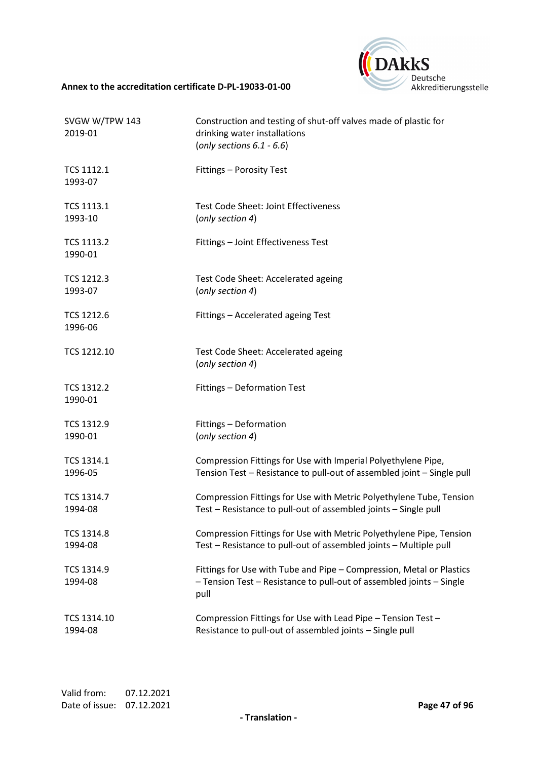

| SVGW W/TPW 143<br>2019-01    | Construction and testing of shut-off valves made of plastic for<br>drinking water installations<br>(only sections $6.1 - 6.6$ )                      |
|------------------------------|------------------------------------------------------------------------------------------------------------------------------------------------------|
| <b>TCS 1112.1</b><br>1993-07 | Fittings - Porosity Test                                                                                                                             |
| <b>TCS 1113.1</b>            | <b>Test Code Sheet: Joint Effectiveness</b>                                                                                                          |
| 1993-10                      | (only section 4)                                                                                                                                     |
| <b>TCS 1113.2</b><br>1990-01 | Fittings - Joint Effectiveness Test                                                                                                                  |
| <b>TCS 1212.3</b>            | Test Code Sheet: Accelerated ageing                                                                                                                  |
| 1993-07                      | (only section 4)                                                                                                                                     |
| <b>TCS 1212.6</b><br>1996-06 | Fittings - Accelerated ageing Test                                                                                                                   |
| TCS 1212.10                  | Test Code Sheet: Accelerated ageing<br>(only section 4)                                                                                              |
| <b>TCS 1312.2</b><br>1990-01 | Fittings - Deformation Test                                                                                                                          |
| <b>TCS 1312.9</b>            | Fittings - Deformation                                                                                                                               |
| 1990-01                      | (only section 4)                                                                                                                                     |
| TCS 1314.1                   | Compression Fittings for Use with Imperial Polyethylene Pipe,                                                                                        |
| 1996-05                      | Tension Test - Resistance to pull-out of assembled joint - Single pull                                                                               |
| <b>TCS 1314.7</b>            | Compression Fittings for Use with Metric Polyethylene Tube, Tension                                                                                  |
| 1994-08                      | Test - Resistance to pull-out of assembled joints - Single pull                                                                                      |
| <b>TCS 1314.8</b>            | Compression Fittings for Use with Metric Polyethylene Pipe, Tension                                                                                  |
| 1994-08                      | Test - Resistance to pull-out of assembled joints - Multiple pull                                                                                    |
| TCS 1314.9<br>1994-08        | Fittings for Use with Tube and Pipe - Compression, Metal or Plastics<br>- Tension Test - Resistance to pull-out of assembled joints - Single<br>pull |
| TCS 1314.10                  | Compression Fittings for Use with Lead Pipe - Tension Test -                                                                                         |
| 1994-08                      | Resistance to pull-out of assembled joints - Single pull                                                                                             |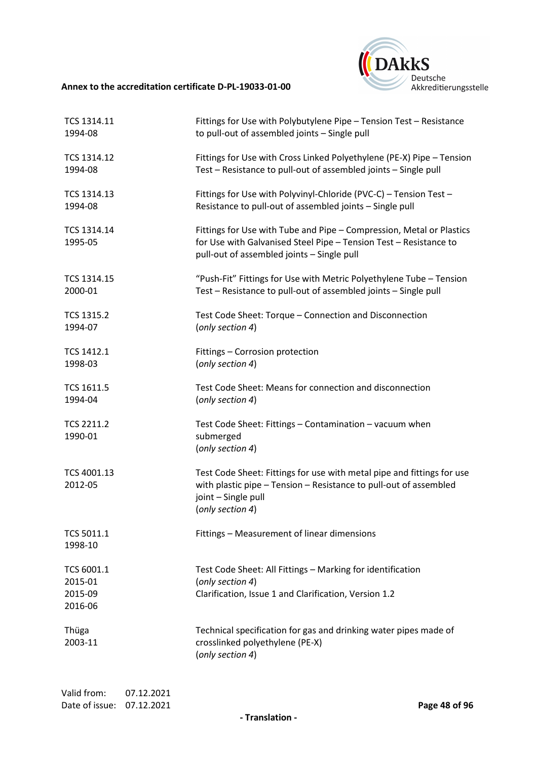

| TCS 1314.11                                 | Fittings for Use with Polybutylene Pipe - Tension Test - Resistance                                                                                                                     |
|---------------------------------------------|-----------------------------------------------------------------------------------------------------------------------------------------------------------------------------------------|
| 1994-08                                     | to pull-out of assembled joints - Single pull                                                                                                                                           |
| TCS 1314.12                                 | Fittings for Use with Cross Linked Polyethylene (PE-X) Pipe - Tension                                                                                                                   |
| 1994-08                                     | Test - Resistance to pull-out of assembled joints - Single pull                                                                                                                         |
| TCS 1314.13                                 | Fittings for Use with Polyvinyl-Chloride (PVC-C) - Tension Test -                                                                                                                       |
| 1994-08                                     | Resistance to pull-out of assembled joints - Single pull                                                                                                                                |
| TCS 1314.14<br>1995-05                      | Fittings for Use with Tube and Pipe - Compression, Metal or Plastics<br>for Use with Galvanised Steel Pipe - Tension Test - Resistance to<br>pull-out of assembled joints - Single pull |
| TCS 1314.15                                 | "Push-Fit" Fittings for Use with Metric Polyethylene Tube - Tension                                                                                                                     |
| 2000-01                                     | Test - Resistance to pull-out of assembled joints - Single pull                                                                                                                         |
| <b>TCS 1315.2</b>                           | Test Code Sheet: Torque - Connection and Disconnection                                                                                                                                  |
| 1994-07                                     | (only section 4)                                                                                                                                                                        |
| TCS 1412.1                                  | Fittings - Corrosion protection                                                                                                                                                         |
| 1998-03                                     | (only section 4)                                                                                                                                                                        |
| <b>TCS 1611.5</b>                           | Test Code Sheet: Means for connection and disconnection                                                                                                                                 |
| 1994-04                                     | (only section 4)                                                                                                                                                                        |
| <b>TCS 2211.2</b><br>1990-01                | Test Code Sheet: Fittings - Contamination - vacuum when<br>submerged<br>(only section 4)                                                                                                |
| TCS 4001.13<br>2012-05                      | Test Code Sheet: Fittings for use with metal pipe and fittings for use<br>with plastic pipe - Tension - Resistance to pull-out of assembled<br>joint - Single pull<br>(only section 4)  |
| TCS 5011.1<br>1998-10                       | Fittings - Measurement of linear dimensions                                                                                                                                             |
| TCS 6001.1<br>2015-01<br>2015-09<br>2016-06 | Test Code Sheet: All Fittings - Marking for identification<br>(only section 4)<br>Clarification, Issue 1 and Clarification, Version 1.2                                                 |
| Thüga<br>2003-11                            | Technical specification for gas and drinking water pipes made of<br>crosslinked polyethylene (PE-X)<br>(only section 4)                                                                 |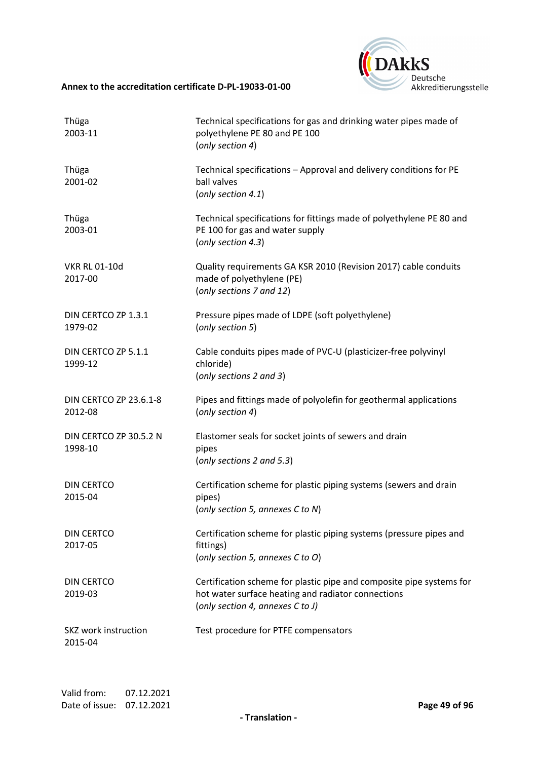

| Thüga<br>2003-11                  | Technical specifications for gas and drinking water pipes made of<br>polyethylene PE 80 and PE 100<br>(only section 4)                                         |
|-----------------------------------|----------------------------------------------------------------------------------------------------------------------------------------------------------------|
| Thüga<br>2001-02                  | Technical specifications - Approval and delivery conditions for PE<br>ball valves<br>(only section 4.1)                                                        |
| Thüga<br>2003-01                  | Technical specifications for fittings made of polyethylene PE 80 and<br>PE 100 for gas and water supply<br>(only section 4.3)                                  |
| <b>VKR RL 01-10d</b><br>2017-00   | Quality requirements GA KSR 2010 (Revision 2017) cable conduits<br>made of polyethylene (PE)<br>(only sections 7 and 12)                                       |
| DIN CERTCO ZP 1.3.1<br>1979-02    | Pressure pipes made of LDPE (soft polyethylene)<br>(only section 5)                                                                                            |
| DIN CERTCO ZP 5.1.1<br>1999-12    | Cable conduits pipes made of PVC-U (plasticizer-free polyvinyl<br>chloride)<br>(only sections 2 and 3)                                                         |
| DIN CERTCO ZP 23.6.1-8<br>2012-08 | Pipes and fittings made of polyolefin for geothermal applications<br>(only section 4)                                                                          |
| DIN CERTCO ZP 30.5.2 N<br>1998-10 | Elastomer seals for socket joints of sewers and drain<br>pipes<br>(only sections 2 and 5.3)                                                                    |
| <b>DIN CERTCO</b><br>2015-04      | Certification scheme for plastic piping systems (sewers and drain<br>pipes)<br>(only section 5, annexes C to N)                                                |
| DIN CERTCO<br>2017-05             | Certification scheme for plastic piping systems (pressure pipes and<br>fittings)<br>(only section 5, annexes C to O)                                           |
| <b>DIN CERTCO</b><br>2019-03      | Certification scheme for plastic pipe and composite pipe systems for<br>hot water surface heating and radiator connections<br>(only section 4, annexes C to J) |
| SKZ work instruction<br>2015-04   | Test procedure for PTFE compensators                                                                                                                           |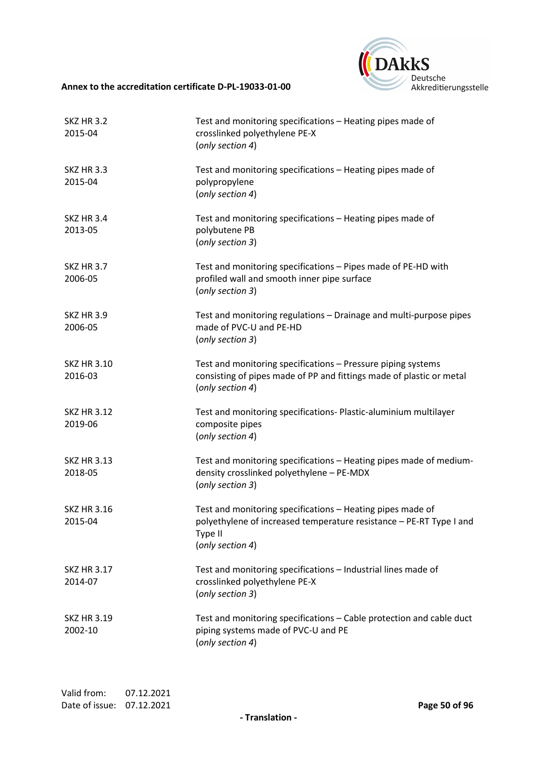

| <b>SKZ HR 3.2</b><br>2015-04  | Test and monitoring specifications - Heating pipes made of<br>crosslinked polyethylene PE-X<br>(only section 4)                                                  |
|-------------------------------|------------------------------------------------------------------------------------------------------------------------------------------------------------------|
| <b>SKZ HR 3.3</b><br>2015-04  | Test and monitoring specifications - Heating pipes made of<br>polypropylene<br>(only section 4)                                                                  |
| <b>SKZ HR 3.4</b><br>2013-05  | Test and monitoring specifications - Heating pipes made of<br>polybutene PB<br>(only section 3)                                                                  |
| <b>SKZ HR 3.7</b><br>2006-05  | Test and monitoring specifications - Pipes made of PE-HD with<br>profiled wall and smooth inner pipe surface<br>(only section 3)                                 |
| <b>SKZ HR 3.9</b><br>2006-05  | Test and monitoring regulations - Drainage and multi-purpose pipes<br>made of PVC-U and PE-HD<br>(only section 3)                                                |
| <b>SKZ HR 3.10</b><br>2016-03 | Test and monitoring specifications - Pressure piping systems<br>consisting of pipes made of PP and fittings made of plastic or metal<br>(only section 4)         |
| <b>SKZ HR 3.12</b><br>2019-06 | Test and monitoring specifications- Plastic-aluminium multilayer<br>composite pipes<br>(only section 4)                                                          |
| <b>SKZ HR 3.13</b><br>2018-05 | Test and monitoring specifications - Heating pipes made of medium-<br>density crosslinked polyethylene - PE-MDX<br>(only section 3)                              |
| <b>SKZ HR 3.16</b><br>2015-04 | Test and monitoring specifications - Heating pipes made of<br>polyethylene of increased temperature resistance - PE-RT Type I and<br>Type II<br>(only section 4) |
| <b>SKZ HR 3.17</b><br>2014-07 | Test and monitoring specifications - Industrial lines made of<br>crosslinked polyethylene PE-X<br>(only section 3)                                               |
| <b>SKZ HR 3.19</b><br>2002-10 | Test and monitoring specifications - Cable protection and cable duct<br>piping systems made of PVC-U and PE<br>(only section 4)                                  |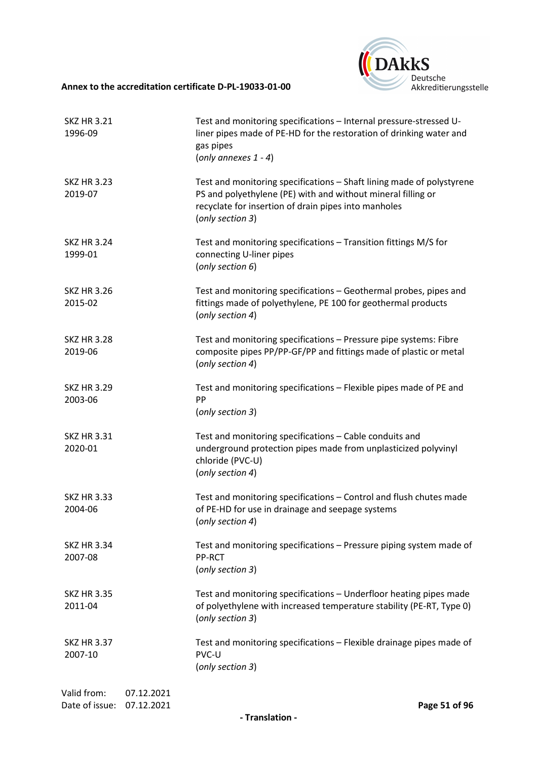

| <b>SKZ HR 3.21</b><br>1996-09 |                          | Test and monitoring specifications - Internal pressure-stressed U-<br>liner pipes made of PE-HD for the restoration of drinking water and<br>gas pipes<br>(only annexes $1 - 4$ )                                 |
|-------------------------------|--------------------------|-------------------------------------------------------------------------------------------------------------------------------------------------------------------------------------------------------------------|
| <b>SKZ HR 3.23</b><br>2019-07 |                          | Test and monitoring specifications - Shaft lining made of polystyrene<br>PS and polyethylene (PE) with and without mineral filling or<br>recyclate for insertion of drain pipes into manholes<br>(only section 3) |
| <b>SKZ HR 3.24</b><br>1999-01 |                          | Test and monitoring specifications - Transition fittings M/S for<br>connecting U-liner pipes<br>(only section 6)                                                                                                  |
| <b>SKZ HR 3.26</b><br>2015-02 |                          | Test and monitoring specifications - Geothermal probes, pipes and<br>fittings made of polyethylene, PE 100 for geothermal products<br>(only section 4)                                                            |
| <b>SKZ HR 3.28</b><br>2019-06 |                          | Test and monitoring specifications - Pressure pipe systems: Fibre<br>composite pipes PP/PP-GF/PP and fittings made of plastic or metal<br>(only section 4)                                                        |
| <b>SKZ HR 3.29</b><br>2003-06 |                          | Test and monitoring specifications - Flexible pipes made of PE and<br>PP<br>(only section 3)                                                                                                                      |
| <b>SKZ HR 3.31</b><br>2020-01 |                          | Test and monitoring specifications - Cable conduits and<br>underground protection pipes made from unplasticized polyvinyl<br>chloride (PVC-U)<br>(only section 4)                                                 |
| <b>SKZ HR 3.33</b><br>2004-06 |                          | Test and monitoring specifications - Control and flush chutes made<br>of PE-HD for use in drainage and seepage systems<br>(only section 4)                                                                        |
| <b>SKZ HR 3.34</b><br>2007-08 |                          | Test and monitoring specifications - Pressure piping system made of<br><b>PP-RCT</b><br>(only section 3)                                                                                                          |
| <b>SKZ HR 3.35</b><br>2011-04 |                          | Test and monitoring specifications - Underfloor heating pipes made<br>of polyethylene with increased temperature stability (PE-RT, Type 0)<br>(only section 3)                                                    |
| <b>SKZ HR 3.37</b><br>2007-10 |                          | Test and monitoring specifications - Flexible drainage pipes made of<br>PVC-U<br>(only section 3)                                                                                                                 |
| Valid from:<br>Date of issue: | 07.12.2021<br>07.12.2021 | Page 51 of 96                                                                                                                                                                                                     |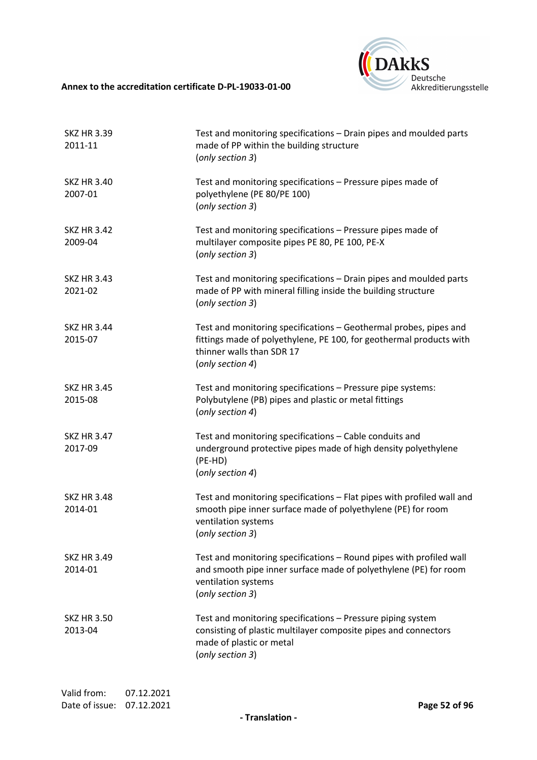

| <b>SKZ HR 3.39</b><br>2011-11 | Test and monitoring specifications - Drain pipes and moulded parts<br>made of PP within the building structure<br>(only section 3)                                                        |
|-------------------------------|-------------------------------------------------------------------------------------------------------------------------------------------------------------------------------------------|
| <b>SKZ HR 3.40</b><br>2007-01 | Test and monitoring specifications - Pressure pipes made of<br>polyethylene (PE 80/PE 100)<br>(only section 3)                                                                            |
| <b>SKZ HR 3.42</b><br>2009-04 | Test and monitoring specifications - Pressure pipes made of<br>multilayer composite pipes PE 80, PE 100, PE-X<br>(only section 3)                                                         |
| <b>SKZ HR 3.43</b><br>2021-02 | Test and monitoring specifications - Drain pipes and moulded parts<br>made of PP with mineral filling inside the building structure<br>(only section 3)                                   |
| <b>SKZ HR 3.44</b><br>2015-07 | Test and monitoring specifications - Geothermal probes, pipes and<br>fittings made of polyethylene, PE 100, for geothermal products with<br>thinner walls than SDR 17<br>(only section 4) |
| <b>SKZ HR 3.45</b><br>2015-08 | Test and monitoring specifications - Pressure pipe systems:<br>Polybutylene (PB) pipes and plastic or metal fittings<br>(only section 4)                                                  |
| <b>SKZ HR 3.47</b><br>2017-09 | Test and monitoring specifications - Cable conduits and<br>underground protective pipes made of high density polyethylene<br>(PE-HD)<br>(only section 4)                                  |
| <b>SKZ HR 3.48</b><br>2014-01 | Test and monitoring specifications - Flat pipes with profiled wall and<br>smooth pipe inner surface made of polyethylene (PE) for room<br>ventilation systems<br>(only section 3)         |
| <b>SKZ HR 3.49</b><br>2014-01 | Test and monitoring specifications - Round pipes with profiled wall<br>and smooth pipe inner surface made of polyethylene (PE) for room<br>ventilation systems<br>(only section 3)        |
| <b>SKZ HR 3.50</b><br>2013-04 | Test and monitoring specifications - Pressure piping system<br>consisting of plastic multilayer composite pipes and connectors<br>made of plastic or metal<br>(only section 3)            |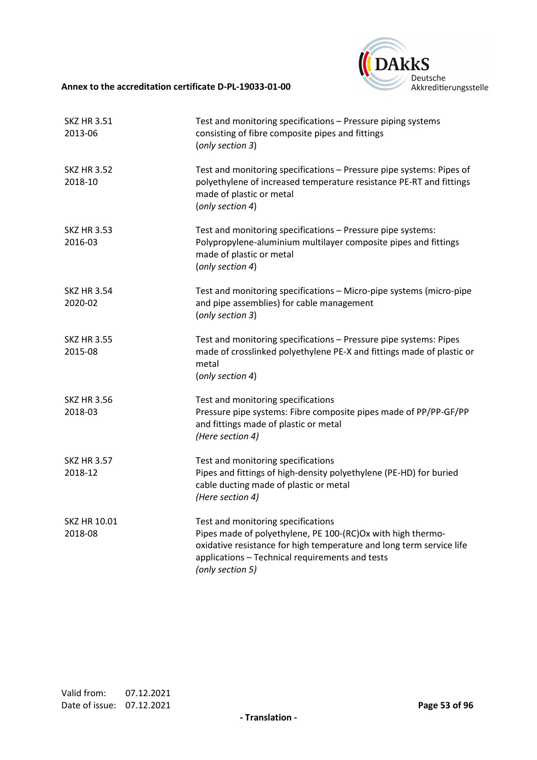

| <b>SKZ HR 3.51</b><br>2013-06 | Test and monitoring specifications - Pressure piping systems<br>consisting of fibre composite pipes and fittings<br>(only section 3)                                                                                                             |
|-------------------------------|--------------------------------------------------------------------------------------------------------------------------------------------------------------------------------------------------------------------------------------------------|
| <b>SKZ HR 3.52</b><br>2018-10 | Test and monitoring specifications - Pressure pipe systems: Pipes of<br>polyethylene of increased temperature resistance PE-RT and fittings<br>made of plastic or metal<br>(only section 4)                                                      |
| <b>SKZ HR 3.53</b><br>2016-03 | Test and monitoring specifications - Pressure pipe systems:<br>Polypropylene-aluminium multilayer composite pipes and fittings<br>made of plastic or metal<br>(only section 4)                                                                   |
| <b>SKZ HR 3.54</b><br>2020-02 | Test and monitoring specifications - Micro-pipe systems (micro-pipe<br>and pipe assemblies) for cable management<br>(only section 3)                                                                                                             |
| <b>SKZ HR 3.55</b><br>2015-08 | Test and monitoring specifications - Pressure pipe systems: Pipes<br>made of crosslinked polyethylene PE-X and fittings made of plastic or<br>metal<br>(only section 4)                                                                          |
| <b>SKZ HR 3.56</b><br>2018-03 | Test and monitoring specifications<br>Pressure pipe systems: Fibre composite pipes made of PP/PP-GF/PP<br>and fittings made of plastic or metal<br>(Here section 4)                                                                              |
| <b>SKZ HR 3.57</b><br>2018-12 | Test and monitoring specifications<br>Pipes and fittings of high-density polyethylene (PE-HD) for buried<br>cable ducting made of plastic or metal<br>(Here section 4)                                                                           |
| SKZ HR 10.01<br>2018-08       | Test and monitoring specifications<br>Pipes made of polyethylene, PE 100-(RC)Ox with high thermo-<br>oxidative resistance for high temperature and long term service life<br>applications - Technical requirements and tests<br>(only section 5) |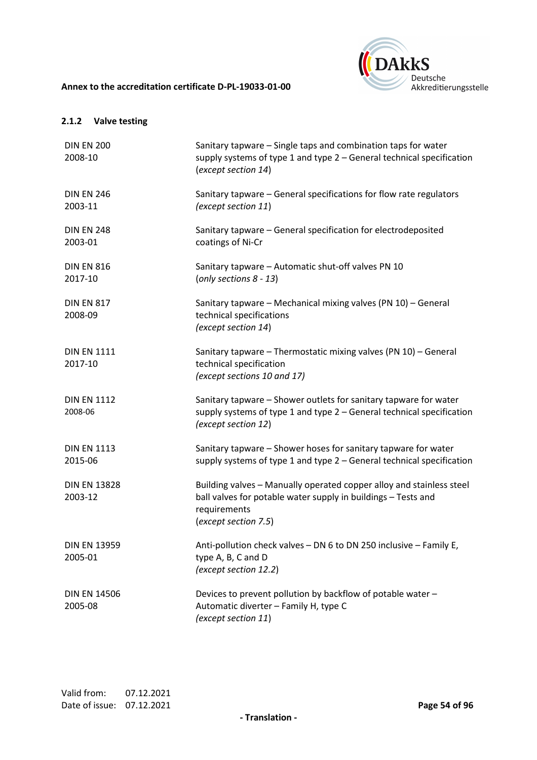

## **2.1.2 Valve testing**

| <b>DIN EN 200</b><br>2008-10   | Sanitary tapware - Single taps and combination taps for water<br>supply systems of type 1 and type 2 - General technical specification<br>(except section 14)                 |
|--------------------------------|-------------------------------------------------------------------------------------------------------------------------------------------------------------------------------|
| <b>DIN EN 246</b><br>2003-11   | Sanitary tapware - General specifications for flow rate regulators<br>(except section 11)                                                                                     |
| <b>DIN EN 248</b><br>2003-01   | Sanitary tapware - General specification for electrodeposited<br>coatings of Ni-Cr                                                                                            |
| <b>DIN EN 816</b><br>2017-10   | Sanitary tapware - Automatic shut-off valves PN 10<br>(only sections $8 - 13$ )                                                                                               |
| <b>DIN EN 817</b><br>2008-09   | Sanitary tapware - Mechanical mixing valves (PN 10) - General<br>technical specifications<br>(except section 14)                                                              |
| <b>DIN EN 1111</b><br>2017-10  | Sanitary tapware - Thermostatic mixing valves (PN 10) - General<br>technical specification<br>(except sections 10 and 17)                                                     |
| <b>DIN EN 1112</b><br>2008-06  | Sanitary tapware - Shower outlets for sanitary tapware for water<br>supply systems of type 1 and type 2 - General technical specification<br>(except section 12)              |
| <b>DIN EN 1113</b><br>2015-06  | Sanitary tapware - Shower hoses for sanitary tapware for water<br>supply systems of type 1 and type 2 - General technical specification                                       |
| <b>DIN EN 13828</b><br>2003-12 | Building valves - Manually operated copper alloy and stainless steel<br>ball valves for potable water supply in buildings - Tests and<br>requirements<br>(except section 7.5) |
| <b>DIN EN 13959</b><br>2005-01 | Anti-pollution check valves - DN 6 to DN 250 inclusive - Family E,<br>type A, B, C and D<br>(except section 12.2)                                                             |
| <b>DIN EN 14506</b><br>2005-08 | Devices to prevent pollution by backflow of potable water -<br>Automatic diverter - Family H, type C<br>(except section 11)                                                   |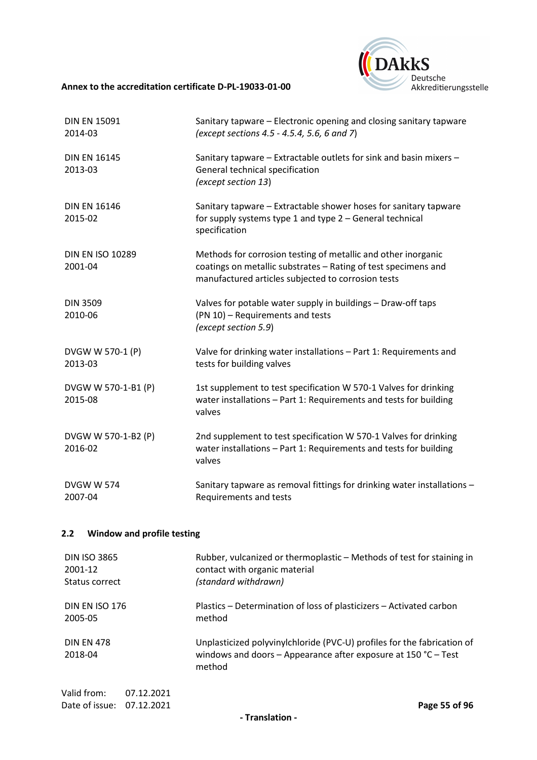

| <b>DIN EN 15091</b><br>2014-03     | Sanitary tapware – Electronic opening and closing sanitary tapware<br>(except sections 4.5 - 4.5.4, 5.6, 6 and 7)                                                                     |
|------------------------------------|---------------------------------------------------------------------------------------------------------------------------------------------------------------------------------------|
| <b>DIN EN 16145</b><br>2013-03     | Sanitary tapware - Extractable outlets for sink and basin mixers -<br>General technical specification<br>(except section 13)                                                          |
| <b>DIN EN 16146</b><br>2015-02     | Sanitary tapware - Extractable shower hoses for sanitary tapware<br>for supply systems type 1 and type 2 - General technical<br>specification                                         |
| <b>DIN EN ISO 10289</b><br>2001-04 | Methods for corrosion testing of metallic and other inorganic<br>coatings on metallic substrates - Rating of test specimens and<br>manufactured articles subjected to corrosion tests |
| <b>DIN 3509</b><br>2010-06         | Valves for potable water supply in buildings - Draw-off taps<br>(PN 10) - Requirements and tests<br>(except section 5.9)                                                              |
| DVGW W 570-1 (P)<br>2013-03        | Valve for drinking water installations - Part 1: Requirements and<br>tests for building valves                                                                                        |
| DVGW W 570-1-B1 (P)<br>2015-08     | 1st supplement to test specification W 570-1 Valves for drinking<br>water installations - Part 1: Requirements and tests for building<br>valves                                       |
| DVGW W 570-1-B2 (P)<br>2016-02     | 2nd supplement to test specification W 570-1 Valves for drinking<br>water installations - Part 1: Requirements and tests for building<br>valves                                       |
| <b>DVGW W 574</b><br>2007-04       | Sanitary tapware as removal fittings for drinking water installations -<br>Requirements and tests                                                                                     |

# **2.2 Window and profile testing**

| <b>DIN ISO 3865</b>                                    | Rubber, vulcanized or thermoplastic – Methods of test for staining in                                                                                         |
|--------------------------------------------------------|---------------------------------------------------------------------------------------------------------------------------------------------------------------|
| 2001-12                                                | contact with organic material                                                                                                                                 |
| Status correct                                         | (standard withdrawn)                                                                                                                                          |
| <b>DIN EN ISO 176</b>                                  | Plastics – Determination of loss of plasticizers – Activated carbon                                                                                           |
| 2005-05                                                | method                                                                                                                                                        |
| <b>DIN EN 478</b><br>2018-04                           | Unplasticized polyvinylchloride (PVC-U) profiles for the fabrication of<br>windows and doors - Appearance after exposure at 150 $^{\circ}$ C - Test<br>method |
| Valid from:<br>07.12.2021<br>Date of issue: 07.12.2021 | Page 55 of 96                                                                                                                                                 |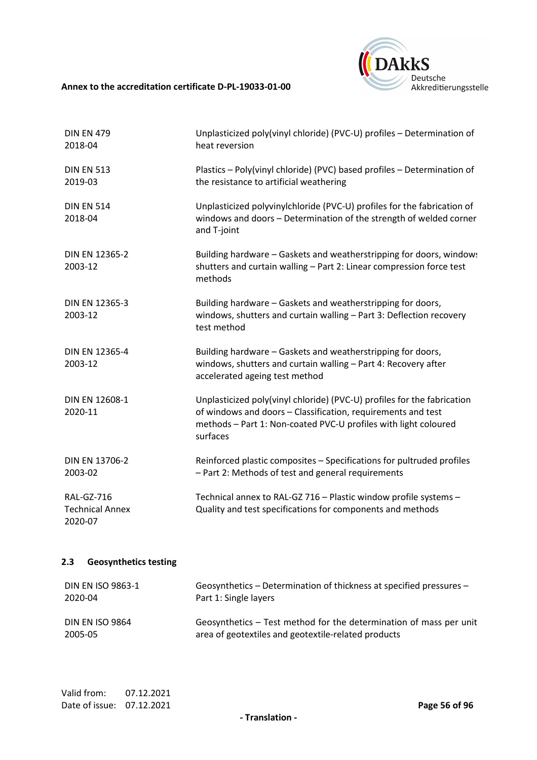

| <b>DIN EN 479</b><br>2018-04                           | Unplasticized poly(vinyl chloride) (PVC-U) profiles - Determination of<br>heat reversion                                                                                                                               |
|--------------------------------------------------------|------------------------------------------------------------------------------------------------------------------------------------------------------------------------------------------------------------------------|
| <b>DIN EN 513</b><br>2019-03                           | Plastics - Poly(vinyl chloride) (PVC) based profiles - Determination of<br>the resistance to artificial weathering                                                                                                     |
| <b>DIN EN 514</b><br>2018-04                           | Unplasticized polyvinylchloride (PVC-U) profiles for the fabrication of<br>windows and doors - Determination of the strength of welded corner<br>and T-joint                                                           |
| DIN EN 12365-2<br>2003-12                              | Building hardware - Gaskets and weatherstripping for doors, windows<br>shutters and curtain walling - Part 2: Linear compression force test<br>methods                                                                 |
| DIN EN 12365-3<br>2003-12                              | Building hardware - Gaskets and weatherstripping for doors,<br>windows, shutters and curtain walling - Part 3: Deflection recovery<br>test method                                                                      |
| DIN EN 12365-4<br>2003-12                              | Building hardware - Gaskets and weatherstripping for doors,<br>windows, shutters and curtain walling - Part 4: Recovery after<br>accelerated ageing test method                                                        |
| DIN EN 12608-1<br>2020-11                              | Unplasticized poly(vinyl chloride) (PVC-U) profiles for the fabrication<br>of windows and doors - Classification, requirements and test<br>methods - Part 1: Non-coated PVC-U profiles with light coloured<br>surfaces |
| DIN EN 13706-2<br>2003-02                              | Reinforced plastic composites - Specifications for pultruded profiles<br>- Part 2: Methods of test and general requirements                                                                                            |
| <b>RAL-GZ-716</b><br><b>Technical Annex</b><br>2020-07 | Technical annex to RAL-GZ 716 - Plastic window profile systems -<br>Quality and test specifications for components and methods                                                                                         |
| 2.3<br><b>Geosynthetics testing</b>                    |                                                                                                                                                                                                                        |
| <b>DIN EN ISO 9863-1</b><br>2020-04                    | Geosynthetics - Determination of thickness at specified pressures -<br>Part 1: Single layers                                                                                                                           |

DIN EN ISO 9864 2005-05 Geosynthetics – Test method for the determination of mass per unit area of geotextiles and geotextile-related products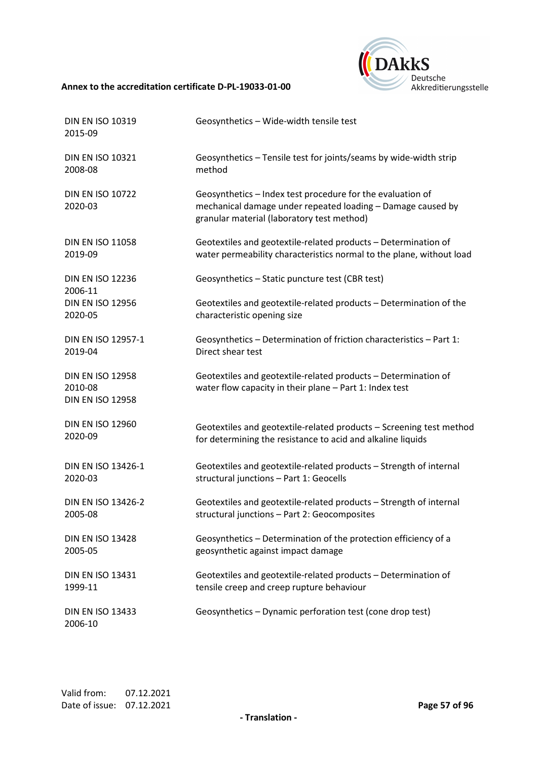

| <b>DIN EN ISO 10319</b><br>2015-09                            | Geosynthetics - Wide-width tensile test                                                                                                                                 |
|---------------------------------------------------------------|-------------------------------------------------------------------------------------------------------------------------------------------------------------------------|
| <b>DIN EN ISO 10321</b>                                       | Geosynthetics - Tensile test for joints/seams by wide-width strip                                                                                                       |
| 2008-08                                                       | method                                                                                                                                                                  |
| <b>DIN EN ISO 10722</b><br>2020-03                            | Geosynthetics - Index test procedure for the evaluation of<br>mechanical damage under repeated loading - Damage caused by<br>granular material (laboratory test method) |
| <b>DIN EN ISO 11058</b>                                       | Geotextiles and geotextile-related products - Determination of                                                                                                          |
| 2019-09                                                       | water permeability characteristics normal to the plane, without load                                                                                                    |
| <b>DIN EN ISO 12236</b><br>2006-11                            | Geosynthetics - Static puncture test (CBR test)                                                                                                                         |
| <b>DIN EN ISO 12956</b>                                       | Geotextiles and geotextile-related products - Determination of the                                                                                                      |
| 2020-05                                                       | characteristic opening size                                                                                                                                             |
| DIN EN ISO 12957-1                                            | Geosynthetics - Determination of friction characteristics - Part 1:                                                                                                     |
| 2019-04                                                       | Direct shear test                                                                                                                                                       |
| <b>DIN EN ISO 12958</b><br>2010-08<br><b>DIN EN ISO 12958</b> | Geotextiles and geotextile-related products - Determination of<br>water flow capacity in their plane - Part 1: Index test                                               |
| <b>DIN EN ISO 12960</b>                                       | Geotextiles and geotextile-related products - Screening test method                                                                                                     |
| 2020-09                                                       | for determining the resistance to acid and alkaline liquids                                                                                                             |
| DIN EN ISO 13426-1                                            | Geotextiles and geotextile-related products - Strength of internal                                                                                                      |
| 2020-03                                                       | structural junctions - Part 1: Geocells                                                                                                                                 |
| DIN EN ISO 13426-2                                            | Geotextiles and geotextile-related products - Strength of internal                                                                                                      |
| 2005-08                                                       | structural junctions - Part 2: Geocomposites                                                                                                                            |
| <b>DIN EN ISO 13428</b>                                       | Geosynthetics - Determination of the protection efficiency of a                                                                                                         |
| 2005-05                                                       | geosynthetic against impact damage                                                                                                                                      |
| <b>DIN EN ISO 13431</b>                                       | Geotextiles and geotextile-related products - Determination of                                                                                                          |
| 1999-11                                                       | tensile creep and creep rupture behaviour                                                                                                                               |
| <b>DIN EN ISO 13433</b><br>2006-10                            | Geosynthetics - Dynamic perforation test (cone drop test)                                                                                                               |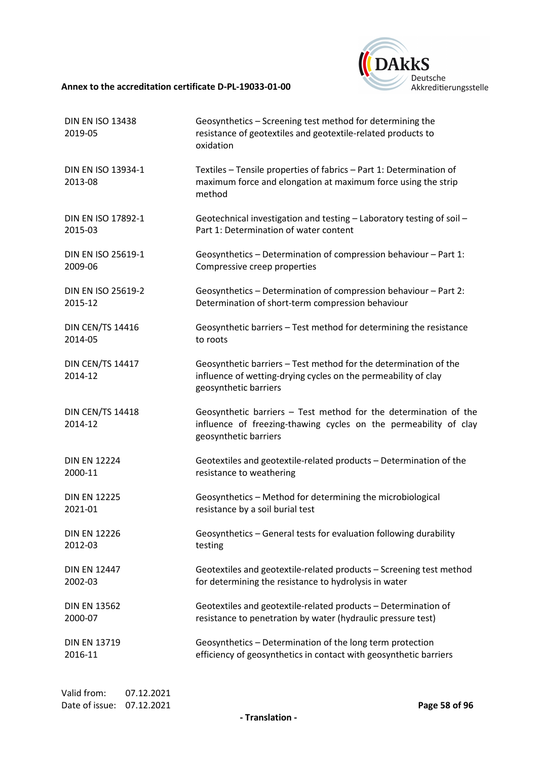

| <b>DIN EN ISO 13438</b><br>2019-05 | Geosynthetics - Screening test method for determining the<br>resistance of geotextiles and geotextile-related products to<br>oxidation                        |
|------------------------------------|---------------------------------------------------------------------------------------------------------------------------------------------------------------|
| DIN EN ISO 13934-1<br>2013-08      | Textiles - Tensile properties of fabrics - Part 1: Determination of<br>maximum force and elongation at maximum force using the strip<br>method                |
| DIN EN ISO 17892-1                 | Geotechnical investigation and testing - Laboratory testing of soil -                                                                                         |
| 2015-03                            | Part 1: Determination of water content                                                                                                                        |
| DIN EN ISO 25619-1                 | Geosynthetics - Determination of compression behaviour - Part 1:                                                                                              |
| 2009-06                            | Compressive creep properties                                                                                                                                  |
| <b>DIN EN ISO 25619-2</b>          | Geosynthetics - Determination of compression behaviour - Part 2:                                                                                              |
| 2015-12                            | Determination of short-term compression behaviour                                                                                                             |
| <b>DIN CEN/TS 14416</b>            | Geosynthetic barriers - Test method for determining the resistance                                                                                            |
| 2014-05                            | to roots                                                                                                                                                      |
| <b>DIN CEN/TS 14417</b><br>2014-12 | Geosynthetic barriers - Test method for the determination of the<br>influence of wetting-drying cycles on the permeability of clay<br>geosynthetic barriers   |
| <b>DIN CEN/TS 14418</b><br>2014-12 | Geosynthetic barriers - Test method for the determination of the<br>influence of freezing-thawing cycles on the permeability of clay<br>geosynthetic barriers |
| <b>DIN EN 12224</b>                | Geotextiles and geotextile-related products - Determination of the                                                                                            |
| 2000-11                            | resistance to weathering                                                                                                                                      |
| <b>DIN EN 12225</b>                | Geosynthetics - Method for determining the microbiological                                                                                                    |
| 2021-01                            | resistance by a soil burial test                                                                                                                              |
| <b>DIN EN 12226</b>                | Geosynthetics - General tests for evaluation following durability                                                                                             |
| 2012-03                            | testing                                                                                                                                                       |
| <b>DIN EN 12447</b>                | Geotextiles and geotextile-related products - Screening test method                                                                                           |
| 2002-03                            | for determining the resistance to hydrolysis in water                                                                                                         |
| <b>DIN EN 13562</b>                | Geotextiles and geotextile-related products - Determination of                                                                                                |
| 2000-07                            | resistance to penetration by water (hydraulic pressure test)                                                                                                  |
| <b>DIN EN 13719</b>                | Geosynthetics - Determination of the long term protection                                                                                                     |
| 2016-11                            | efficiency of geosynthetics in contact with geosynthetic barriers                                                                                             |
|                                    |                                                                                                                                                               |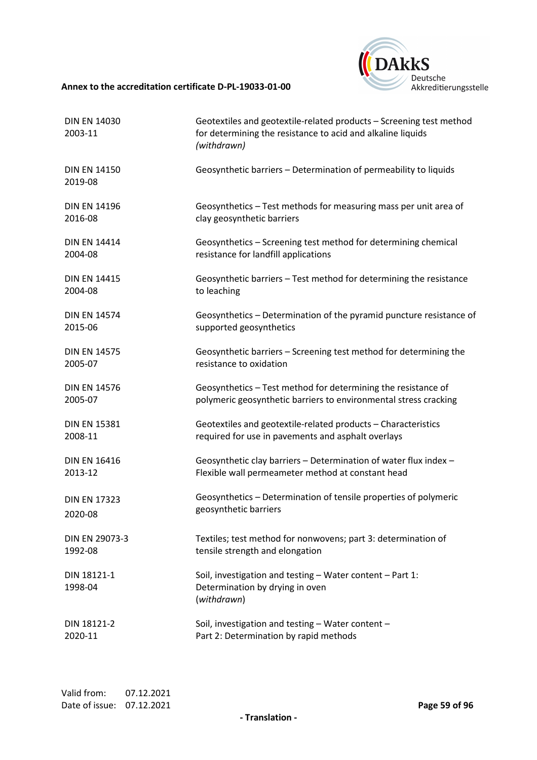

| <b>DIN EN 14030</b><br>2003-11 | Geotextiles and geotextile-related products - Screening test method<br>for determining the resistance to acid and alkaline liquids<br>(withdrawn) |
|--------------------------------|---------------------------------------------------------------------------------------------------------------------------------------------------|
| <b>DIN EN 14150</b><br>2019-08 | Geosynthetic barriers - Determination of permeability to liquids                                                                                  |
| <b>DIN EN 14196</b>            | Geosynthetics - Test methods for measuring mass per unit area of                                                                                  |
| 2016-08                        | clay geosynthetic barriers                                                                                                                        |
| <b>DIN EN 14414</b>            | Geosynthetics - Screening test method for determining chemical                                                                                    |
| 2004-08                        | resistance for landfill applications                                                                                                              |
| <b>DIN EN 14415</b>            | Geosynthetic barriers - Test method for determining the resistance                                                                                |
| 2004-08                        | to leaching                                                                                                                                       |
| <b>DIN EN 14574</b>            | Geosynthetics - Determination of the pyramid puncture resistance of                                                                               |
| 2015-06                        | supported geosynthetics                                                                                                                           |
| <b>DIN EN 14575</b>            | Geosynthetic barriers - Screening test method for determining the                                                                                 |
| 2005-07                        | resistance to oxidation                                                                                                                           |
| <b>DIN EN 14576</b>            | Geosynthetics - Test method for determining the resistance of                                                                                     |
| 2005-07                        | polymeric geosynthetic barriers to environmental stress cracking                                                                                  |
| <b>DIN EN 15381</b>            | Geotextiles and geotextile-related products - Characteristics                                                                                     |
| 2008-11                        | required for use in pavements and asphalt overlays                                                                                                |
| <b>DIN EN 16416</b>            | Geosynthetic clay barriers - Determination of water flux index -                                                                                  |
| 2013-12                        | Flexible wall permeameter method at constant head                                                                                                 |
| <b>DIN EN 17323</b>            | Geosynthetics - Determination of tensile properties of polymeric                                                                                  |
| 2020-08                        | geosynthetic barriers                                                                                                                             |
| DIN EN 29073-3                 | Textiles; test method for nonwovens; part 3: determination of                                                                                     |
| 1992-08                        | tensile strength and elongation                                                                                                                   |
| DIN 18121-1<br>1998-04         | Soil, investigation and testing - Water content - Part 1:<br>Determination by drying in oven<br>(withdrawn)                                       |
| DIN 18121-2                    | Soil, investigation and testing - Water content -                                                                                                 |
| 2020-11                        | Part 2: Determination by rapid methods                                                                                                            |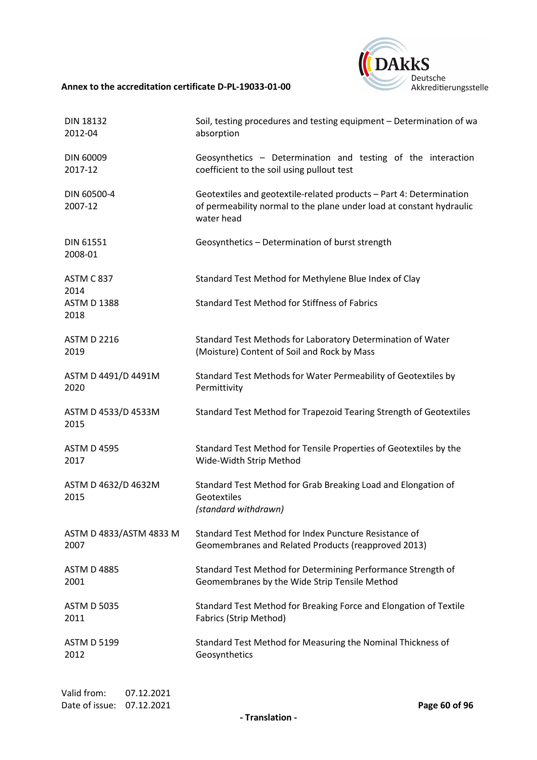

| <b>DIN 18132</b>            | Soil, testing procedures and testing equipment - Determination of wa                                                                                      |
|-----------------------------|-----------------------------------------------------------------------------------------------------------------------------------------------------------|
| 2012-04                     | absorption                                                                                                                                                |
| DIN 60009                   | Geosynthetics - Determination and testing of the interaction                                                                                              |
| 2017-12                     | coefficient to the soil using pullout test                                                                                                                |
| DIN 60500-4<br>2007-12      | Geotextiles and geotextile-related products - Part 4: Determination<br>of permeability normal to the plane under load at constant hydraulic<br>water head |
| <b>DIN 61551</b><br>2008-01 | Geosynthetics - Determination of burst strength                                                                                                           |
| ASTM C 837<br>2014          | Standard Test Method for Methylene Blue Index of Clay                                                                                                     |
| <b>ASTM D 1388</b><br>2018  | <b>Standard Test Method for Stiffness of Fabrics</b>                                                                                                      |
| <b>ASTM D 2216</b>          | Standard Test Methods for Laboratory Determination of Water                                                                                               |
| 2019                        | (Moisture) Content of Soil and Rock by Mass                                                                                                               |
| ASTM D 4491/D 4491M         | Standard Test Methods for Water Permeability of Geotextiles by                                                                                            |
| 2020                        | Permittivity                                                                                                                                              |
| ASTM D 4533/D 4533M<br>2015 | Standard Test Method for Trapezoid Tearing Strength of Geotextiles                                                                                        |
| <b>ASTM D 4595</b>          | Standard Test Method for Tensile Properties of Geotextiles by the                                                                                         |
| 2017                        | Wide-Width Strip Method                                                                                                                                   |
| ASTM D 4632/D 4632M<br>2015 | Standard Test Method for Grab Breaking Load and Elongation of<br>Geotextiles<br>(standard withdrawn)                                                      |
| ASTM D 4833/ASTM 4833 M     | Standard Test Method for Index Puncture Resistance of                                                                                                     |
| 2007                        | Geomembranes and Related Products (reapproved 2013)                                                                                                       |
| <b>ASTM D 4885</b>          | Standard Test Method for Determining Performance Strength of                                                                                              |
| 2001                        | Geomembranes by the Wide Strip Tensile Method                                                                                                             |
| <b>ASTM D 5035</b>          | Standard Test Method for Breaking Force and Elongation of Textile                                                                                         |
| 2011                        | Fabrics (Strip Method)                                                                                                                                    |
| <b>ASTM D 5199</b>          | Standard Test Method for Measuring the Nominal Thickness of                                                                                               |
| 2012                        | Geosynthetics                                                                                                                                             |
|                             |                                                                                                                                                           |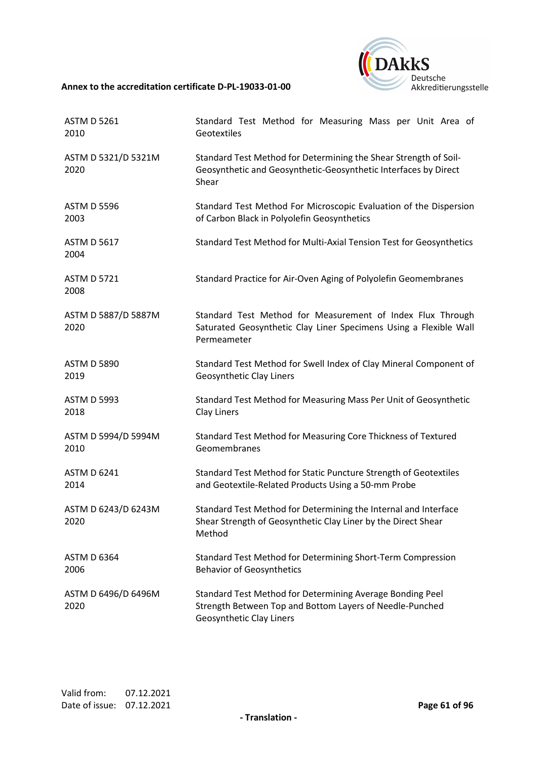

| <b>ASTM D 5261</b>          | Standard Test Method for Measuring Mass per Unit Area of                                                                                          |
|-----------------------------|---------------------------------------------------------------------------------------------------------------------------------------------------|
| 2010                        | Geotextiles                                                                                                                                       |
| ASTM D 5321/D 5321M<br>2020 | Standard Test Method for Determining the Shear Strength of Soil-<br>Geosynthetic and Geosynthetic-Geosynthetic Interfaces by Direct<br>Shear      |
| <b>ASTM D 5596</b>          | Standard Test Method For Microscopic Evaluation of the Dispersion                                                                                 |
| 2003                        | of Carbon Black in Polyolefin Geosynthetics                                                                                                       |
| <b>ASTM D 5617</b><br>2004  | Standard Test Method for Multi-Axial Tension Test for Geosynthetics                                                                               |
| <b>ASTM D 5721</b><br>2008  | Standard Practice for Air-Oven Aging of Polyolefin Geomembranes                                                                                   |
| ASTM D 5887/D 5887M<br>2020 | Standard Test Method for Measurement of Index Flux Through<br>Saturated Geosynthetic Clay Liner Specimens Using a Flexible Wall<br>Permeameter    |
| <b>ASTM D 5890</b>          | Standard Test Method for Swell Index of Clay Mineral Component of                                                                                 |
| 2019                        | Geosynthetic Clay Liners                                                                                                                          |
| <b>ASTM D 5993</b>          | Standard Test Method for Measuring Mass Per Unit of Geosynthetic                                                                                  |
| 2018                        | <b>Clay Liners</b>                                                                                                                                |
| ASTM D 5994/D 5994M         | Standard Test Method for Measuring Core Thickness of Textured                                                                                     |
| 2010                        | Geomembranes                                                                                                                                      |
| <b>ASTM D 6241</b>          | Standard Test Method for Static Puncture Strength of Geotextiles                                                                                  |
| 2014                        | and Geotextile-Related Products Using a 50-mm Probe                                                                                               |
| ASTM D 6243/D 6243M<br>2020 | Standard Test Method for Determining the Internal and Interface<br>Shear Strength of Geosynthetic Clay Liner by the Direct Shear<br>Method        |
| <b>ASTM D 6364</b>          | Standard Test Method for Determining Short-Term Compression                                                                                       |
| 2006                        | <b>Behavior of Geosynthetics</b>                                                                                                                  |
| ASTM D 6496/D 6496M<br>2020 | Standard Test Method for Determining Average Bonding Peel<br>Strength Between Top and Bottom Layers of Needle-Punched<br>Geosynthetic Clay Liners |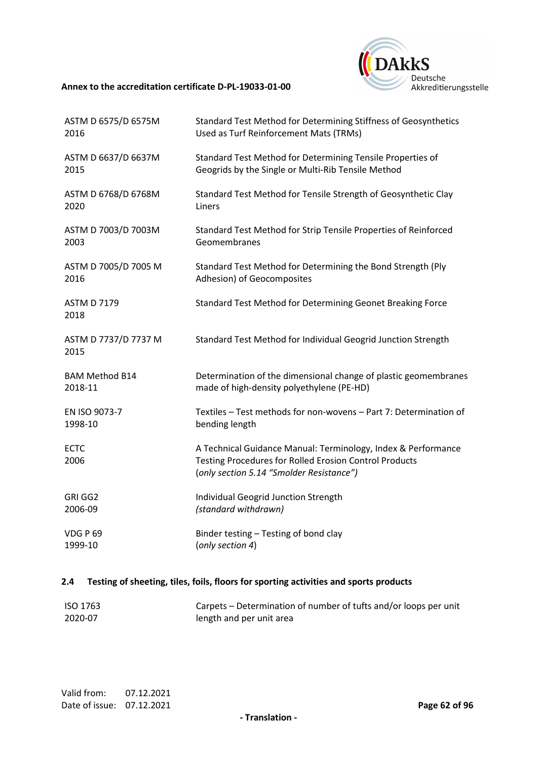

| ASTM D 6575/D 6575M          | Standard Test Method for Determining Stiffness of Geosynthetics                                                                                                     |
|------------------------------|---------------------------------------------------------------------------------------------------------------------------------------------------------------------|
| 2016                         | Used as Turf Reinforcement Mats (TRMs)                                                                                                                              |
| ASTM D 6637/D 6637M          | Standard Test Method for Determining Tensile Properties of                                                                                                          |
| 2015                         | Geogrids by the Single or Multi-Rib Tensile Method                                                                                                                  |
| ASTM D 6768/D 6768M          | Standard Test Method for Tensile Strength of Geosynthetic Clay                                                                                                      |
| 2020                         | Liners                                                                                                                                                              |
| ASTM D 7003/D 7003M          | Standard Test Method for Strip Tensile Properties of Reinforced                                                                                                     |
| 2003                         | Geomembranes                                                                                                                                                        |
| ASTM D 7005/D 7005 M         | Standard Test Method for Determining the Bond Strength (Ply                                                                                                         |
| 2016                         | Adhesion) of Geocomposites                                                                                                                                          |
| <b>ASTM D 7179</b><br>2018   | Standard Test Method for Determining Geonet Breaking Force                                                                                                          |
| ASTM D 7737/D 7737 M<br>2015 | Standard Test Method for Individual Geogrid Junction Strength                                                                                                       |
| <b>BAM Method B14</b>        | Determination of the dimensional change of plastic geomembranes                                                                                                     |
| 2018-11                      | made of high-density polyethylene (PE-HD)                                                                                                                           |
| EN ISO 9073-7                | Textiles - Test methods for non-wovens - Part 7: Determination of                                                                                                   |
| 1998-10                      | bending length                                                                                                                                                      |
| <b>ECTC</b><br>2006          | A Technical Guidance Manual: Terminology, Index & Performance<br>Testing Procedures for Rolled Erosion Control Products<br>(only section 5.14 "Smolder Resistance") |
| GRI GG2                      | Individual Geogrid Junction Strength                                                                                                                                |
| 2006-09                      | (standard withdrawn)                                                                                                                                                |
| VDG P 69                     | Binder testing - Testing of bond clay                                                                                                                               |
| 1999-10                      | (only section 4)                                                                                                                                                    |

# **2.4 Testing of sheeting, tiles, foils, floors for sporting activities and sports products**

| ISO 1763 | Carpets – Determination of number of tufts and/or loops per unit |
|----------|------------------------------------------------------------------|
| 2020-07  | length and per unit area                                         |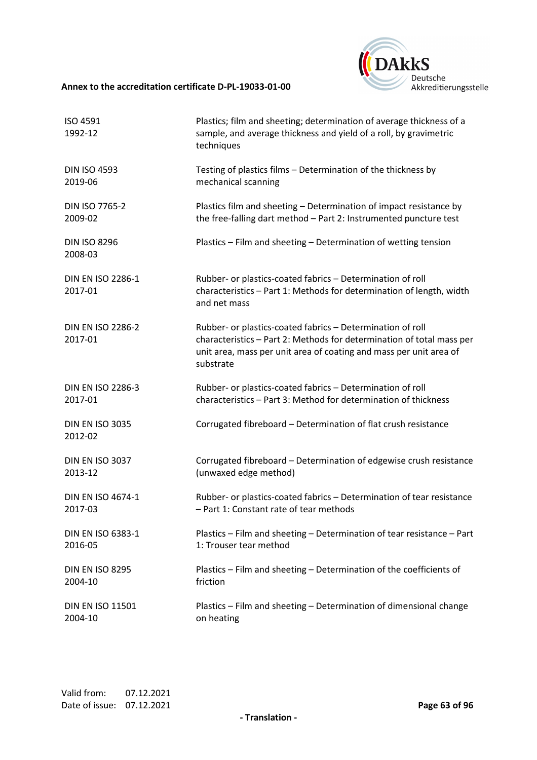

| ISO 4591<br>1992-12                 | Plastics; film and sheeting; determination of average thickness of a<br>sample, and average thickness and yield of a roll, by gravimetric<br>techniques                                                                |
|-------------------------------------|------------------------------------------------------------------------------------------------------------------------------------------------------------------------------------------------------------------------|
| <b>DIN ISO 4593</b>                 | Testing of plastics films - Determination of the thickness by                                                                                                                                                          |
| 2019-06                             | mechanical scanning                                                                                                                                                                                                    |
| DIN ISO 7765-2                      | Plastics film and sheeting - Determination of impact resistance by                                                                                                                                                     |
| 2009-02                             | the free-falling dart method - Part 2: Instrumented puncture test                                                                                                                                                      |
| <b>DIN ISO 8296</b><br>2008-03      | Plastics - Film and sheeting - Determination of wetting tension                                                                                                                                                        |
| <b>DIN EN ISO 2286-1</b><br>2017-01 | Rubber- or plastics-coated fabrics - Determination of roll<br>characteristics - Part 1: Methods for determination of length, width<br>and net mass                                                                     |
| <b>DIN EN ISO 2286-2</b><br>2017-01 | Rubber- or plastics-coated fabrics - Determination of roll<br>characteristics - Part 2: Methods for determination of total mass per<br>unit area, mass per unit area of coating and mass per unit area of<br>substrate |
| <b>DIN EN ISO 2286-3</b>            | Rubber- or plastics-coated fabrics - Determination of roll                                                                                                                                                             |
| 2017-01                             | characteristics - Part 3: Method for determination of thickness                                                                                                                                                        |
| <b>DIN EN ISO 3035</b><br>2012-02   | Corrugated fibreboard - Determination of flat crush resistance                                                                                                                                                         |
| <b>DIN EN ISO 3037</b>              | Corrugated fibreboard - Determination of edgewise crush resistance                                                                                                                                                     |
| 2013-12                             | (unwaxed edge method)                                                                                                                                                                                                  |
| <b>DIN EN ISO 4674-1</b>            | Rubber- or plastics-coated fabrics - Determination of tear resistance                                                                                                                                                  |
| 2017-03                             | - Part 1: Constant rate of tear methods                                                                                                                                                                                |
| DIN EN ISO 6383-1                   | Plastics - Film and sheeting - Determination of tear resistance - Part                                                                                                                                                 |
| 2016-05                             | 1: Trouser tear method                                                                                                                                                                                                 |
| <b>DIN EN ISO 8295</b>              | Plastics - Film and sheeting - Determination of the coefficients of                                                                                                                                                    |
| 2004-10                             | friction                                                                                                                                                                                                               |
| <b>DIN EN ISO 11501</b>             | Plastics - Film and sheeting - Determination of dimensional change                                                                                                                                                     |
| 2004-10                             | on heating                                                                                                                                                                                                             |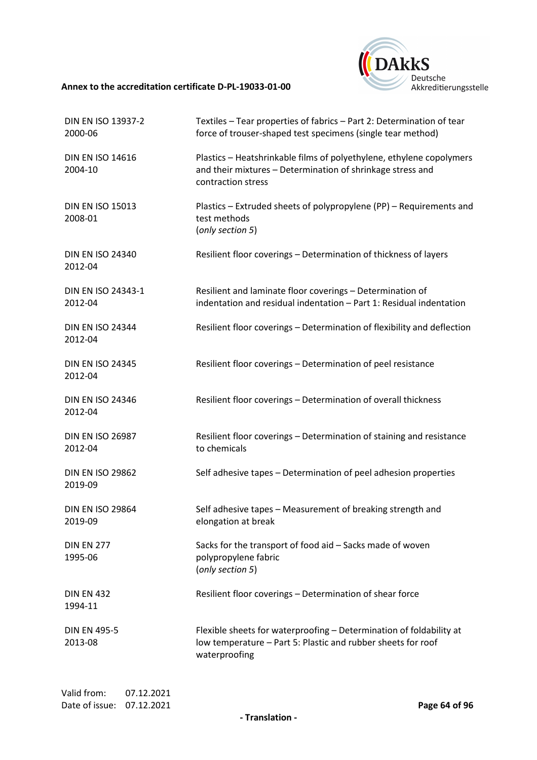

| <b>DIN EN ISO 13937-2</b><br>2000-06 | Textiles - Tear properties of fabrics - Part 2: Determination of tear<br>force of trouser-shaped test specimens (single tear method)                     |
|--------------------------------------|----------------------------------------------------------------------------------------------------------------------------------------------------------|
| <b>DIN EN ISO 14616</b><br>2004-10   | Plastics - Heatshrinkable films of polyethylene, ethylene copolymers<br>and their mixtures - Determination of shrinkage stress and<br>contraction stress |
| <b>DIN EN ISO 15013</b><br>2008-01   | Plastics - Extruded sheets of polypropylene (PP) - Requirements and<br>test methods<br>(only section 5)                                                  |
| <b>DIN EN ISO 24340</b><br>2012-04   | Resilient floor coverings - Determination of thickness of layers                                                                                         |
| DIN EN ISO 24343-1<br>2012-04        | Resilient and laminate floor coverings - Determination of<br>indentation and residual indentation - Part 1: Residual indentation                         |
| <b>DIN EN ISO 24344</b><br>2012-04   | Resilient floor coverings - Determination of flexibility and deflection                                                                                  |
| <b>DIN EN ISO 24345</b><br>2012-04   | Resilient floor coverings - Determination of peel resistance                                                                                             |
| <b>DIN EN ISO 24346</b><br>2012-04   | Resilient floor coverings - Determination of overall thickness                                                                                           |
| <b>DIN EN ISO 26987</b><br>2012-04   | Resilient floor coverings - Determination of staining and resistance<br>to chemicals                                                                     |
| <b>DIN EN ISO 29862</b><br>2019-09   | Self adhesive tapes - Determination of peel adhesion properties                                                                                          |
| <b>DIN EN ISO 29864</b><br>2019-09   | Self adhesive tapes - Measurement of breaking strength and<br>elongation at break                                                                        |
| <b>DIN EN 277</b><br>1995-06         | Sacks for the transport of food aid - Sacks made of woven<br>polypropylene fabric<br>(only section 5)                                                    |
| <b>DIN EN 432</b><br>1994-11         | Resilient floor coverings - Determination of shear force                                                                                                 |
| <b>DIN EN 495-5</b><br>2013-08       | Flexible sheets for waterproofing - Determination of foldability at<br>low temperature - Part 5: Plastic and rubber sheets for roof<br>waterproofing     |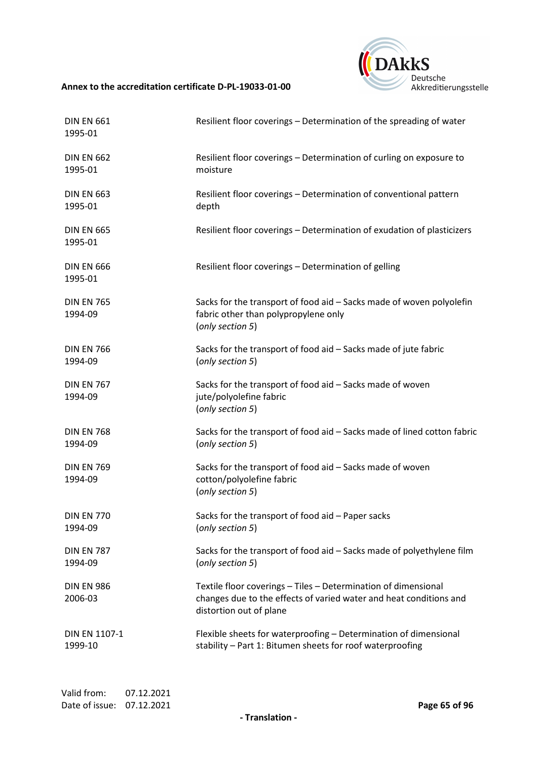

| <b>DIN EN 661</b><br>1995-01 | Resilient floor coverings - Determination of the spreading of water                                                                                             |
|------------------------------|-----------------------------------------------------------------------------------------------------------------------------------------------------------------|
| <b>DIN EN 662</b>            | Resilient floor coverings - Determination of curling on exposure to                                                                                             |
| 1995-01                      | moisture                                                                                                                                                        |
| <b>DIN EN 663</b>            | Resilient floor coverings - Determination of conventional pattern                                                                                               |
| 1995-01                      | depth                                                                                                                                                           |
| <b>DIN EN 665</b><br>1995-01 | Resilient floor coverings - Determination of exudation of plasticizers                                                                                          |
| <b>DIN EN 666</b><br>1995-01 | Resilient floor coverings - Determination of gelling                                                                                                            |
| <b>DIN EN 765</b><br>1994-09 | Sacks for the transport of food aid - Sacks made of woven polyolefin<br>fabric other than polypropylene only<br>(only section 5)                                |
| <b>DIN EN 766</b>            | Sacks for the transport of food aid - Sacks made of jute fabric                                                                                                 |
| 1994-09                      | (only section 5)                                                                                                                                                |
| <b>DIN EN 767</b><br>1994-09 | Sacks for the transport of food aid - Sacks made of woven<br>jute/polyolefine fabric<br>(only section 5)                                                        |
| <b>DIN EN 768</b>            | Sacks for the transport of food aid - Sacks made of lined cotton fabric                                                                                         |
| 1994-09                      | (only section 5)                                                                                                                                                |
| <b>DIN EN 769</b><br>1994-09 | Sacks for the transport of food aid - Sacks made of woven<br>cotton/polyolefine fabric<br>(only section 5)                                                      |
| <b>DIN EN 770</b>            | Sacks for the transport of food aid - Paper sacks                                                                                                               |
| 1994-09                      | (only section 5)                                                                                                                                                |
| <b>DIN EN 787</b>            | Sacks for the transport of food aid - Sacks made of polyethylene film                                                                                           |
| 1994-09                      | (only section 5)                                                                                                                                                |
| <b>DIN EN 986</b><br>2006-03 | Textile floor coverings - Tiles - Determination of dimensional<br>changes due to the effects of varied water and heat conditions and<br>distortion out of plane |
| DIN EN 1107-1                | Flexible sheets for waterproofing - Determination of dimensional                                                                                                |
| 1999-10                      | stability - Part 1: Bitumen sheets for roof waterproofing                                                                                                       |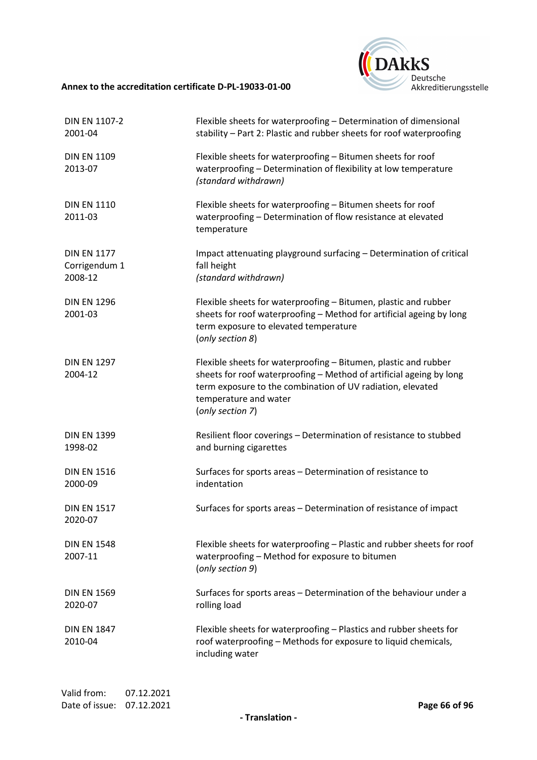

| <b>DIN EN 1107-2</b><br>2001-04                | Flexible sheets for waterproofing - Determination of dimensional<br>stability - Part 2: Plastic and rubber sheets for roof waterproofing                                                                                                          |
|------------------------------------------------|---------------------------------------------------------------------------------------------------------------------------------------------------------------------------------------------------------------------------------------------------|
| <b>DIN EN 1109</b><br>2013-07                  | Flexible sheets for waterproofing - Bitumen sheets for roof<br>waterproofing - Determination of flexibility at low temperature<br>(standard withdrawn)                                                                                            |
| <b>DIN EN 1110</b><br>2011-03                  | Flexible sheets for waterproofing - Bitumen sheets for roof<br>waterproofing - Determination of flow resistance at elevated<br>temperature                                                                                                        |
| <b>DIN EN 1177</b><br>Corrigendum 1<br>2008-12 | Impact attenuating playground surfacing - Determination of critical<br>fall height<br>(standard withdrawn)                                                                                                                                        |
| <b>DIN EN 1296</b><br>2001-03                  | Flexible sheets for waterproofing - Bitumen, plastic and rubber<br>sheets for roof waterproofing - Method for artificial ageing by long<br>term exposure to elevated temperature<br>(only section 8)                                              |
| <b>DIN EN 1297</b><br>2004-12                  | Flexible sheets for waterproofing - Bitumen, plastic and rubber<br>sheets for roof waterproofing - Method of artificial ageing by long<br>term exposure to the combination of UV radiation, elevated<br>temperature and water<br>(only section 7) |
| <b>DIN EN 1399</b><br>1998-02                  | Resilient floor coverings - Determination of resistance to stubbed<br>and burning cigarettes                                                                                                                                                      |
| <b>DIN EN 1516</b><br>2000-09                  | Surfaces for sports areas - Determination of resistance to<br>indentation                                                                                                                                                                         |
| <b>DIN EN 1517</b><br>2020-07                  | Surfaces for sports areas - Determination of resistance of impact                                                                                                                                                                                 |
| <b>DIN EN 1548</b><br>2007-11                  | Flexible sheets for waterproofing - Plastic and rubber sheets for roof<br>waterproofing - Method for exposure to bitumen<br>(only section 9)                                                                                                      |
| <b>DIN EN 1569</b><br>2020-07                  | Surfaces for sports areas - Determination of the behaviour under a<br>rolling load                                                                                                                                                                |
| <b>DIN EN 1847</b><br>2010-04                  | Flexible sheets for waterproofing - Plastics and rubber sheets for<br>roof waterproofing - Methods for exposure to liquid chemicals,<br>including water                                                                                           |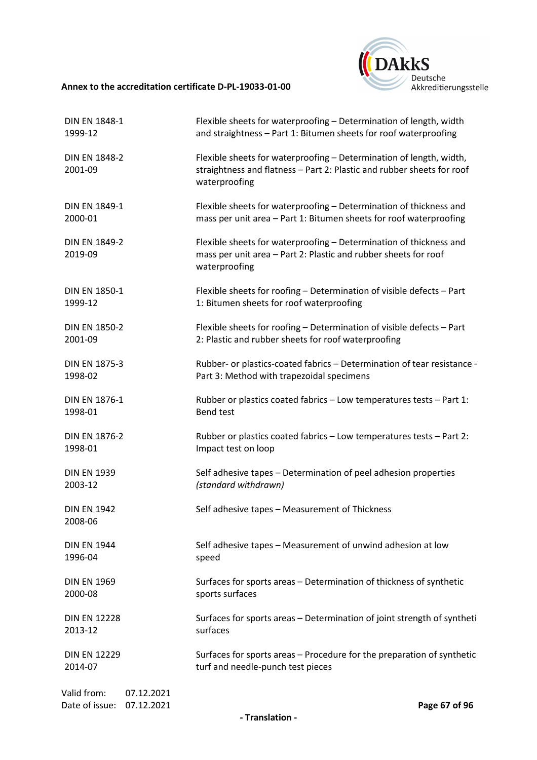

| <b>DIN EN 1848-1</b>                                      | Flexible sheets for waterproofing - Determination of length, width                                                                                             |
|-----------------------------------------------------------|----------------------------------------------------------------------------------------------------------------------------------------------------------------|
| 1999-12                                                   | and straightness - Part 1: Bitumen sheets for roof waterproofing                                                                                               |
| <b>DIN EN 1848-2</b><br>2001-09                           | Flexible sheets for waterproofing - Determination of length, width,<br>straightness and flatness - Part 2: Plastic and rubber sheets for roof<br>waterproofing |
| <b>DIN EN 1849-1</b>                                      | Flexible sheets for waterproofing - Determination of thickness and                                                                                             |
| 2000-01                                                   | mass per unit area - Part 1: Bitumen sheets for roof waterproofing                                                                                             |
| <b>DIN EN 1849-2</b><br>2019-09                           | Flexible sheets for waterproofing - Determination of thickness and<br>mass per unit area - Part 2: Plastic and rubber sheets for roof<br>waterproofing         |
| DIN EN 1850-1                                             | Flexible sheets for roofing - Determination of visible defects - Part                                                                                          |
| 1999-12                                                   | 1: Bitumen sheets for roof waterproofing                                                                                                                       |
| <b>DIN EN 1850-2</b>                                      | Flexible sheets for roofing - Determination of visible defects - Part                                                                                          |
| 2001-09                                                   | 2: Plastic and rubber sheets for roof waterproofing                                                                                                            |
| <b>DIN EN 1875-3</b>                                      | Rubber- or plastics-coated fabrics - Determination of tear resistance -                                                                                        |
| 1998-02                                                   | Part 3: Method with trapezoidal specimens                                                                                                                      |
| <b>DIN EN 1876-1</b>                                      | Rubber or plastics coated fabrics - Low temperatures tests - Part 1:                                                                                           |
| 1998-01                                                   | <b>Bend test</b>                                                                                                                                               |
| <b>DIN EN 1876-2</b>                                      | Rubber or plastics coated fabrics - Low temperatures tests - Part 2:                                                                                           |
| 1998-01                                                   | Impact test on loop                                                                                                                                            |
| <b>DIN EN 1939</b>                                        | Self adhesive tapes - Determination of peel adhesion properties                                                                                                |
| 2003-12                                                   | (standard withdrawn)                                                                                                                                           |
| <b>DIN EN 1942</b><br>2008-06                             | Self adhesive tapes - Measurement of Thickness                                                                                                                 |
| <b>DIN EN 1944</b>                                        | Self adhesive tapes - Measurement of unwind adhesion at low                                                                                                    |
| 1996-04                                                   | speed                                                                                                                                                          |
| <b>DIN EN 1969</b>                                        | Surfaces for sports areas - Determination of thickness of synthetic                                                                                            |
| 2000-08                                                   | sports surfaces                                                                                                                                                |
| <b>DIN EN 12228</b>                                       | Surfaces for sports areas - Determination of joint strength of syntheti                                                                                        |
| 2013-12                                                   | surfaces                                                                                                                                                       |
| <b>DIN EN 12229</b>                                       | Surfaces for sports areas - Procedure for the preparation of synthetic                                                                                         |
| 2014-07                                                   | turf and needle-punch test pieces                                                                                                                              |
| Valid from:<br>07.12.2021<br>Date of issue:<br>07.12.2021 | Page 67 of 96                                                                                                                                                  |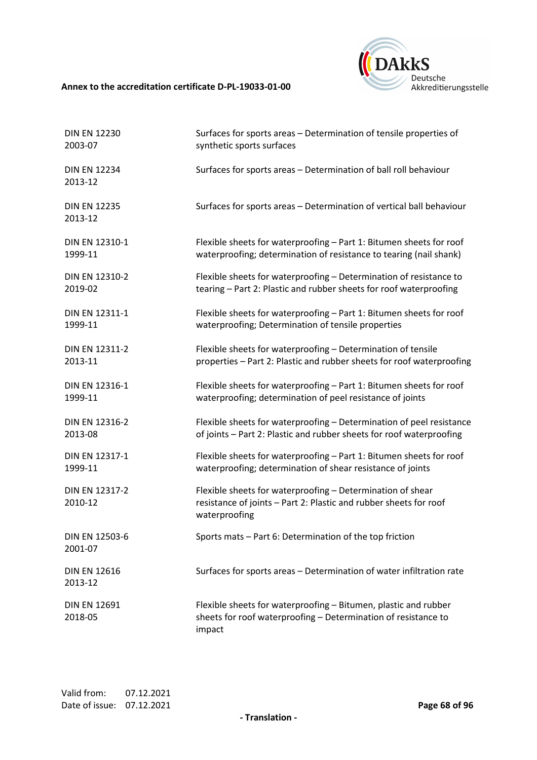

| <b>DIN EN 12230</b>            | Surfaces for sports areas - Determination of tensile properties of                                                                               |
|--------------------------------|--------------------------------------------------------------------------------------------------------------------------------------------------|
| 2003-07                        | synthetic sports surfaces                                                                                                                        |
| <b>DIN EN 12234</b><br>2013-12 | Surfaces for sports areas - Determination of ball roll behaviour                                                                                 |
| <b>DIN EN 12235</b><br>2013-12 | Surfaces for sports areas - Determination of vertical ball behaviour                                                                             |
| DIN EN 12310-1                 | Flexible sheets for waterproofing - Part 1: Bitumen sheets for roof                                                                              |
| 1999-11                        | waterproofing; determination of resistance to tearing (nail shank)                                                                               |
| DIN EN 12310-2                 | Flexible sheets for waterproofing - Determination of resistance to                                                                               |
| 2019-02                        | tearing - Part 2: Plastic and rubber sheets for roof waterproofing                                                                               |
| DIN EN 12311-1                 | Flexible sheets for waterproofing - Part 1: Bitumen sheets for roof                                                                              |
| 1999-11                        | waterproofing; Determination of tensile properties                                                                                               |
| DIN EN 12311-2                 | Flexible sheets for waterproofing - Determination of tensile                                                                                     |
| 2013-11                        | properties - Part 2: Plastic and rubber sheets for roof waterproofing                                                                            |
| DIN EN 12316-1                 | Flexible sheets for waterproofing - Part 1: Bitumen sheets for roof                                                                              |
| 1999-11                        | waterproofing; determination of peel resistance of joints                                                                                        |
| DIN EN 12316-2                 | Flexible sheets for waterproofing - Determination of peel resistance                                                                             |
| 2013-08                        | of joints - Part 2: Plastic and rubber sheets for roof waterproofing                                                                             |
| DIN EN 12317-1                 | Flexible sheets for waterproofing - Part 1: Bitumen sheets for roof                                                                              |
| 1999-11                        | waterproofing; determination of shear resistance of joints                                                                                       |
| DIN EN 12317-2<br>2010-12      | Flexible sheets for waterproofing - Determination of shear<br>resistance of joints - Part 2: Plastic and rubber sheets for roof<br>waterproofing |
| DIN EN 12503-6<br>2001-07      | Sports mats - Part 6: Determination of the top friction                                                                                          |
| <b>DIN EN 12616</b><br>2013-12 | Surfaces for sports areas - Determination of water infiltration rate                                                                             |
| <b>DIN EN 12691</b><br>2018-05 | Flexible sheets for waterproofing - Bitumen, plastic and rubber<br>sheets for roof waterproofing - Determination of resistance to<br>impact      |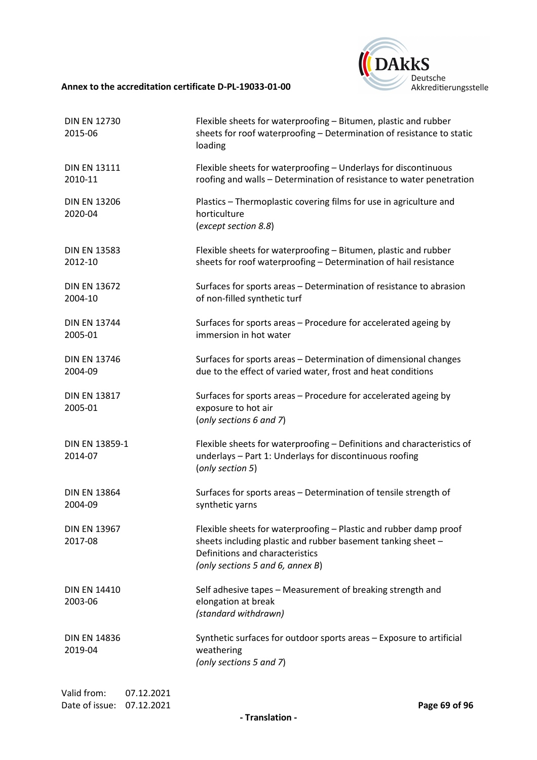

| <b>DIN EN 12730</b><br>2015-06 | Flexible sheets for waterproofing - Bitumen, plastic and rubber<br>sheets for roof waterproofing - Determination of resistance to static<br>loading                                                      |
|--------------------------------|----------------------------------------------------------------------------------------------------------------------------------------------------------------------------------------------------------|
| <b>DIN EN 13111</b><br>2010-11 | Flexible sheets for waterproofing - Underlays for discontinuous<br>roofing and walls - Determination of resistance to water penetration                                                                  |
| <b>DIN EN 13206</b><br>2020-04 | Plastics - Thermoplastic covering films for use in agriculture and<br>horticulture<br>(except section 8.8)                                                                                               |
| <b>DIN EN 13583</b><br>2012-10 | Flexible sheets for waterproofing - Bitumen, plastic and rubber<br>sheets for roof waterproofing - Determination of hail resistance                                                                      |
| <b>DIN EN 13672</b><br>2004-10 | Surfaces for sports areas - Determination of resistance to abrasion<br>of non-filled synthetic turf                                                                                                      |
| <b>DIN EN 13744</b><br>2005-01 | Surfaces for sports areas - Procedure for accelerated ageing by<br>immersion in hot water                                                                                                                |
| <b>DIN EN 13746</b><br>2004-09 | Surfaces for sports areas - Determination of dimensional changes<br>due to the effect of varied water, frost and heat conditions                                                                         |
| <b>DIN EN 13817</b><br>2005-01 | Surfaces for sports areas - Procedure for accelerated ageing by<br>exposure to hot air<br>(only sections 6 and 7)                                                                                        |
| DIN EN 13859-1<br>2014-07      | Flexible sheets for waterproofing - Definitions and characteristics of<br>underlays - Part 1: Underlays for discontinuous roofing<br>(only section 5)                                                    |
| <b>DIN EN 13864</b><br>2004-09 | Surfaces for sports areas - Determination of tensile strength of<br>synthetic yarns                                                                                                                      |
| <b>DIN EN 13967</b><br>2017-08 | Flexible sheets for waterproofing - Plastic and rubber damp proof<br>sheets including plastic and rubber basement tanking sheet -<br>Definitions and characteristics<br>(only sections 5 and 6, annex B) |
| <b>DIN EN 14410</b><br>2003-06 | Self adhesive tapes - Measurement of breaking strength and<br>elongation at break<br>(standard withdrawn)                                                                                                |
| <b>DIN EN 14836</b><br>2019-04 | Synthetic surfaces for outdoor sports areas - Exposure to artificial<br>weathering<br>(only sections 5 and 7)                                                                                            |
|                                |                                                                                                                                                                                                          |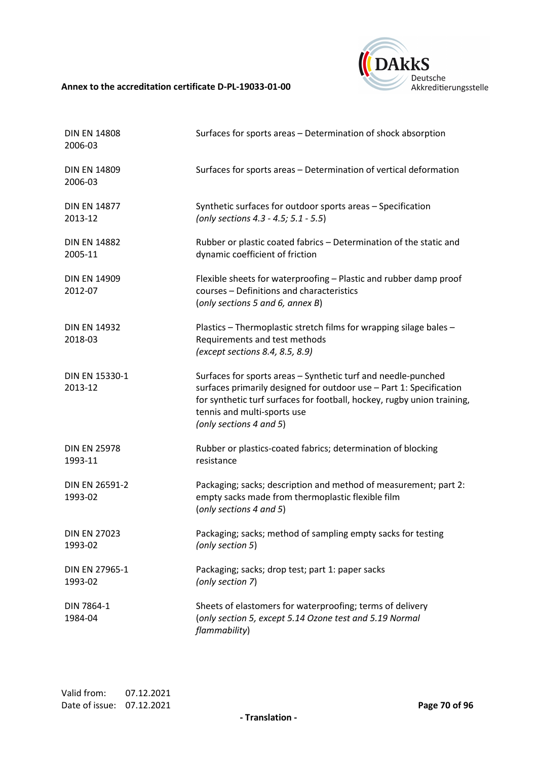

| <b>DIN EN 14808</b><br>2006-03 | Surfaces for sports areas - Determination of shock absorption                                                                                                                                                                                                             |
|--------------------------------|---------------------------------------------------------------------------------------------------------------------------------------------------------------------------------------------------------------------------------------------------------------------------|
| <b>DIN EN 14809</b><br>2006-03 | Surfaces for sports areas - Determination of vertical deformation                                                                                                                                                                                                         |
| <b>DIN EN 14877</b><br>2013-12 | Synthetic surfaces for outdoor sports areas - Specification<br>(only sections 4.3 - 4.5; 5.1 - 5.5)                                                                                                                                                                       |
| <b>DIN EN 14882</b><br>2005-11 | Rubber or plastic coated fabrics - Determination of the static and<br>dynamic coefficient of friction                                                                                                                                                                     |
| <b>DIN EN 14909</b><br>2012-07 | Flexible sheets for waterproofing - Plastic and rubber damp proof<br>courses - Definitions and characteristics<br>(only sections 5 and 6, annex B)                                                                                                                        |
| <b>DIN EN 14932</b><br>2018-03 | Plastics - Thermoplastic stretch films for wrapping silage bales -<br>Requirements and test methods<br>(except sections 8.4, 8.5, 8.9)                                                                                                                                    |
| DIN EN 15330-1<br>2013-12      | Surfaces for sports areas - Synthetic turf and needle-punched<br>surfaces primarily designed for outdoor use - Part 1: Specification<br>for synthetic turf surfaces for football, hockey, rugby union training,<br>tennis and multi-sports use<br>(only sections 4 and 5) |
| <b>DIN EN 25978</b><br>1993-11 | Rubber or plastics-coated fabrics; determination of blocking<br>resistance                                                                                                                                                                                                |
| DIN EN 26591-2<br>1993-02      | Packaging; sacks; description and method of measurement; part 2:<br>empty sacks made from thermoplastic flexible film<br>(only sections 4 and 5)                                                                                                                          |
| <b>DIN EN 27023</b><br>1993-02 | Packaging; sacks; method of sampling empty sacks for testing<br>(only section 5)                                                                                                                                                                                          |
| DIN EN 27965-1<br>1993-02      | Packaging; sacks; drop test; part 1: paper sacks<br>(only section 7)                                                                                                                                                                                                      |
| DIN 7864-1<br>1984-04          | Sheets of elastomers for waterproofing; terms of delivery<br>(only section 5, except 5.14 Ozone test and 5.19 Normal<br>flammability)                                                                                                                                     |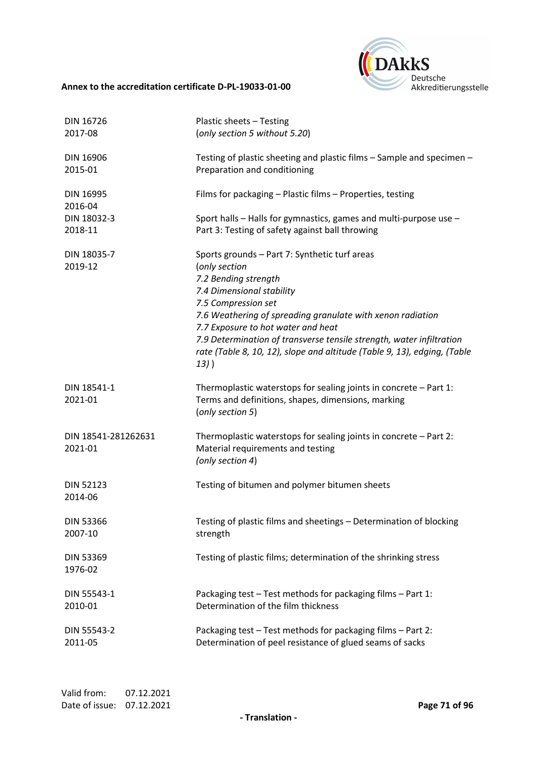

| <b>DIN 16726</b>               | Plastic sheets - Testing                                                                                                                                                                                                                                                                                                                                                                                      |
|--------------------------------|---------------------------------------------------------------------------------------------------------------------------------------------------------------------------------------------------------------------------------------------------------------------------------------------------------------------------------------------------------------------------------------------------------------|
| 2017-08                        | (only section 5 without 5.20)                                                                                                                                                                                                                                                                                                                                                                                 |
| DIN 16906                      | Testing of plastic sheeting and plastic films – Sample and specimen –                                                                                                                                                                                                                                                                                                                                         |
| 2015-01                        | Preparation and conditioning                                                                                                                                                                                                                                                                                                                                                                                  |
| DIN 16995<br>2016-04           | Films for packaging - Plastic films - Properties, testing                                                                                                                                                                                                                                                                                                                                                     |
| DIN 18032-3                    | Sport halls - Halls for gymnastics, games and multi-purpose use -                                                                                                                                                                                                                                                                                                                                             |
| 2018-11                        | Part 3: Testing of safety against ball throwing                                                                                                                                                                                                                                                                                                                                                               |
| DIN 18035-7<br>2019-12         | Sports grounds - Part 7: Synthetic turf areas<br>(only section<br>7.2 Bending strength<br>7.4 Dimensional stability<br>7.5 Compression set<br>7.6 Weathering of spreading granulate with xenon radiation<br>7.7 Exposure to hot water and heat<br>7.9 Determination of transverse tensile strength, water infiltration<br>rate (Table 8, 10, 12), slope and altitude (Table 9, 13), edging, (Table<br>$13)$ ) |
| DIN 18541-1<br>2021-01         | Thermoplastic waterstops for sealing joints in concrete $-$ Part 1:<br>Terms and definitions, shapes, dimensions, marking<br>(only section 5)                                                                                                                                                                                                                                                                 |
| DIN 18541-281262631<br>2021-01 | Thermoplastic waterstops for sealing joints in concrete - Part 2:<br>Material requirements and testing<br>(only section 4)                                                                                                                                                                                                                                                                                    |
| <b>DIN 52123</b><br>2014-06    | Testing of bitumen and polymer bitumen sheets                                                                                                                                                                                                                                                                                                                                                                 |
| <b>DIN 53366</b>               | Testing of plastic films and sheetings - Determination of blocking                                                                                                                                                                                                                                                                                                                                            |
| 2007-10                        | strength                                                                                                                                                                                                                                                                                                                                                                                                      |
| <b>DIN 53369</b><br>1976-02    | Testing of plastic films; determination of the shrinking stress                                                                                                                                                                                                                                                                                                                                               |
| DIN 55543-1                    | Packaging test - Test methods for packaging films - Part 1:                                                                                                                                                                                                                                                                                                                                                   |
| 2010-01                        | Determination of the film thickness                                                                                                                                                                                                                                                                                                                                                                           |
| DIN 55543-2                    | Packaging test - Test methods for packaging films - Part 2:                                                                                                                                                                                                                                                                                                                                                   |
| 2011-05                        | Determination of peel resistance of glued seams of sacks                                                                                                                                                                                                                                                                                                                                                      |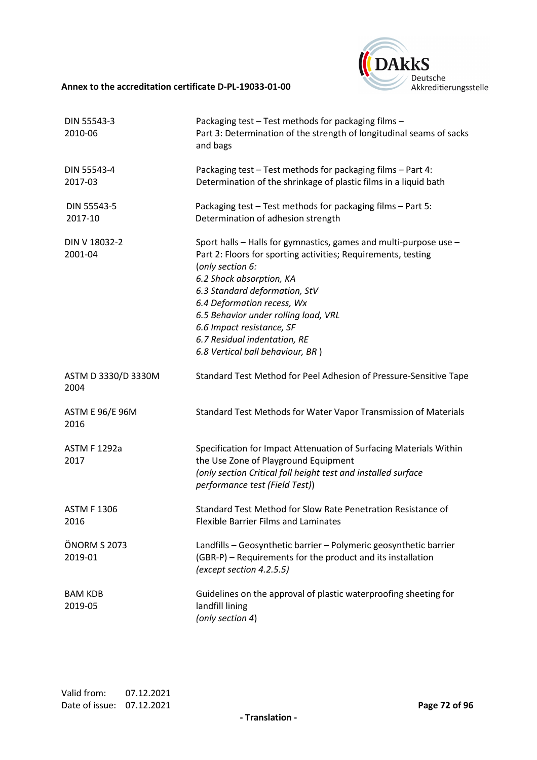

| DIN 55543-3<br>2010-06         | Packaging test - Test methods for packaging films -<br>Part 3: Determination of the strength of longitudinal seams of sacks<br>and bags                                                                                                                                                                                                                                                    |
|--------------------------------|--------------------------------------------------------------------------------------------------------------------------------------------------------------------------------------------------------------------------------------------------------------------------------------------------------------------------------------------------------------------------------------------|
| DIN 55543-4<br>2017-03         | Packaging test - Test methods for packaging films - Part 4:<br>Determination of the shrinkage of plastic films in a liquid bath                                                                                                                                                                                                                                                            |
| DIN 55543-5<br>2017-10         | Packaging test - Test methods for packaging films - Part 5:<br>Determination of adhesion strength                                                                                                                                                                                                                                                                                          |
| DIN V 18032-2<br>2001-04       | Sport halls - Halls for gymnastics, games and multi-purpose use -<br>Part 2: Floors for sporting activities; Requirements, testing<br>(only section 6:<br>6.2 Shock absorption, KA<br>6.3 Standard deformation, StV<br>6.4 Deformation recess, Wx<br>6.5 Behavior under rolling load, VRL<br>6.6 Impact resistance, SF<br>6.7 Residual indentation, RE<br>6.8 Vertical ball behaviour, BR) |
| ASTM D 3330/D 3330M<br>2004    | Standard Test Method for Peel Adhesion of Pressure-Sensitive Tape                                                                                                                                                                                                                                                                                                                          |
| <b>ASTM E 96/E 96M</b><br>2016 | Standard Test Methods for Water Vapor Transmission of Materials                                                                                                                                                                                                                                                                                                                            |
| <b>ASTM F 1292a</b><br>2017    | Specification for Impact Attenuation of Surfacing Materials Within<br>the Use Zone of Playground Equipment<br>(only section Critical fall height test and installed surface<br>performance test (Field Test))                                                                                                                                                                              |
| <b>ASTM F 1306</b><br>2016     | Standard Test Method for Slow Rate Penetration Resistance of<br><b>Flexible Barrier Films and Laminates</b>                                                                                                                                                                                                                                                                                |
| ÖNORM S 2073<br>2019-01        | Landfills - Geosynthetic barrier - Polymeric geosynthetic barrier<br>(GBR-P) - Requirements for the product and its installation<br>(except section 4.2.5.5)                                                                                                                                                                                                                               |
| <b>BAM KDB</b><br>2019-05      | Guidelines on the approval of plastic waterproofing sheeting for<br>landfill lining<br>(only section 4)                                                                                                                                                                                                                                                                                    |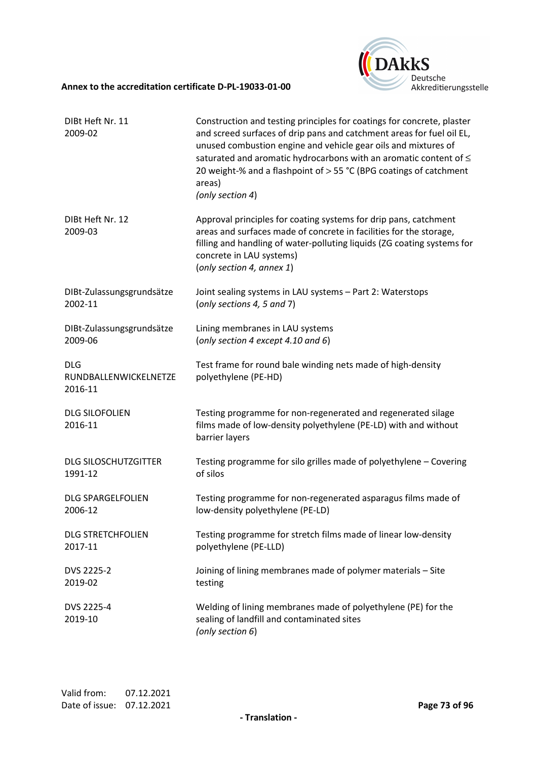

| DIBt Heft Nr. 11<br>2009-02                    | Construction and testing principles for coatings for concrete, plaster<br>and screed surfaces of drip pans and catchment areas for fuel oil EL,<br>unused combustion engine and vehicle gear oils and mixtures of<br>saturated and aromatic hydrocarbons with an aromatic content of $\leq$<br>20 weight-% and a flashpoint of > 55 °C (BPG coatings of catchment<br>areas)<br>(only section 4) |
|------------------------------------------------|-------------------------------------------------------------------------------------------------------------------------------------------------------------------------------------------------------------------------------------------------------------------------------------------------------------------------------------------------------------------------------------------------|
| DIBt Heft Nr. 12<br>2009-03                    | Approval principles for coating systems for drip pans, catchment<br>areas and surfaces made of concrete in facilities for the storage,<br>filling and handling of water-polluting liquids (ZG coating systems for<br>concrete in LAU systems)<br>(only section 4, annex 1)                                                                                                                      |
| DIBt-Zulassungsgrundsätze                      | Joint sealing systems in LAU systems - Part 2: Waterstops                                                                                                                                                                                                                                                                                                                                       |
| 2002-11                                        | (only sections 4, 5 and 7)                                                                                                                                                                                                                                                                                                                                                                      |
| DIBt-Zulassungsgrundsätze                      | Lining membranes in LAU systems                                                                                                                                                                                                                                                                                                                                                                 |
| 2009-06                                        | (only section 4 except 4.10 and 6)                                                                                                                                                                                                                                                                                                                                                              |
| <b>DLG</b><br>RUNDBALLENWICKELNETZE<br>2016-11 | Test frame for round bale winding nets made of high-density<br>polyethylene (PE-HD)                                                                                                                                                                                                                                                                                                             |
| <b>DLG SILOFOLIEN</b><br>2016-11               | Testing programme for non-regenerated and regenerated silage<br>films made of low-density polyethylene (PE-LD) with and without<br>barrier layers                                                                                                                                                                                                                                               |
| <b>DLG SILOSCHUTZGITTER</b>                    | Testing programme for silo grilles made of polyethylene - Covering                                                                                                                                                                                                                                                                                                                              |
| 1991-12                                        | of silos                                                                                                                                                                                                                                                                                                                                                                                        |
| <b>DLG SPARGELFOLIEN</b>                       | Testing programme for non-regenerated asparagus films made of                                                                                                                                                                                                                                                                                                                                   |
| 2006-12                                        | low-density polyethylene (PE-LD)                                                                                                                                                                                                                                                                                                                                                                |
| <b>DLG STRETCHFOLIEN</b>                       | Testing programme for stretch films made of linear low-density                                                                                                                                                                                                                                                                                                                                  |
| 2017-11                                        | polyethylene (PE-LLD)                                                                                                                                                                                                                                                                                                                                                                           |
| DVS 2225-2                                     | Joining of lining membranes made of polymer materials - Site                                                                                                                                                                                                                                                                                                                                    |
| 2019-02                                        | testing                                                                                                                                                                                                                                                                                                                                                                                         |
| DVS 2225-4<br>2019-10                          | Welding of lining membranes made of polyethylene (PE) for the<br>sealing of landfill and contaminated sites<br>(only section 6)                                                                                                                                                                                                                                                                 |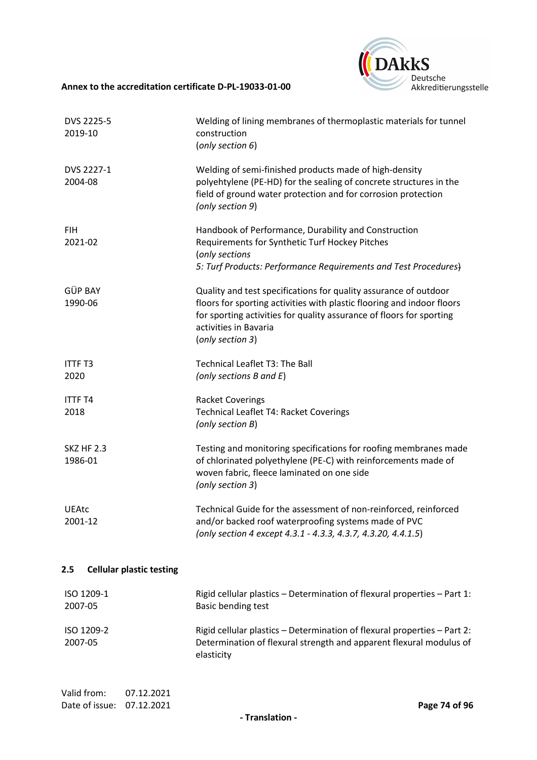

| DVS 2225-5<br>2019-10                                     | Welding of lining membranes of thermoplastic materials for tunnel<br>construction<br>(only section 6)                                                                                                                                                           |
|-----------------------------------------------------------|-----------------------------------------------------------------------------------------------------------------------------------------------------------------------------------------------------------------------------------------------------------------|
| DVS 2227-1<br>2004-08                                     | Welding of semi-finished products made of high-density<br>polyehtylene (PE-HD) for the sealing of concrete structures in the<br>field of ground water protection and for corrosion protection<br>(only section 9)                                               |
| <b>FIH</b><br>2021-02                                     | Handbook of Performance, Durability and Construction<br>Requirements for Synthetic Turf Hockey Pitches<br>(only sections<br>5: Turf Products: Performance Requirements and Test Procedures)                                                                     |
| GÜP BAY<br>1990-06                                        | Quality and test specifications for quality assurance of outdoor<br>floors for sporting activities with plastic flooring and indoor floors<br>for sporting activities for quality assurance of floors for sporting<br>activities in Bavaria<br>(only section 3) |
| <b>ITTF T3</b><br>2020                                    | Technical Leaflet T3: The Ball<br>(only sections B and E)                                                                                                                                                                                                       |
| <b>ITTF T4</b><br>2018                                    | <b>Racket Coverings</b><br>Technical Leaflet T4: Racket Coverings<br>(only section B)                                                                                                                                                                           |
| <b>SKZ HF 2.3</b><br>1986-01                              | Testing and monitoring specifications for roofing membranes made<br>of chlorinated polyethylene (PE-C) with reinforcements made of<br>woven fabric, fleece laminated on one side<br>(only section 3)                                                            |
| <b>UEAtc</b><br>2001-12                                   | Technical Guide for the assessment of non-reinforced, reinforced<br>and/or backed roof waterproofing systems made of PVC<br>(only section 4 except 4.3.1 - 4.3.3, 4.3.7, 4.3.20, 4.4.1.5)                                                                       |
| <b>Cellular plastic testing</b><br>$2.5\,$                |                                                                                                                                                                                                                                                                 |
| ISO 1209-1<br>2007-05                                     | Rigid cellular plastics - Determination of flexural properties - Part 1:<br>Basic bending test                                                                                                                                                                  |
| ISO 1209-2<br>2007-05                                     | Rigid cellular plastics - Determination of flexural properties - Part 2:<br>Determination of flexural strength and apparent flexural modulus of<br>elasticity                                                                                                   |
| Valid from:<br>07.12.2021<br>Date of issue:<br>07.12.2021 | Page 74 of 96                                                                                                                                                                                                                                                   |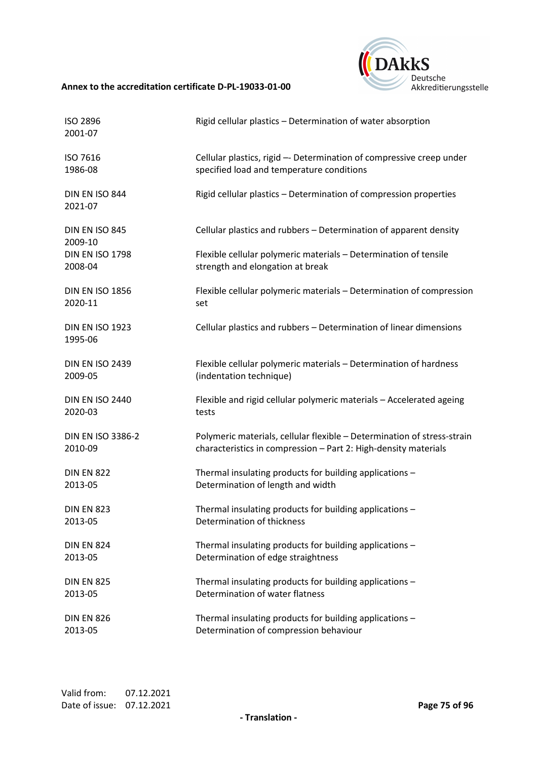

| ISO 2896<br>2001-07               | Rigid cellular plastics - Determination of water absorption             |
|-----------------------------------|-------------------------------------------------------------------------|
| ISO 7616                          | Cellular plastics, rigid -- Determination of compressive creep under    |
| 1986-08                           | specified load and temperature conditions                               |
| DIN EN ISO 844<br>2021-07         | Rigid cellular plastics - Determination of compression properties       |
| DIN EN ISO 845<br>2009-10         | Cellular plastics and rubbers - Determination of apparent density       |
| <b>DIN EN ISO 1798</b>            | Flexible cellular polymeric materials - Determination of tensile        |
| 2008-04                           | strength and elongation at break                                        |
| <b>DIN EN ISO 1856</b>            | Flexible cellular polymeric materials - Determination of compression    |
| 2020-11                           | set                                                                     |
| <b>DIN EN ISO 1923</b><br>1995-06 | Cellular plastics and rubbers - Determination of linear dimensions      |
| <b>DIN EN ISO 2439</b>            | Flexible cellular polymeric materials - Determination of hardness       |
| 2009-05                           | (indentation technique)                                                 |
| <b>DIN EN ISO 2440</b>            | Flexible and rigid cellular polymeric materials - Accelerated ageing    |
| 2020-03                           | tests                                                                   |
| <b>DIN EN ISO 3386-2</b>          | Polymeric materials, cellular flexible - Determination of stress-strain |
| 2010-09                           | characteristics in compression - Part 2: High-density materials         |
| <b>DIN EN 822</b>                 | Thermal insulating products for building applications -                 |
| 2013-05                           | Determination of length and width                                       |
| <b>DIN EN 823</b>                 | Thermal insulating products for building applications -                 |
| 2013-05                           | Determination of thickness                                              |
| <b>DIN EN 824</b>                 | Thermal insulating products for building applications -                 |
| 2013-05                           | Determination of edge straightness                                      |
| <b>DIN EN 825</b>                 | Thermal insulating products for building applications -                 |
| 2013-05                           | Determination of water flatness                                         |
| <b>DIN EN 826</b>                 | Thermal insulating products for building applications -                 |
| 2013-05                           | Determination of compression behaviour                                  |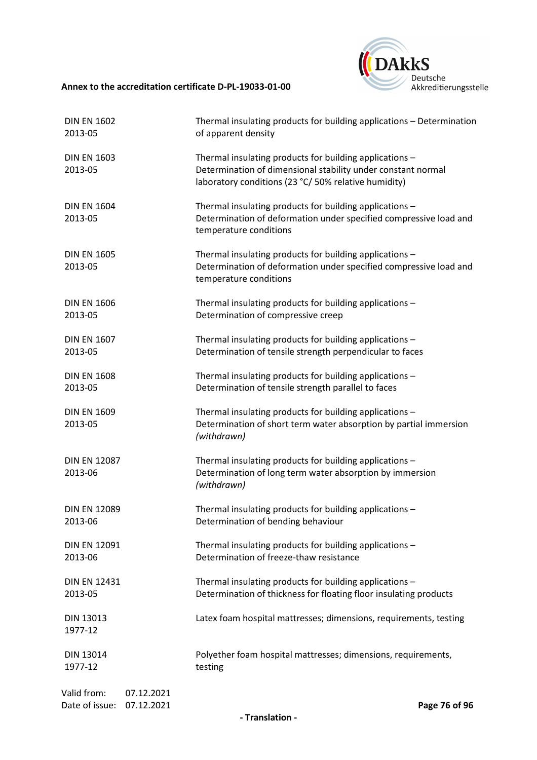

| <b>DIN EN 1602</b>                                        | Thermal insulating products for building applications - Determination                                                                                                           |
|-----------------------------------------------------------|---------------------------------------------------------------------------------------------------------------------------------------------------------------------------------|
| 2013-05                                                   | of apparent density                                                                                                                                                             |
| <b>DIN EN 1603</b><br>2013-05                             | Thermal insulating products for building applications -<br>Determination of dimensional stability under constant normal<br>laboratory conditions (23 °C/ 50% relative humidity) |
| <b>DIN EN 1604</b><br>2013-05                             | Thermal insulating products for building applications -<br>Determination of deformation under specified compressive load and<br>temperature conditions                          |
| <b>DIN EN 1605</b><br>2013-05                             | Thermal insulating products for building applications -<br>Determination of deformation under specified compressive load and<br>temperature conditions                          |
| <b>DIN EN 1606</b>                                        | Thermal insulating products for building applications -                                                                                                                         |
| 2013-05                                                   | Determination of compressive creep                                                                                                                                              |
| <b>DIN EN 1607</b>                                        | Thermal insulating products for building applications -                                                                                                                         |
| 2013-05                                                   | Determination of tensile strength perpendicular to faces                                                                                                                        |
| <b>DIN EN 1608</b>                                        | Thermal insulating products for building applications -                                                                                                                         |
| 2013-05                                                   | Determination of tensile strength parallel to faces                                                                                                                             |
| <b>DIN EN 1609</b><br>2013-05                             | Thermal insulating products for building applications -<br>Determination of short term water absorption by partial immersion<br>(withdrawn)                                     |
| <b>DIN EN 12087</b><br>2013-06                            | Thermal insulating products for building applications -<br>Determination of long term water absorption by immersion<br>(withdrawn)                                              |
| <b>DIN EN 12089</b>                                       | Thermal insulating products for building applications -                                                                                                                         |
| 2013-06                                                   | Determination of bending behaviour                                                                                                                                              |
| <b>DIN EN 12091</b>                                       | Thermal insulating products for building applications -                                                                                                                         |
| 2013-06                                                   | Determination of freeze-thaw resistance                                                                                                                                         |
| <b>DIN EN 12431</b>                                       | Thermal insulating products for building applications -                                                                                                                         |
| 2013-05                                                   | Determination of thickness for floating floor insulating products                                                                                                               |
| DIN 13013<br>1977-12                                      | Latex foam hospital mattresses; dimensions, requirements, testing                                                                                                               |
| DIN 13014                                                 | Polyether foam hospital mattresses; dimensions, requirements,                                                                                                                   |
| 1977-12                                                   | testing                                                                                                                                                                         |
| Valid from:<br>07.12.2021<br>Date of issue:<br>07.12.2021 | Page 76 of 96                                                                                                                                                                   |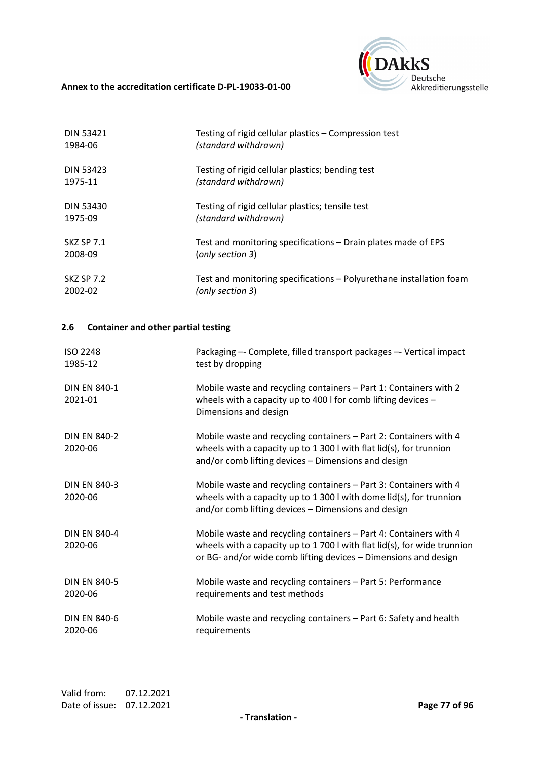

| <b>DIN 53421</b>  | Testing of rigid cellular plastics - Compression test               |
|-------------------|---------------------------------------------------------------------|
| 1984-06           | (standard withdrawn)                                                |
| <b>DIN 53423</b>  | Testing of rigid cellular plastics; bending test                    |
| 1975-11           | (standard withdrawn)                                                |
| <b>DIN 53430</b>  | Testing of rigid cellular plastics; tensile test                    |
| 1975-09           | (standard withdrawn)                                                |
| <b>SKZ SP 7.1</b> | Test and monitoring specifications – Drain plates made of EPS       |
| 2008-09           | (only section 3)                                                    |
| <b>SKZ SP 7.2</b> | Test and monitoring specifications – Polyurethane installation foam |
| 2002-02           | (only section 3)                                                    |

## **2.6 Container and other partial testing**

| <b>ISO 2248</b><br>1985-12     | Packaging -- Complete, filled transport packages -- Vertical impact<br>test by dropping                                                                                                                                    |
|--------------------------------|----------------------------------------------------------------------------------------------------------------------------------------------------------------------------------------------------------------------------|
| <b>DIN EN 840-1</b><br>2021-01 | Mobile waste and recycling containers - Part 1: Containers with 2<br>wheels with a capacity up to 400 I for comb lifting devices $-$<br>Dimensions and design                                                              |
| <b>DIN EN 840-2</b><br>2020-06 | Mobile waste and recycling containers - Part 2: Containers with 4<br>wheels with a capacity up to 1 300 l with flat $lid(s)$ , for trunnion<br>and/or comb lifting devices - Dimensions and design                         |
| <b>DIN EN 840-3</b><br>2020-06 | Mobile waste and recycling containers - Part 3: Containers with 4<br>wheels with a capacity up to 1 300 l with dome $lid(s)$ , for trunnion<br>and/or comb lifting devices - Dimensions and design                         |
| <b>DIN EN 840-4</b><br>2020-06 | Mobile waste and recycling containers - Part 4: Containers with 4<br>wheels with a capacity up to 1 700 l with flat $\text{lid}(s)$ , for wide trunnion<br>or BG- and/or wide comb lifting devices – Dimensions and design |
| <b>DIN EN 840-5</b><br>2020-06 | Mobile waste and recycling containers - Part 5: Performance<br>requirements and test methods                                                                                                                               |
| <b>DIN EN 840-6</b><br>2020-06 | Mobile waste and recycling containers - Part 6: Safety and health<br>requirements                                                                                                                                          |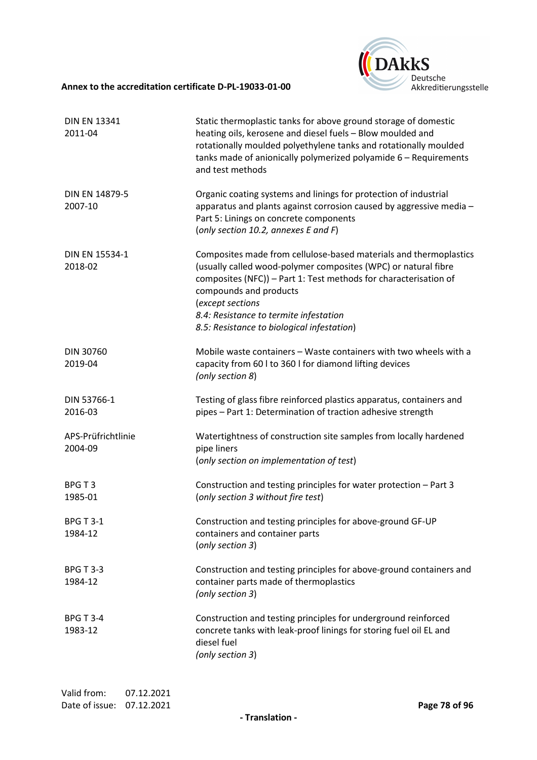

| <b>DIN EN 13341</b><br>2011-04 | Static thermoplastic tanks for above ground storage of domestic<br>heating oils, kerosene and diesel fuels - Blow moulded and<br>rotationally moulded polyethylene tanks and rotationally moulded<br>tanks made of anionically polymerized polyamide 6 - Requirements<br>and test methods                                                     |
|--------------------------------|-----------------------------------------------------------------------------------------------------------------------------------------------------------------------------------------------------------------------------------------------------------------------------------------------------------------------------------------------|
| DIN EN 14879-5<br>2007-10      | Organic coating systems and linings for protection of industrial<br>apparatus and plants against corrosion caused by aggressive media -<br>Part 5: Linings on concrete components<br>(only section 10.2, annexes E and F)                                                                                                                     |
| DIN EN 15534-1<br>2018-02      | Composites made from cellulose-based materials and thermoplastics<br>(usually called wood-polymer composites (WPC) or natural fibre<br>composites (NFC)) - Part 1: Test methods for characterisation of<br>compounds and products<br>(except sections<br>8.4: Resistance to termite infestation<br>8.5: Resistance to biological infestation) |
| DIN 30760<br>2019-04           | Mobile waste containers - Waste containers with two wheels with a<br>capacity from 60 l to 360 l for diamond lifting devices<br>(only section 8)                                                                                                                                                                                              |
| DIN 53766-1<br>2016-03         | Testing of glass fibre reinforced plastics apparatus, containers and<br>pipes - Part 1: Determination of traction adhesive strength                                                                                                                                                                                                           |
| APS-Prüfrichtlinie<br>2004-09  | Watertightness of construction site samples from locally hardened<br>pipe liners<br>(only section on implementation of test)                                                                                                                                                                                                                  |
| BPGT3<br>1985-01               | Construction and testing principles for water protection - Part 3<br>(only section 3 without fire test)                                                                                                                                                                                                                                       |
| <b>BPG T 3-1</b><br>1984-12    | Construction and testing principles for above-ground GF-UP<br>containers and container parts<br>(only section 3)                                                                                                                                                                                                                              |
| <b>BPG T 3-3</b><br>1984-12    | Construction and testing principles for above-ground containers and<br>container parts made of thermoplastics<br>(only section 3)                                                                                                                                                                                                             |
| <b>BPG T 3-4</b><br>1983-12    | Construction and testing principles for underground reinforced<br>concrete tanks with leak-proof linings for storing fuel oil EL and<br>diesel fuel<br>(only section 3)                                                                                                                                                                       |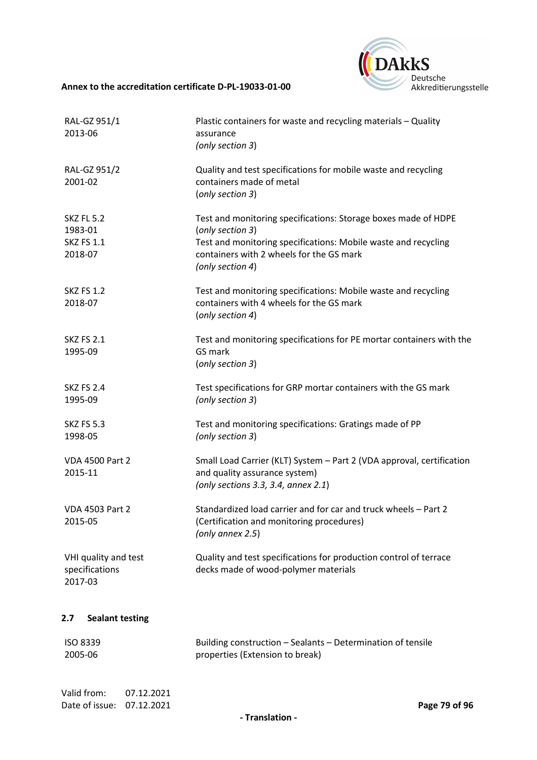

| RAL-GZ 951/1<br>2013-06                                      | Plastic containers for waste and recycling materials - Quality<br>assurance<br>(only section 3)                                                                                                                      |
|--------------------------------------------------------------|----------------------------------------------------------------------------------------------------------------------------------------------------------------------------------------------------------------------|
| RAL-GZ 951/2<br>2001-02                                      | Quality and test specifications for mobile waste and recycling<br>containers made of metal<br>(only section 3)                                                                                                       |
| <b>SKZ FL 5.2</b><br>1983-01<br><b>SKZ FS 1.1</b><br>2018-07 | Test and monitoring specifications: Storage boxes made of HDPE<br>(only section 3)<br>Test and monitoring specifications: Mobile waste and recycling<br>containers with 2 wheels for the GS mark<br>(only section 4) |
| <b>SKZ FS 1.2</b><br>2018-07                                 | Test and monitoring specifications: Mobile waste and recycling<br>containers with 4 wheels for the GS mark<br>(only section 4)                                                                                       |
| <b>SKZ FS 2.1</b><br>1995-09                                 | Test and monitoring specifications for PE mortar containers with the<br>GS mark<br>(only section 3)                                                                                                                  |
| <b>SKZ FS 2.4</b><br>1995-09                                 | Test specifications for GRP mortar containers with the GS mark<br>(only section 3)                                                                                                                                   |
| <b>SKZ FS 5.3</b><br>1998-05                                 | Test and monitoring specifications: Gratings made of PP<br>(only section 3)                                                                                                                                          |
| <b>VDA 4500 Part 2</b><br>2015-11                            | Small Load Carrier (KLT) System - Part 2 (VDA approval, certification<br>and quality assurance system)<br>(only sections 3.3, 3.4, annex 2.1)                                                                        |
| <b>VDA 4503 Part 2</b><br>2015-05                            | Standardized load carrier and for car and truck wheels - Part 2<br>(Certification and monitoring procedures)<br>(only annex 2.5)                                                                                     |
| VHI quality and test<br>specifications<br>2017-03            | Quality and test specifications for production control of terrace<br>decks made of wood-polymer materials                                                                                                            |
| <b>Sealant testing</b><br>2.7                                |                                                                                                                                                                                                                      |
| <b>ISO 8339</b><br>2005-06                                   | Building construction - Sealants - Determination of tensile<br>properties (Extension to break)                                                                                                                       |

Valid from: 07.12.2021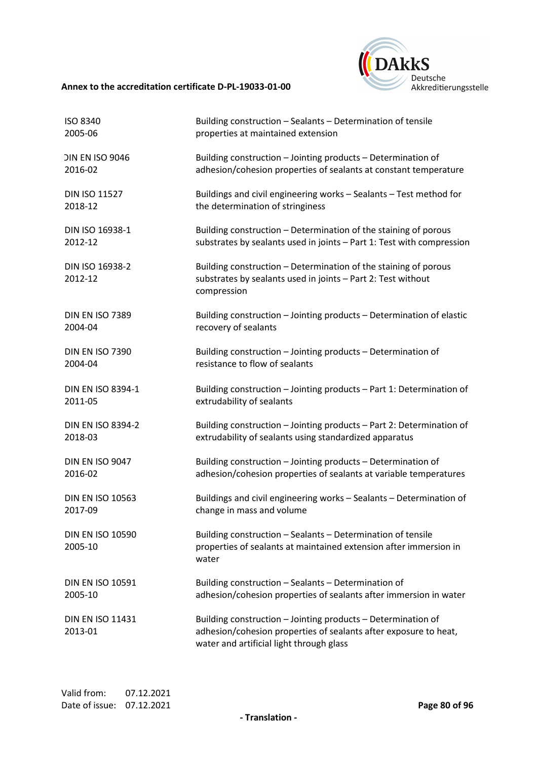

| ISO 8340                           | Building construction - Sealants - Determination of tensile                                                                                                                  |
|------------------------------------|------------------------------------------------------------------------------------------------------------------------------------------------------------------------------|
| 2005-06                            | properties at maintained extension                                                                                                                                           |
| <b>DIN EN ISO 9046</b>             | Building construction - Jointing products - Determination of                                                                                                                 |
| 2016-02                            | adhesion/cohesion properties of sealants at constant temperature                                                                                                             |
| <b>DIN ISO 11527</b>               | Buildings and civil engineering works - Sealants - Test method for                                                                                                           |
| 2018-12                            | the determination of stringiness                                                                                                                                             |
| DIN ISO 16938-1                    | Building construction - Determination of the staining of porous                                                                                                              |
| 2012-12                            | substrates by sealants used in joints - Part 1: Test with compression                                                                                                        |
| DIN ISO 16938-2<br>2012-12         | Building construction - Determination of the staining of porous<br>substrates by sealants used in joints - Part 2: Test without<br>compression                               |
| <b>DIN EN ISO 7389</b>             | Building construction - Jointing products - Determination of elastic                                                                                                         |
| 2004-04                            | recovery of sealants                                                                                                                                                         |
| <b>DIN EN ISO 7390</b>             | Building construction - Jointing products - Determination of                                                                                                                 |
| 2004-04                            | resistance to flow of sealants                                                                                                                                               |
| <b>DIN EN ISO 8394-1</b>           | Building construction - Jointing products - Part 1: Determination of                                                                                                         |
| 2011-05                            | extrudability of sealants                                                                                                                                                    |
| <b>DIN EN ISO 8394-2</b>           | Building construction - Jointing products - Part 2: Determination of                                                                                                         |
| 2018-03                            | extrudability of sealants using standardized apparatus                                                                                                                       |
| DIN EN ISO 9047                    | Building construction - Jointing products - Determination of                                                                                                                 |
| 2016-02                            | adhesion/cohesion properties of sealants at variable temperatures                                                                                                            |
| <b>DIN EN ISO 10563</b>            | Buildings and civil engineering works - Sealants - Determination of                                                                                                          |
| 2017-09                            | change in mass and volume                                                                                                                                                    |
| <b>DIN EN ISO 10590</b><br>2005-10 | Building construction - Sealants - Determination of tensile<br>properties of sealants at maintained extension after immersion in<br>water                                    |
| <b>DIN EN ISO 10591</b>            | Building construction - Sealants - Determination of                                                                                                                          |
| 2005-10                            | adhesion/cohesion properties of sealants after immersion in water                                                                                                            |
| <b>DIN EN ISO 11431</b><br>2013-01 | Building construction - Jointing products - Determination of<br>adhesion/cohesion properties of sealants after exposure to heat,<br>water and artificial light through glass |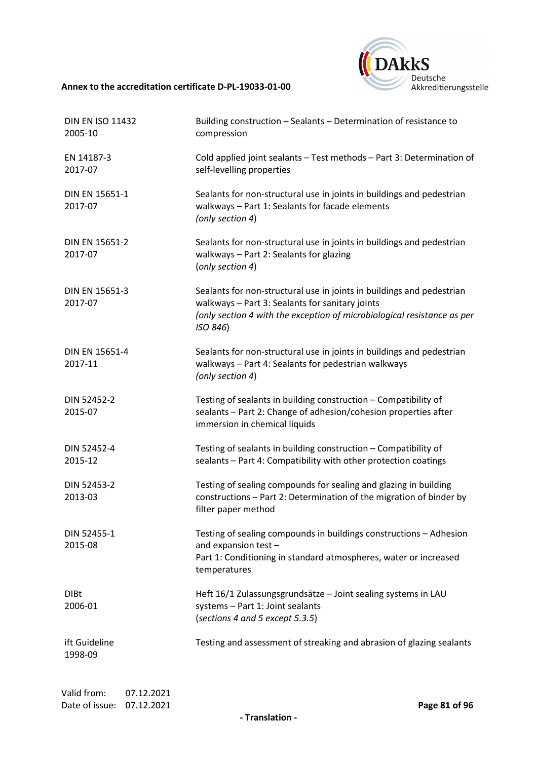

| <b>DIN EN ISO 11432</b><br>2005-10 | Building construction - Sealants - Determination of resistance to<br>compression                                                                                                                                |
|------------------------------------|-----------------------------------------------------------------------------------------------------------------------------------------------------------------------------------------------------------------|
| EN 14187-3<br>2017-07              | Cold applied joint sealants - Test methods - Part 3: Determination of<br>self-levelling properties                                                                                                              |
| DIN EN 15651-1<br>2017-07          | Sealants for non-structural use in joints in buildings and pedestrian<br>walkways - Part 1: Sealants for facade elements<br>(only section 4)                                                                    |
| <b>DIN EN 15651-2</b><br>2017-07   | Sealants for non-structural use in joints in buildings and pedestrian<br>walkways - Part 2: Sealants for glazing<br>(only section 4)                                                                            |
| DIN EN 15651-3<br>2017-07          | Sealants for non-structural use in joints in buildings and pedestrian<br>walkways - Part 3: Sealants for sanitary joints<br>(only section 4 with the exception of microbiological resistance as per<br>ISO 846) |
| DIN EN 15651-4<br>2017-11          | Sealants for non-structural use in joints in buildings and pedestrian<br>walkways - Part 4: Sealants for pedestrian walkways<br>(only section 4)                                                                |
| DIN 52452-2<br>2015-07             | Testing of sealants in building construction - Compatibility of<br>sealants - Part 2: Change of adhesion/cohesion properties after<br>immersion in chemical liquids                                             |
| DIN 52452-4<br>2015-12             | Testing of sealants in building construction - Compatibility of<br>sealants - Part 4: Compatibility with other protection coatings                                                                              |
| DIN 52453-2<br>2013-03             | Testing of sealing compounds for sealing and glazing in building<br>constructions - Part 2: Determination of the migration of binder by<br>filter paper method                                                  |
| DIN 52455-1<br>2015-08             | Testing of sealing compounds in buildings constructions - Adhesion<br>and expansion test -<br>Part 1: Conditioning in standard atmospheres, water or increased<br>temperatures                                  |
| <b>DIBt</b><br>2006-01             | Heft 16/1 Zulassungsgrundsätze - Joint sealing systems in LAU<br>systems - Part 1: Joint sealants<br>(sections 4 and 5 except 5.3.5)                                                                            |
| ift Guideline<br>1998-09           | Testing and assessment of streaking and abrasion of glazing sealants                                                                                                                                            |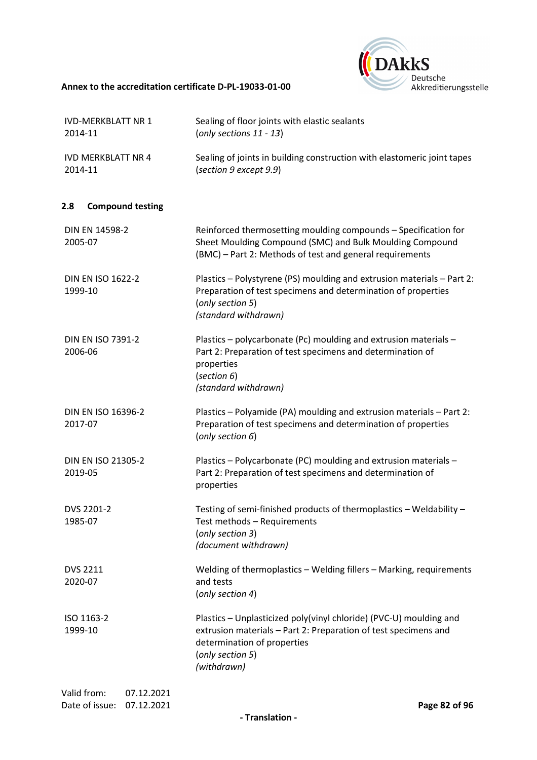

| <b>IVD-MERKBLATT NR 1</b><br>2014-11                      | Sealing of floor joints with elastic sealants<br>(only sections 11 - 13)                                                                                                                                |
|-----------------------------------------------------------|---------------------------------------------------------------------------------------------------------------------------------------------------------------------------------------------------------|
| <b>IVD MERKBLATT NR 4</b><br>2014-11                      | Sealing of joints in building construction with elastomeric joint tapes<br>(section 9 except 9.9)                                                                                                       |
| <b>Compound testing</b><br>2.8                            |                                                                                                                                                                                                         |
| DIN EN 14598-2<br>2005-07                                 | Reinforced thermosetting moulding compounds - Specification for<br>Sheet Moulding Compound (SMC) and Bulk Moulding Compound<br>(BMC) - Part 2: Methods of test and general requirements                 |
| <b>DIN EN ISO 1622-2</b><br>1999-10                       | Plastics - Polystyrene (PS) moulding and extrusion materials - Part 2:<br>Preparation of test specimens and determination of properties<br>(only section 5)<br>(standard withdrawn)                     |
| <b>DIN EN ISO 7391-2</b><br>2006-06                       | Plastics - polycarbonate (Pc) moulding and extrusion materials -<br>Part 2: Preparation of test specimens and determination of<br>properties<br>(section 6)<br>(standard withdrawn)                     |
| DIN EN ISO 16396-2<br>2017-07                             | Plastics - Polyamide (PA) moulding and extrusion materials - Part 2:<br>Preparation of test specimens and determination of properties<br>(only section 6)                                               |
| DIN EN ISO 21305-2<br>2019-05                             | Plastics - Polycarbonate (PC) moulding and extrusion materials -<br>Part 2: Preparation of test specimens and determination of<br>properties                                                            |
| DVS 2201-2<br>1985-07                                     | Testing of semi-finished products of thermoplastics - Weldability -<br>Test methods - Requirements<br>(only section 3)<br>(document withdrawn)                                                          |
| <b>DVS 2211</b><br>2020-07                                | Welding of thermoplastics - Welding fillers - Marking, requirements<br>and tests<br>(only section 4)                                                                                                    |
| ISO 1163-2<br>1999-10                                     | Plastics - Unplasticized poly(vinyl chloride) (PVC-U) moulding and<br>extrusion materials - Part 2: Preparation of test specimens and<br>determination of properties<br>(only section 5)<br>(withdrawn) |
| Valid from:<br>07.12.2021<br>Date of issue:<br>07.12.2021 | Page 82 of 96                                                                                                                                                                                           |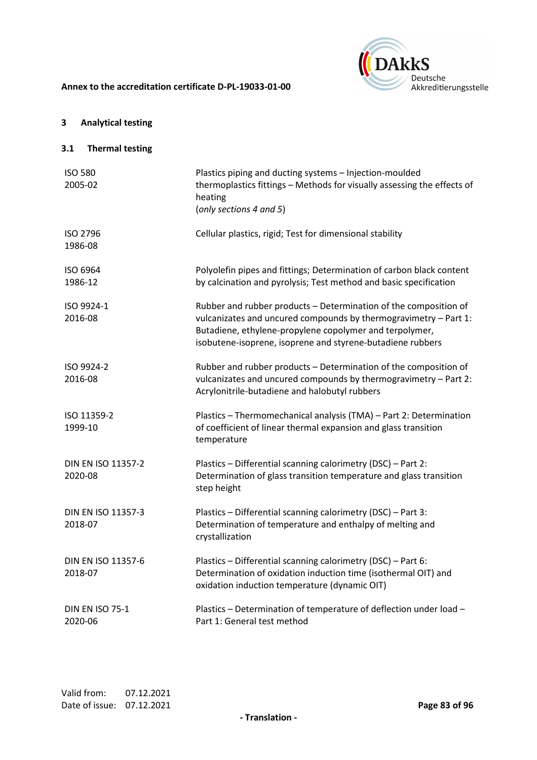

# **3 Analytical testing**

# **3.1 Thermal testing**

| <b>ISO 580</b><br>2005-02            | Plastics piping and ducting systems - Injection-moulded<br>thermoplastics fittings - Methods for visually assessing the effects of<br>heating<br>(only sections 4 and 5)                                                                                      |
|--------------------------------------|---------------------------------------------------------------------------------------------------------------------------------------------------------------------------------------------------------------------------------------------------------------|
| <b>ISO 2796</b><br>1986-08           | Cellular plastics, rigid; Test for dimensional stability                                                                                                                                                                                                      |
| ISO 6964<br>1986-12                  | Polyolefin pipes and fittings; Determination of carbon black content<br>by calcination and pyrolysis; Test method and basic specification                                                                                                                     |
| ISO 9924-1<br>2016-08                | Rubber and rubber products - Determination of the composition of<br>vulcanizates and uncured compounds by thermogravimetry - Part 1:<br>Butadiene, ethylene-propylene copolymer and terpolymer,<br>isobutene-isoprene, isoprene and styrene-butadiene rubbers |
| ISO 9924-2<br>2016-08                | Rubber and rubber products - Determination of the composition of<br>vulcanizates and uncured compounds by thermogravimetry - Part 2:<br>Acrylonitrile-butadiene and halobutyl rubbers                                                                         |
| ISO 11359-2<br>1999-10               | Plastics - Thermomechanical analysis (TMA) - Part 2: Determination<br>of coefficient of linear thermal expansion and glass transition<br>temperature                                                                                                          |
| <b>DIN EN ISO 11357-2</b><br>2020-08 | Plastics - Differential scanning calorimetry (DSC) - Part 2:<br>Determination of glass transition temperature and glass transition<br>step height                                                                                                             |
| DIN EN ISO 11357-3<br>2018-07        | Plastics - Differential scanning calorimetry (DSC) - Part 3:<br>Determination of temperature and enthalpy of melting and<br>crystallization                                                                                                                   |
| DIN EN ISO 11357-6<br>2018-07        | Plastics - Differential scanning calorimetry (DSC) - Part 6:<br>Determination of oxidation induction time (isothermal OIT) and<br>oxidation induction temperature (dynamic OIT)                                                                               |
| <b>DIN EN ISO 75-1</b><br>2020-06    | Plastics - Determination of temperature of deflection under load -<br>Part 1: General test method                                                                                                                                                             |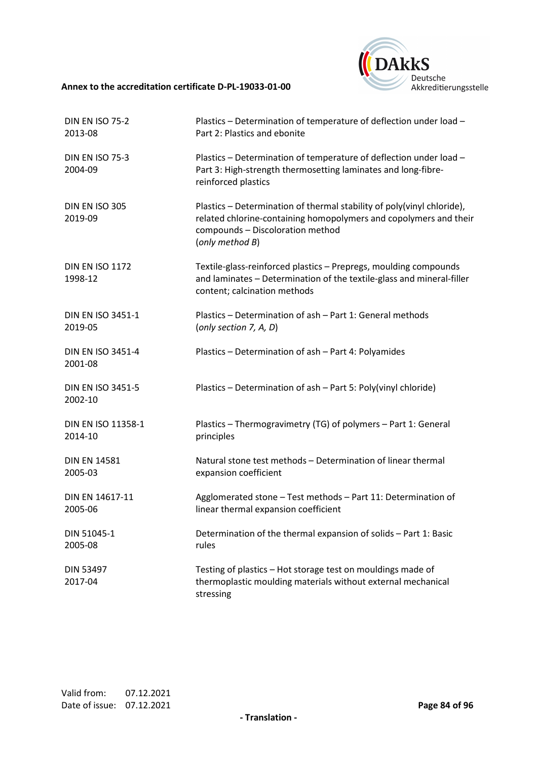

| <b>DIN EN ISO 75-2</b>              | Plastics - Determination of temperature of deflection under load -                                                                                                                                 |
|-------------------------------------|----------------------------------------------------------------------------------------------------------------------------------------------------------------------------------------------------|
| 2013-08                             | Part 2: Plastics and ebonite                                                                                                                                                                       |
| <b>DIN EN ISO 75-3</b><br>2004-09   | Plastics - Determination of temperature of deflection under load -<br>Part 3: High-strength thermosetting laminates and long-fibre-<br>reinforced plastics                                         |
| DIN EN ISO 305<br>2019-09           | Plastics - Determination of thermal stability of poly(vinyl chloride),<br>related chlorine-containing homopolymers and copolymers and their<br>compounds - Discoloration method<br>(only method B) |
| <b>DIN EN ISO 1172</b><br>1998-12   | Textile-glass-reinforced plastics - Prepregs, moulding compounds<br>and laminates - Determination of the textile-glass and mineral-filler<br>content; calcination methods                          |
| DIN EN ISO 3451-1                   | Plastics - Determination of ash - Part 1: General methods                                                                                                                                          |
| 2019-05                             | (only section $7, A, D$ )                                                                                                                                                                          |
| <b>DIN EN ISO 3451-4</b><br>2001-08 | Plastics - Determination of ash - Part 4: Polyamides                                                                                                                                               |
| <b>DIN EN ISO 3451-5</b><br>2002-10 | Plastics - Determination of ash - Part 5: Poly(vinyl chloride)                                                                                                                                     |
| DIN EN ISO 11358-1                  | Plastics - Thermogravimetry (TG) of polymers - Part 1: General                                                                                                                                     |
| 2014-10                             | principles                                                                                                                                                                                         |
| <b>DIN EN 14581</b>                 | Natural stone test methods - Determination of linear thermal                                                                                                                                       |
| 2005-03                             | expansion coefficient                                                                                                                                                                              |
| DIN EN 14617-11                     | Agglomerated stone - Test methods - Part 11: Determination of                                                                                                                                      |
| 2005-06                             | linear thermal expansion coefficient                                                                                                                                                               |
| DIN 51045-1                         | Determination of the thermal expansion of solids - Part 1: Basic                                                                                                                                   |
| 2005-08                             | rules                                                                                                                                                                                              |
| DIN 53497<br>2017-04                | Testing of plastics - Hot storage test on mouldings made of<br>thermoplastic moulding materials without external mechanical<br>stressing                                                           |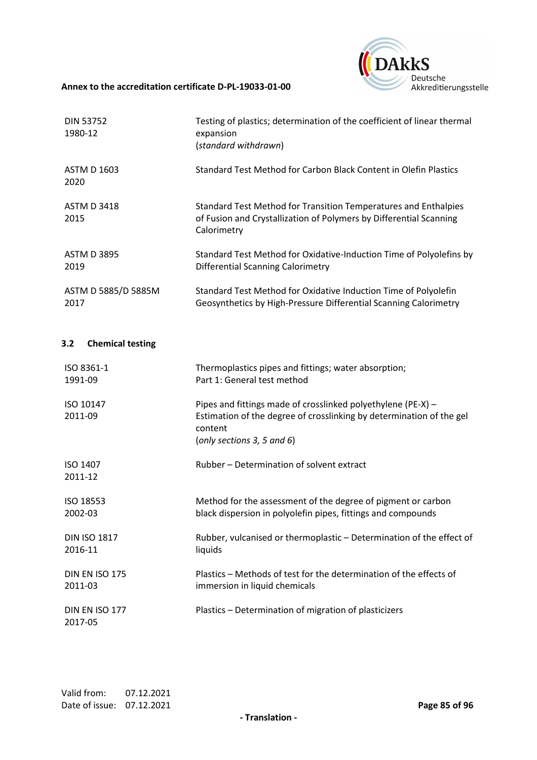

| <b>DIN 53752</b><br>1980-12 | Testing of plastics; determination of the coefficient of linear thermal<br>expansion<br>(standard withdrawn)                                         |
|-----------------------------|------------------------------------------------------------------------------------------------------------------------------------------------------|
| <b>ASTM D 1603</b><br>2020  | Standard Test Method for Carbon Black Content in Olefin Plastics                                                                                     |
| <b>ASTM D 3418</b><br>2015  | Standard Test Method for Transition Temperatures and Enthalpies<br>of Fusion and Crystallization of Polymers by Differential Scanning<br>Calorimetry |
| <b>ASTM D 3895</b><br>2019  | Standard Test Method for Oxidative-Induction Time of Polyolefins by<br>Differential Scanning Calorimetry                                             |
| ASTM D 5885/D 5885M<br>2017 | Standard Test Method for Oxidative Induction Time of Polyolefin<br>Geosynthetics by High-Pressure Differential Scanning Calorimetry                  |

# **3.2 Chemical testing**

| ISO 8361-1                       | Thermoplastics pipes and fittings; water absorption;                                                                                                                          |
|----------------------------------|-------------------------------------------------------------------------------------------------------------------------------------------------------------------------------|
| 1991-09                          | Part 1: General test method                                                                                                                                                   |
| ISO 10147<br>2011-09             | Pipes and fittings made of crosslinked polyethylene (PE-X) -<br>Estimation of the degree of crosslinking by determination of the gel<br>content<br>(only sections 3, 5 and 6) |
| <b>ISO 1407</b><br>2011-12       | Rubber – Determination of solvent extract                                                                                                                                     |
| ISO 18553                        | Method for the assessment of the degree of pigment or carbon                                                                                                                  |
| 2002-03                          | black dispersion in polyolefin pipes, fittings and compounds                                                                                                                  |
| <b>DIN ISO 1817</b>              | Rubber, vulcanised or thermoplastic - Determination of the effect of                                                                                                          |
| 2016-11                          | liquids                                                                                                                                                                       |
| <b>DIN EN ISO 175</b>            | Plastics – Methods of test for the determination of the effects of                                                                                                            |
| 2011-03                          | immersion in liquid chemicals                                                                                                                                                 |
| <b>DIN EN ISO 177</b><br>2017-05 | Plastics – Determination of migration of plasticizers                                                                                                                         |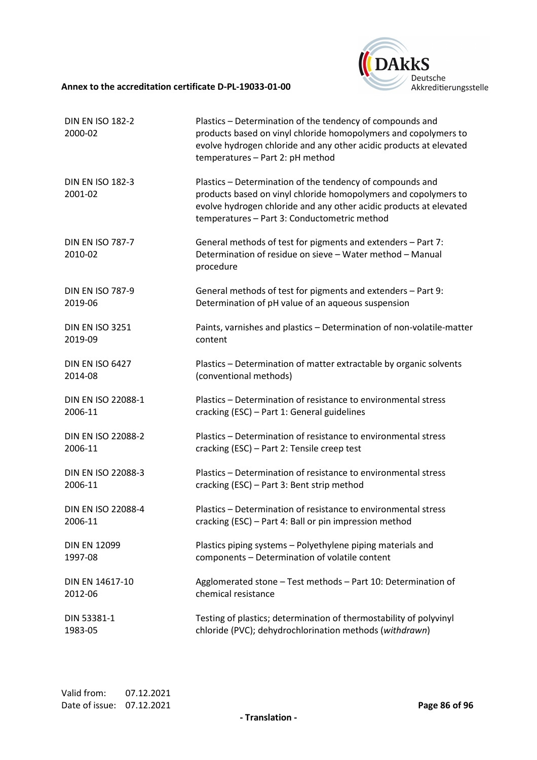

| <b>DIN EN ISO 182-2</b><br>2000-02 | Plastics - Determination of the tendency of compounds and<br>products based on vinyl chloride homopolymers and copolymers to<br>evolve hydrogen chloride and any other acidic products at elevated<br>temperatures - Part 2: pH method             |
|------------------------------------|----------------------------------------------------------------------------------------------------------------------------------------------------------------------------------------------------------------------------------------------------|
| <b>DIN EN ISO 182-3</b><br>2001-02 | Plastics - Determination of the tendency of compounds and<br>products based on vinyl chloride homopolymers and copolymers to<br>evolve hydrogen chloride and any other acidic products at elevated<br>temperatures - Part 3: Conductometric method |
| <b>DIN EN ISO 787-7</b><br>2010-02 | General methods of test for pigments and extenders - Part 7:<br>Determination of residue on sieve - Water method - Manual<br>procedure                                                                                                             |
| <b>DIN EN ISO 787-9</b>            | General methods of test for pigments and extenders - Part 9:                                                                                                                                                                                       |
| 2019-06                            | Determination of pH value of an aqueous suspension                                                                                                                                                                                                 |
| <b>DIN EN ISO 3251</b>             | Paints, varnishes and plastics - Determination of non-volatile-matter                                                                                                                                                                              |
| 2019-09                            | content                                                                                                                                                                                                                                            |
| <b>DIN EN ISO 6427</b>             | Plastics - Determination of matter extractable by organic solvents                                                                                                                                                                                 |
| 2014-08                            | (conventional methods)                                                                                                                                                                                                                             |
| DIN EN ISO 22088-1                 | Plastics - Determination of resistance to environmental stress                                                                                                                                                                                     |
| 2006-11                            | cracking (ESC) - Part 1: General guidelines                                                                                                                                                                                                        |
| <b>DIN EN ISO 22088-2</b>          | Plastics - Determination of resistance to environmental stress                                                                                                                                                                                     |
| 2006-11                            | cracking (ESC) - Part 2: Tensile creep test                                                                                                                                                                                                        |
| DIN EN ISO 22088-3                 | Plastics - Determination of resistance to environmental stress                                                                                                                                                                                     |
| 2006-11                            | cracking (ESC) - Part 3: Bent strip method                                                                                                                                                                                                         |
| DIN EN ISO 22088-4                 | Plastics - Determination of resistance to environmental stress                                                                                                                                                                                     |
| 2006-11                            | cracking (ESC) - Part 4: Ball or pin impression method                                                                                                                                                                                             |
| <b>DIN EN 12099</b>                | Plastics piping systems - Polyethylene piping materials and                                                                                                                                                                                        |
| 1997-08                            | components - Determination of volatile content                                                                                                                                                                                                     |
| DIN EN 14617-10                    | Agglomerated stone - Test methods - Part 10: Determination of                                                                                                                                                                                      |
| 2012-06                            | chemical resistance                                                                                                                                                                                                                                |
| DIN 53381-1                        | Testing of plastics; determination of thermostability of polyvinyl                                                                                                                                                                                 |
| 1983-05                            | chloride (PVC); dehydrochlorination methods (withdrawn)                                                                                                                                                                                            |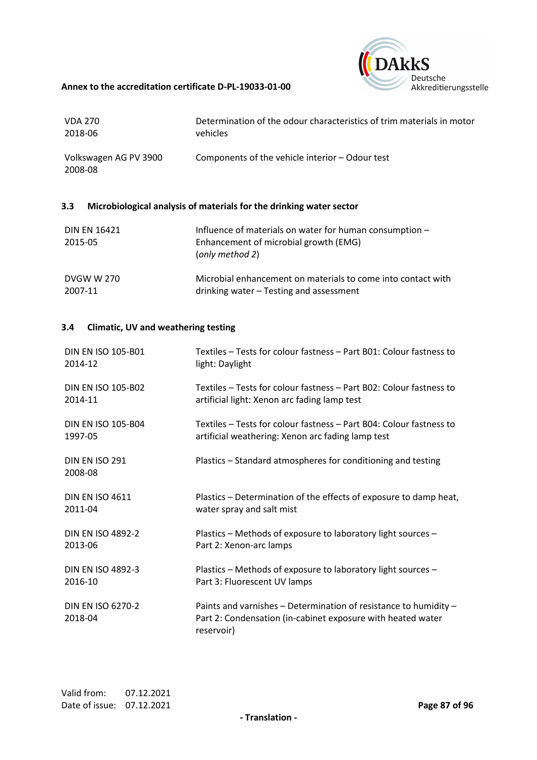

| <b>VDA 270</b>                   | Determination of the odour characteristics of trim materials in motor |
|----------------------------------|-----------------------------------------------------------------------|
| 2018-06                          | vehicles                                                              |
| Volkswagen AG PV 3900<br>2008-08 | Components of the vehicle interior – Odour test                       |

# **3.3 Microbiological analysis of materials for the drinking water sector**

| <b>DIN EN 16421</b><br>2015-05 | Influence of materials on water for human consumption -<br>Enhancement of microbial growth (EMG)<br>(only method 2) |
|--------------------------------|---------------------------------------------------------------------------------------------------------------------|
| <b>DVGW W 270</b>              | Microbial enhancement on materials to come into contact with                                                        |
| 2007-11                        | drinking water – Testing and assessment                                                                             |

## **3.4 Climatic, UV and weathering testing**

| <b>DIN EN ISO 105-B01</b>    | Textiles – Tests for colour fastness – Part B01: Colour fastness to                                                                           |
|------------------------------|-----------------------------------------------------------------------------------------------------------------------------------------------|
| 2014-12                      | light: Daylight                                                                                                                               |
| <b>DIN EN ISO 105-B02</b>    | Textiles – Tests for colour fastness – Part B02: Colour fastness to                                                                           |
| 2014-11                      | artificial light: Xenon arc fading lamp test                                                                                                  |
| <b>DIN EN ISO 105-B04</b>    | Textiles – Tests for colour fastness – Part B04: Colour fastness to                                                                           |
| 1997-05                      | artificial weathering: Xenon arc fading lamp test                                                                                             |
| DIN EN ISO 291<br>2008-08    | Plastics – Standard atmospheres for conditioning and testing                                                                                  |
| <b>DIN EN ISO 4611</b>       | Plastics – Determination of the effects of exposure to damp heat,                                                                             |
| 2011-04                      | water spray and salt mist                                                                                                                     |
| <b>DIN EN ISO 4892-2</b>     | Plastics - Methods of exposure to laboratory light sources -                                                                                  |
| 2013-06                      | Part 2: Xenon-arc lamps                                                                                                                       |
| <b>DIN EN ISO 4892-3</b>     | Plastics - Methods of exposure to laboratory light sources -                                                                                  |
| 2016-10                      | Part 3: Fluorescent UV lamps                                                                                                                  |
| DIN EN ISO 6270-2<br>2018-04 | Paints and varnishes - Determination of resistance to humidity -<br>Part 2: Condensation (in-cabinet exposure with heated water<br>reservoir) |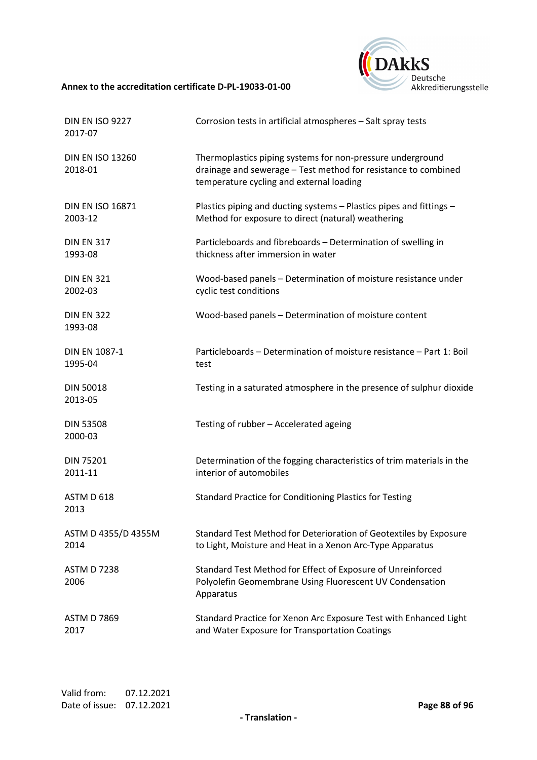

| <b>DIN EN ISO 9227</b><br>2017-07  | Corrosion tests in artificial atmospheres - Salt spray tests                                                                                                             |
|------------------------------------|--------------------------------------------------------------------------------------------------------------------------------------------------------------------------|
| <b>DIN EN ISO 13260</b><br>2018-01 | Thermoplastics piping systems for non-pressure underground<br>drainage and sewerage - Test method for resistance to combined<br>temperature cycling and external loading |
| <b>DIN EN ISO 16871</b>            | Plastics piping and ducting systems - Plastics pipes and fittings -                                                                                                      |
| 2003-12                            | Method for exposure to direct (natural) weathering                                                                                                                       |
| <b>DIN EN 317</b>                  | Particleboards and fibreboards - Determination of swelling in                                                                                                            |
| 1993-08                            | thickness after immersion in water                                                                                                                                       |
| <b>DIN EN 321</b>                  | Wood-based panels - Determination of moisture resistance under                                                                                                           |
| 2002-03                            | cyclic test conditions                                                                                                                                                   |
| <b>DIN EN 322</b><br>1993-08       | Wood-based panels - Determination of moisture content                                                                                                                    |
| <b>DIN EN 1087-1</b>               | Particleboards - Determination of moisture resistance - Part 1: Boil                                                                                                     |
| 1995-04                            | test                                                                                                                                                                     |
| <b>DIN 50018</b><br>2013-05        | Testing in a saturated atmosphere in the presence of sulphur dioxide                                                                                                     |
| <b>DIN 53508</b><br>2000-03        | Testing of rubber - Accelerated ageing                                                                                                                                   |
| <b>DIN 75201</b>                   | Determination of the fogging characteristics of trim materials in the                                                                                                    |
| 2011-11                            | interior of automobiles                                                                                                                                                  |
| ASTM D 618<br>2013                 | <b>Standard Practice for Conditioning Plastics for Testing</b>                                                                                                           |
| ASTM D 4355/D 4355M                | Standard Test Method for Deterioration of Geotextiles by Exposure                                                                                                        |
| 2014                               | to Light, Moisture and Heat in a Xenon Arc-Type Apparatus                                                                                                                |
| <b>ASTM D 7238</b><br>2006         | Standard Test Method for Effect of Exposure of Unreinforced<br>Polyolefin Geomembrane Using Fluorescent UV Condensation<br>Apparatus                                     |
| <b>ASTM D 7869</b>                 | Standard Practice for Xenon Arc Exposure Test with Enhanced Light                                                                                                        |
| 2017                               | and Water Exposure for Transportation Coatings                                                                                                                           |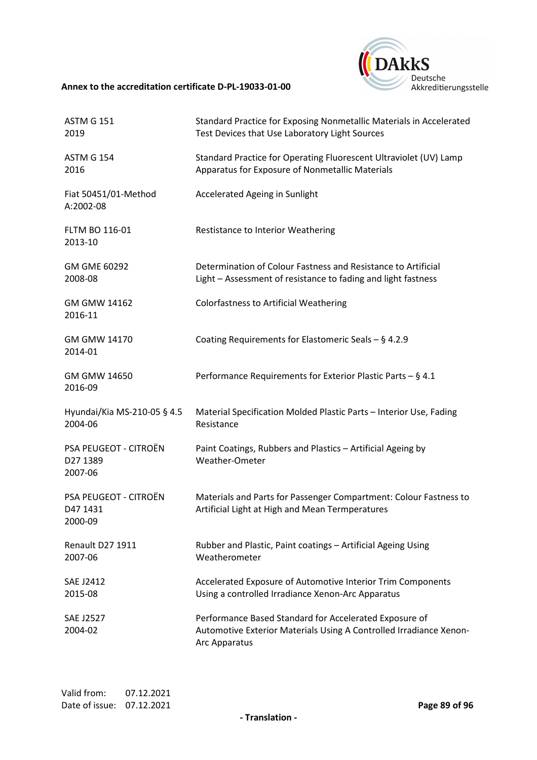

| <b>ASTM G 151</b><br>2019                           | Standard Practice for Exposing Nonmetallic Materials in Accelerated<br>Test Devices that Use Laboratory Light Sources                         |
|-----------------------------------------------------|-----------------------------------------------------------------------------------------------------------------------------------------------|
| <b>ASTM G 154</b><br>2016                           | Standard Practice for Operating Fluorescent Ultraviolet (UV) Lamp<br>Apparatus for Exposure of Nonmetallic Materials                          |
| Fiat 50451/01-Method<br>A:2002-08                   | Accelerated Ageing in Sunlight                                                                                                                |
| FLTM BO 116-01<br>2013-10                           | Restistance to Interior Weathering                                                                                                            |
| GM GME 60292<br>2008-08                             | Determination of Colour Fastness and Resistance to Artificial<br>Light - Assessment of resistance to fading and light fastness                |
| GM GMW 14162<br>2016-11                             | <b>Colorfastness to Artificial Weathering</b>                                                                                                 |
| GM GMW 14170<br>2014-01                             | Coating Requirements for Elastomeric Seals $-$ § 4.2.9                                                                                        |
| GM GMW 14650<br>2016-09                             | Performance Requirements for Exterior Plastic Parts - § 4.1                                                                                   |
| Hyundai/Kia MS-210-05 § 4.5<br>2004-06              | Material Specification Molded Plastic Parts - Interior Use, Fading<br>Resistance                                                              |
| <b>PSA PEUGEOT - CITROËN</b><br>D27 1389<br>2007-06 | Paint Coatings, Rubbers and Plastics - Artificial Ageing by<br>Weather-Ometer                                                                 |
| PSA PEUGEOT - CITROËN<br>D47 1431<br>2000-09        | Materials and Parts for Passenger Compartment: Colour Fastness to<br>Artificial Light at High and Mean Termperatures                          |
| Renault D27 1911<br>2007-06                         | Rubber and Plastic, Paint coatings - Artificial Ageing Using<br>Weatherometer                                                                 |
| <b>SAE J2412</b><br>2015-08                         | Accelerated Exposure of Automotive Interior Trim Components<br>Using a controlled Irradiance Xenon-Arc Apparatus                              |
| <b>SAE J2527</b><br>2004-02                         | Performance Based Standard for Accelerated Exposure of<br>Automotive Exterior Materials Using A Controlled Irradiance Xenon-<br>Arc Apparatus |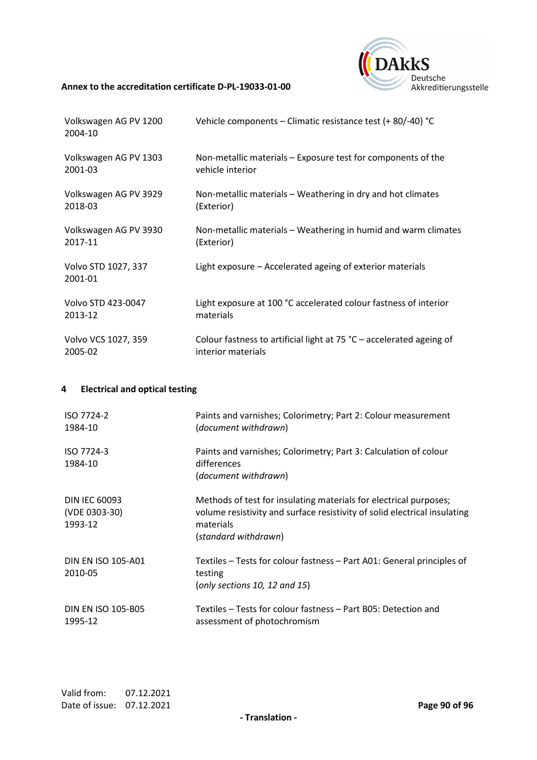

| Volkswagen AG PV 1200<br>2004-10 | Vehicle components – Climatic resistance test (+ 80/-40) °C            |
|----------------------------------|------------------------------------------------------------------------|
| Volkswagen AG PV 1303            | Non-metallic materials – Exposure test for components of the           |
| 2001-03                          | vehicle interior                                                       |
| Volkswagen AG PV 3929            | Non-metallic materials – Weathering in dry and hot climates            |
| 2018-03                          | (Exterior)                                                             |
| Volkswagen AG PV 3930            | Non-metallic materials - Weathering in humid and warm climates         |
| 2017-11                          | (Exterior)                                                             |
| Volvo STD 1027, 337<br>2001-01   | Light exposure - Accelerated ageing of exterior materials              |
| Volvo STD 423-0047               | Light exposure at 100 °C accelerated colour fastness of interior       |
| 2013-12                          | materials                                                              |
| Volvo VCS 1027, 359              | Colour fastness to artificial light at 75 $°C$ – accelerated ageing of |
| 2005-02                          | interior materials                                                     |

# **4 Electrical and optical testing**

| ISO 7724-2<br>1984-10                            | Paints and varnishes; Colorimetry; Part 2: Colour measurement<br>(document withdrawn)                                                                                               |
|--------------------------------------------------|-------------------------------------------------------------------------------------------------------------------------------------------------------------------------------------|
| ISO 7724-3<br>1984-10                            | Paints and varnishes; Colorimetry; Part 3: Calculation of colour<br>differences<br>(document withdrawn)                                                                             |
| <b>DIN IEC 60093</b><br>(VDE 0303-30)<br>1993-12 | Methods of test for insulating materials for electrical purposes;<br>volume resistivity and surface resistivity of solid electrical insulating<br>materials<br>(standard withdrawn) |
| DIN EN ISO 105-A01<br>2010-05                    | Textiles – Tests for colour fastness – Part A01: General principles of<br>testing<br>(only sections 10, 12 and 15)                                                                  |
| <b>DIN EN ISO 105-B05</b><br>1995-12             | Textiles – Tests for colour fastness – Part B05: Detection and<br>assessment of photochromism                                                                                       |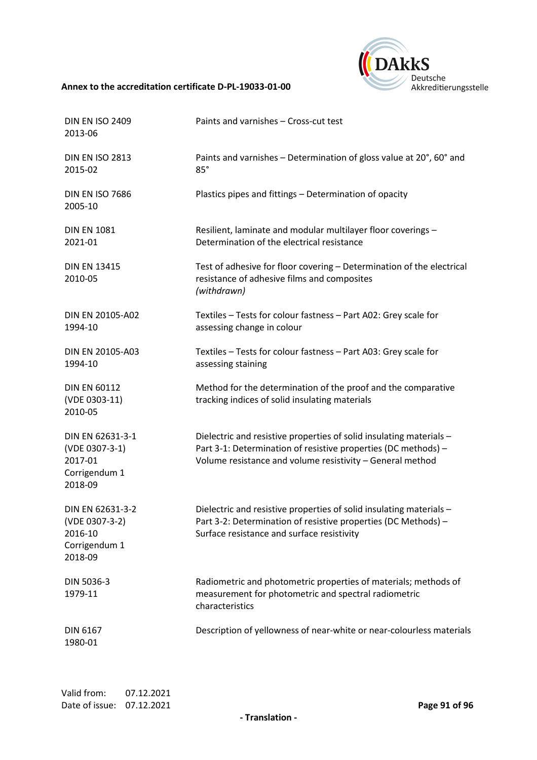

| <b>DIN EN ISO 2409</b><br>2013-06                                         | Paints and varnishes - Cross-cut test                                                                                                                                                              |
|---------------------------------------------------------------------------|----------------------------------------------------------------------------------------------------------------------------------------------------------------------------------------------------|
| <b>DIN EN ISO 2813</b><br>2015-02                                         | Paints and varnishes - Determination of gloss value at 20°, 60° and<br>85°                                                                                                                         |
| <b>DIN EN ISO 7686</b><br>2005-10                                         | Plastics pipes and fittings - Determination of opacity                                                                                                                                             |
| <b>DIN EN 1081</b><br>2021-01                                             | Resilient, laminate and modular multilayer floor coverings -<br>Determination of the electrical resistance                                                                                         |
| <b>DIN EN 13415</b><br>2010-05                                            | Test of adhesive for floor covering - Determination of the electrical<br>resistance of adhesive films and composites<br>(withdrawn)                                                                |
| DIN EN 20105-A02<br>1994-10                                               | Textiles - Tests for colour fastness - Part A02: Grey scale for<br>assessing change in colour                                                                                                      |
| DIN EN 20105-A03<br>1994-10                                               | Textiles - Tests for colour fastness - Part A03: Grey scale for<br>assessing staining                                                                                                              |
| <b>DIN EN 60112</b><br>(VDE 0303-11)<br>2010-05                           | Method for the determination of the proof and the comparative<br>tracking indices of solid insulating materials                                                                                    |
| DIN EN 62631-3-1<br>(VDE 0307-3-1)<br>2017-01<br>Corrigendum 1<br>2018-09 | Dielectric and resistive properties of solid insulating materials -<br>Part 3-1: Determination of resistive properties (DC methods) -<br>Volume resistance and volume resistivity - General method |
| DIN EN 62631-3-2<br>(VDE 0307-3-2)<br>2016-10<br>Corrigendum 1<br>2018-09 | Dielectric and resistive properties of solid insulating materials -<br>Part 3-2: Determination of resistive properties (DC Methods) -<br>Surface resistance and surface resistivity                |
| DIN 5036-3<br>1979-11                                                     | Radiometric and photometric properties of materials; methods of<br>measurement for photometric and spectral radiometric<br>characteristics                                                         |
| <b>DIN 6167</b><br>1980-01                                                | Description of yellowness of near-white or near-colourless materials                                                                                                                               |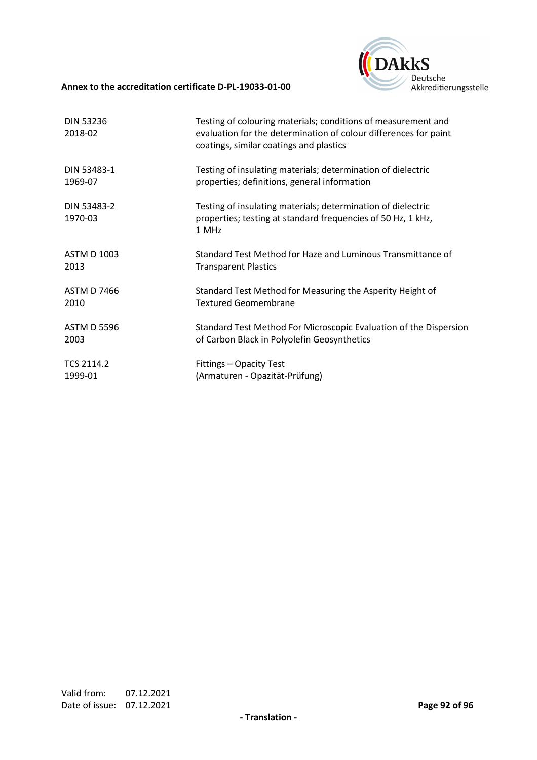

| <b>DIN 53236</b><br>2018-02 | Testing of colouring materials; conditions of measurement and<br>evaluation for the determination of colour differences for paint<br>coatings, similar coatings and plastics |
|-----------------------------|------------------------------------------------------------------------------------------------------------------------------------------------------------------------------|
| DIN 53483-1                 | Testing of insulating materials; determination of dielectric                                                                                                                 |
| 1969-07                     | properties; definitions, general information                                                                                                                                 |
| DIN 53483-2<br>1970-03      | Testing of insulating materials; determination of dielectric<br>properties; testing at standard frequencies of 50 Hz, 1 kHz,<br>1 MHz                                        |
| <b>ASTM D 1003</b>          | Standard Test Method for Haze and Luminous Transmittance of                                                                                                                  |
| 2013                        | <b>Transparent Plastics</b>                                                                                                                                                  |
| <b>ASTM D 7466</b>          | Standard Test Method for Measuring the Asperity Height of                                                                                                                    |
| 2010                        | <b>Textured Geomembrane</b>                                                                                                                                                  |
| <b>ASTM D 5596</b>          | Standard Test Method For Microscopic Evaluation of the Dispersion                                                                                                            |
| 2003                        | of Carbon Black in Polyolefin Geosynthetics                                                                                                                                  |
| <b>TCS 2114.2</b>           | Fittings - Opacity Test                                                                                                                                                      |
| 1999-01                     | (Armaturen - Opazität-Prüfung)                                                                                                                                               |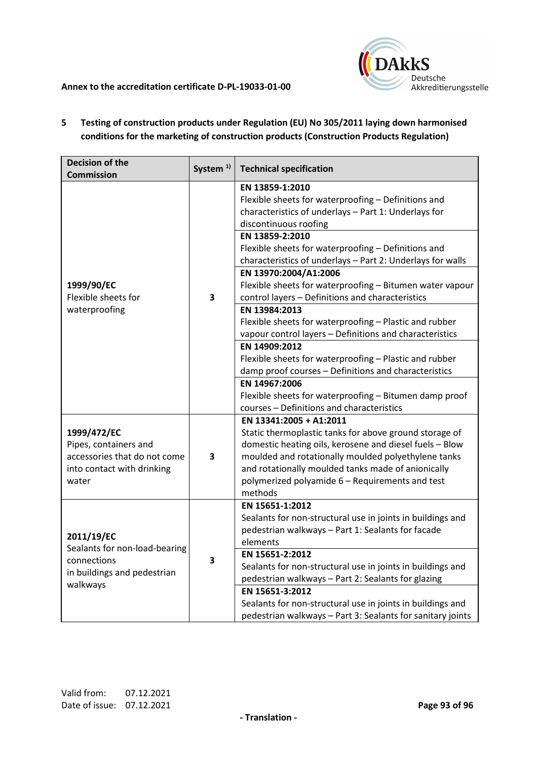

# **5 Testing of construction products under Regulation (EU) No 305/2011 laying down harmonised conditions for the marketing of construction products (Construction Products Regulation)**

| <b>Decision of the</b><br><b>Commission</b>                                                                 | System <sup>1)</sup> | <b>Technical specification</b>                                                                                                                                                                                                                                                                                                                                                                                                           |
|-------------------------------------------------------------------------------------------------------------|----------------------|------------------------------------------------------------------------------------------------------------------------------------------------------------------------------------------------------------------------------------------------------------------------------------------------------------------------------------------------------------------------------------------------------------------------------------------|
| 1999/90/EC<br>Flexible sheets for<br>waterproofing                                                          | 3                    | EN 13859-1:2010<br>Flexible sheets for waterproofing - Definitions and<br>characteristics of underlays - Part 1: Underlays for<br>discontinuous roofing<br>EN 13859-2:2010<br>Flexible sheets for waterproofing - Definitions and<br>characteristics of underlays - Part 2: Underlays for walls<br>EN 13970:2004/A1:2006<br>Flexible sheets for waterproofing - Bitumen water vapour<br>control layers - Definitions and characteristics |
|                                                                                                             |                      | EN 13984:2013<br>Flexible sheets for waterproofing - Plastic and rubber<br>vapour control layers - Definitions and characteristics<br>EN 14909:2012<br>Flexible sheets for waterproofing - Plastic and rubber                                                                                                                                                                                                                            |
|                                                                                                             |                      | damp proof courses - Definitions and characteristics<br>EN 14967:2006<br>Flexible sheets for waterproofing - Bitumen damp proof<br>courses - Definitions and characteristics                                                                                                                                                                                                                                                             |
| 1999/472/EC<br>Pipes, containers and<br>accessories that do not come<br>into contact with drinking<br>water | 3                    | EN 13341:2005 + A1:2011<br>Static thermoplastic tanks for above ground storage of<br>domestic heating oils, kerosene and diesel fuels - Blow<br>moulded and rotationally moulded polyethylene tanks<br>and rotationally moulded tanks made of anionically<br>polymerized polyamide 6 - Requirements and test<br>methods                                                                                                                  |
| 2011/19/EC<br>Sealants for non-load-bearing<br>connections<br>in buildings and pedestrian<br>walkways       | 3                    | EN 15651-1:2012<br>Sealants for non-structural use in joints in buildings and<br>pedestrian walkways - Part 1: Sealants for facade<br>elements<br>EN 15651-2:2012<br>Sealants for non-structural use in joints in buildings and<br>pedestrian walkways - Part 2: Sealants for glazing                                                                                                                                                    |
|                                                                                                             |                      | EN 15651-3:2012<br>Sealants for non-structural use in joints in buildings and<br>pedestrian walkways - Part 3: Sealants for sanitary joints                                                                                                                                                                                                                                                                                              |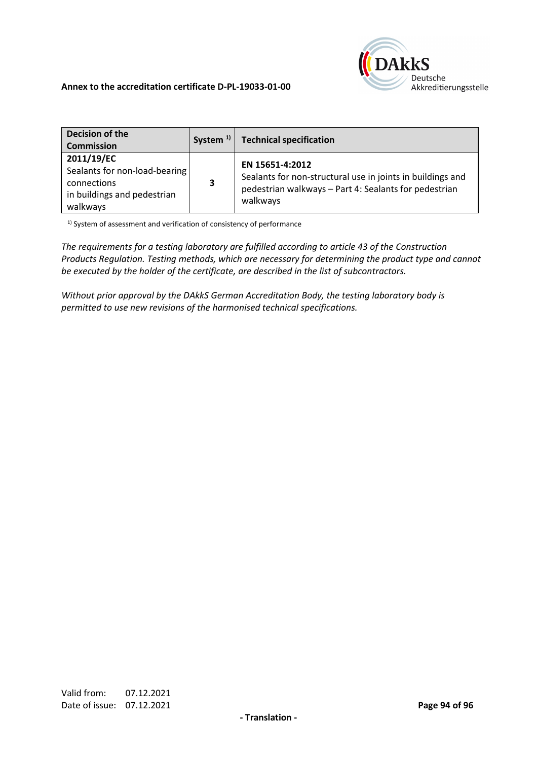

| Decision of the<br><b>Commission</b>                                                                  | System $1$ | <b>Technical specification</b>                                                                                                                     |
|-------------------------------------------------------------------------------------------------------|------------|----------------------------------------------------------------------------------------------------------------------------------------------------|
| 2011/19/EC<br>Sealants for non-load-bearing<br>connections<br>in buildings and pedestrian<br>walkways | 3          | EN 15651-4:2012<br>Sealants for non-structural use in joints in buildings and<br>pedestrian walkways - Part 4: Sealants for pedestrian<br>walkways |

<sup>1)</sup> System of assessment and verification of consistency of performance

*The requirements for a testing laboratory are fulfilled according to article 43 of the Construction Products Regulation. Testing methods, which are necessary for determining the product type and cannot be executed by the holder of the certificate, are described in the list of subcontractors.* 

*Without prior approval by the DAkkS German Accreditation Body, the testing laboratory body is permitted to use new revisions of the harmonised technical specifications.*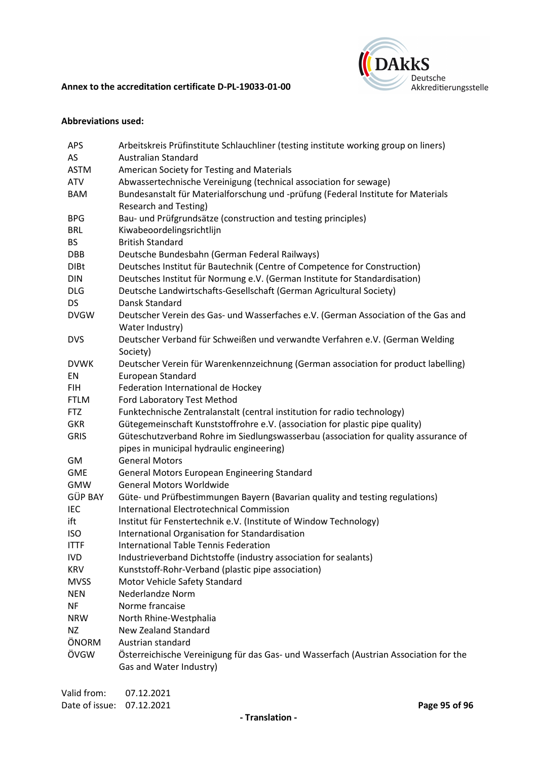

## **Abbreviations used:**

| APS            | Arbeitskreis Prüfinstitute Schlauchliner (testing institute working group on liners)     |
|----------------|------------------------------------------------------------------------------------------|
| AS             | <b>Australian Standard</b>                                                               |
| <b>ASTM</b>    | American Society for Testing and Materials                                               |
| <b>ATV</b>     | Abwassertechnische Vereinigung (technical association for sewage)                        |
| <b>BAM</b>     | Bundesanstalt für Materialforschung und -prüfung (Federal Institute for Materials        |
|                | <b>Research and Testing)</b>                                                             |
| <b>BPG</b>     | Bau- und Prüfgrundsätze (construction and testing principles)                            |
| <b>BRL</b>     | Kiwabeoordelingsrichtlijn                                                                |
| <b>BS</b>      | <b>British Standard</b>                                                                  |
| <b>DBB</b>     | Deutsche Bundesbahn (German Federal Railways)                                            |
| <b>DIBt</b>    | Deutsches Institut für Bautechnik (Centre of Competence for Construction)                |
| <b>DIN</b>     | Deutsches Institut für Normung e.V. (German Institute for Standardisation)               |
| <b>DLG</b>     | Deutsche Landwirtschafts-Gesellschaft (German Agricultural Society)                      |
| <b>DS</b>      | Dansk Standard                                                                           |
| <b>DVGW</b>    | Deutscher Verein des Gas- und Wasserfaches e.V. (German Association of the Gas and       |
|                | Water Industry)                                                                          |
| <b>DVS</b>     | Deutscher Verband für Schweißen und verwandte Verfahren e.V. (German Welding<br>Society) |
| <b>DVWK</b>    | Deutscher Verein für Warenkennzeichnung (German association for product labelling)       |
| EN             | European Standard                                                                        |
| <b>FIH</b>     | Federation International de Hockey                                                       |
| <b>FTLM</b>    | Ford Laboratory Test Method                                                              |
| <b>FTZ</b>     | Funktechnische Zentralanstalt (central institution for radio technology)                 |
| <b>GKR</b>     | Gütegemeinschaft Kunststoffrohre e.V. (association for plastic pipe quality)             |
| <b>GRIS</b>    | Güteschutzverband Rohre im Siedlungswasserbau (association for quality assurance of      |
|                | pipes in municipal hydraulic engineering)                                                |
| GM             | <b>General Motors</b>                                                                    |
| <b>GME</b>     | General Motors European Engineering Standard                                             |
| <b>GMW</b>     | <b>General Motors Worldwide</b>                                                          |
| <b>GÜP BAY</b> | Güte- und Prüfbestimmungen Bayern (Bavarian quality and testing regulations)             |
| IEC            | <b>International Electrotechnical Commission</b>                                         |
| ift            | Institut für Fenstertechnik e.V. (Institute of Window Technology)                        |
| <b>ISO</b>     | International Organisation for Standardisation                                           |
| <b>ITTF</b>    | <b>International Table Tennis Federation</b>                                             |
| <b>IVD</b>     | Industrieverband Dichtstoffe (industry association for sealants)                         |
| <b>KRV</b>     | Kunststoff-Rohr-Verband (plastic pipe association)                                       |
| <b>MVSS</b>    | Motor Vehicle Safety Standard                                                            |
| <b>NEN</b>     | <b>Nederlandze Norm</b>                                                                  |
| <b>NF</b>      | Norme francaise                                                                          |
| <b>NRW</b>     | North Rhine-Westphalia                                                                   |
| <b>NZ</b>      | <b>New Zealand Standard</b>                                                              |
| ÖNORM          | Austrian standard                                                                        |
| ÖVGW           | Österreichische Vereinigung für das Gas- und Wasserfach (Austrian Association for the    |
|                | Gas and Water Industry)                                                                  |